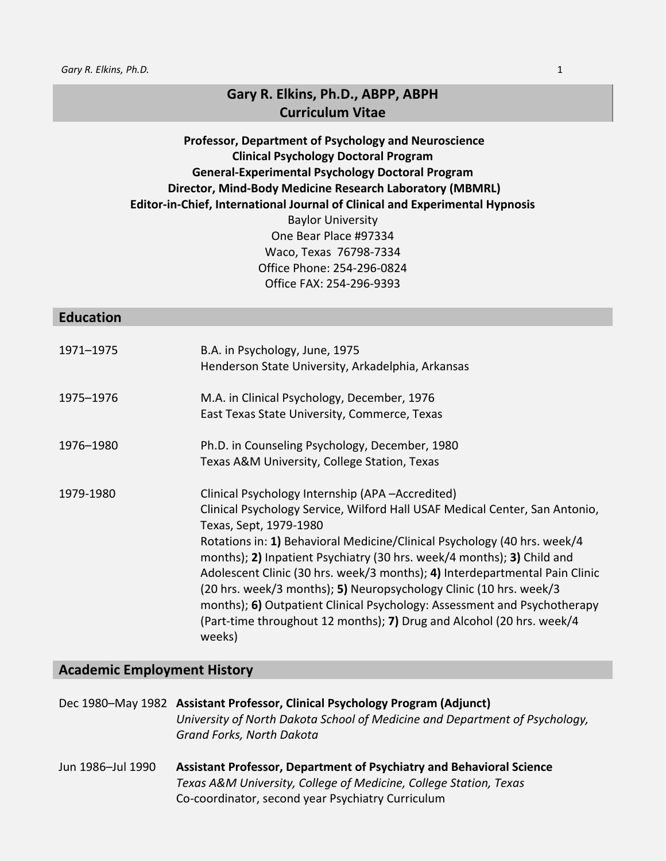# **Gary R. Elkins, Ph.D., ABPP, ABPH Curriculum Vitae**

# **Professor, Department of Psychology and Neuroscience Clinical Psychology Doctoral Program General-Experimental Psychology Doctoral Program Director, Mind-Body Medicine Research Laboratory (MBMRL) Editor-in-Chief, International Journal of Clinical and Experimental Hypnosis** Baylor University One Bear Place #97334 Waco, Texas 76798-7334 Office Phone: 254-296-0824 Office FAX: 254-296-9393

#### **Education**

| 1971-1975 | B.A. in Psychology, June, 1975<br>Henderson State University, Arkadelphia, Arkansas                                                                                                                                                                                                                                                                                                                                                                                                                                                                                                                                                |
|-----------|------------------------------------------------------------------------------------------------------------------------------------------------------------------------------------------------------------------------------------------------------------------------------------------------------------------------------------------------------------------------------------------------------------------------------------------------------------------------------------------------------------------------------------------------------------------------------------------------------------------------------------|
| 1975-1976 | M.A. in Clinical Psychology, December, 1976<br>East Texas State University, Commerce, Texas                                                                                                                                                                                                                                                                                                                                                                                                                                                                                                                                        |
| 1976–1980 | Ph.D. in Counseling Psychology, December, 1980<br>Texas A&M University, College Station, Texas                                                                                                                                                                                                                                                                                                                                                                                                                                                                                                                                     |
| 1979-1980 | Clinical Psychology Internship (APA-Accredited)<br>Clinical Psychology Service, Wilford Hall USAF Medical Center, San Antonio,<br>Texas, Sept, 1979-1980<br>Rotations in: 1) Behavioral Medicine/Clinical Psychology (40 hrs. week/4<br>months); 2) Inpatient Psychiatry (30 hrs. week/4 months); 3) Child and<br>Adolescent Clinic (30 hrs. week/3 months); 4) Interdepartmental Pain Clinic<br>(20 hrs. week/3 months); 5) Neuropsychology Clinic (10 hrs. week/3<br>months); 6) Outpatient Clinical Psychology: Assessment and Psychotherapy<br>(Part-time throughout 12 months); 7) Drug and Alcohol (20 hrs. week/4<br>weeks) |

#### **Academic Employment History**

Dec 1980–May 1982 **Assistant Professor, Clinical Psychology Program (Adjunct)**  *University of North Dakota School of Medicine and Department of Psychology, Grand Forks, North Dakota*

Jun 1986–Jul 1990 **Assistant Professor, Department of Psychiatry and Behavioral Science** *Texas A&M University, College of Medicine, College Station, Texas*  Co-coordinator, second year Psychiatry Curriculum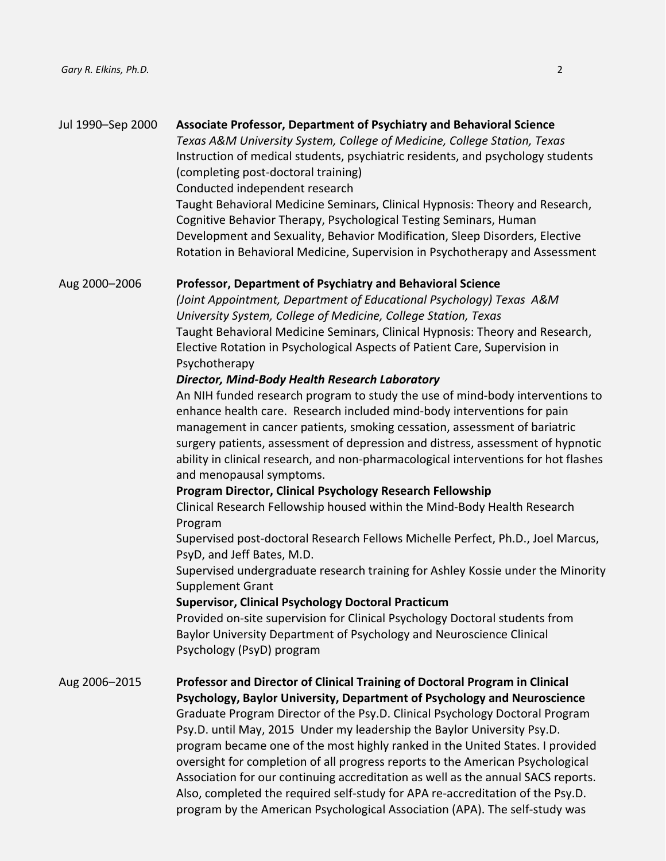| Jul 1990-Sep 2000 | Associate Professor, Department of Psychiatry and Behavioral Science<br>Texas A&M University System, College of Medicine, College Station, Texas<br>Instruction of medical students, psychiatric residents, and psychology students<br>(completing post-doctoral training)<br>Conducted independent research<br>Taught Behavioral Medicine Seminars, Clinical Hypnosis: Theory and Research,<br>Cognitive Behavior Therapy, Psychological Testing Seminars, Human<br>Development and Sexuality, Behavior Modification, Sleep Disorders, Elective<br>Rotation in Behavioral Medicine, Supervision in Psychotherapy and Assessment                                                                                                                                                                                                                                                                                                                                                                                                                                                                                                                                                                                                                                                                                                                                                                                                                                                                                        |
|-------------------|-------------------------------------------------------------------------------------------------------------------------------------------------------------------------------------------------------------------------------------------------------------------------------------------------------------------------------------------------------------------------------------------------------------------------------------------------------------------------------------------------------------------------------------------------------------------------------------------------------------------------------------------------------------------------------------------------------------------------------------------------------------------------------------------------------------------------------------------------------------------------------------------------------------------------------------------------------------------------------------------------------------------------------------------------------------------------------------------------------------------------------------------------------------------------------------------------------------------------------------------------------------------------------------------------------------------------------------------------------------------------------------------------------------------------------------------------------------------------------------------------------------------------|
| Aug 2000-2006     | <b>Professor, Department of Psychiatry and Behavioral Science</b><br>(Joint Appointment, Department of Educational Psychology) Texas A&M<br>University System, College of Medicine, College Station, Texas<br>Taught Behavioral Medicine Seminars, Clinical Hypnosis: Theory and Research,<br>Elective Rotation in Psychological Aspects of Patient Care, Supervision in<br>Psychotherapy<br>Director, Mind-Body Health Research Laboratory<br>An NIH funded research program to study the use of mind-body interventions to<br>enhance health care. Research included mind-body interventions for pain<br>management in cancer patients, smoking cessation, assessment of bariatric<br>surgery patients, assessment of depression and distress, assessment of hypnotic<br>ability in clinical research, and non-pharmacological interventions for hot flashes<br>and menopausal symptoms.<br>Program Director, Clinical Psychology Research Fellowship<br>Clinical Research Fellowship housed within the Mind-Body Health Research<br>Program<br>Supervised post-doctoral Research Fellows Michelle Perfect, Ph.D., Joel Marcus,<br>PsyD, and Jeff Bates, M.D.<br>Supervised undergraduate research training for Ashley Kossie under the Minority<br>Supplement Grant<br><b>Supervisor, Clinical Psychology Doctoral Practicum</b><br>Provided on-site supervision for Clinical Psychology Doctoral students from<br>Baylor University Department of Psychology and Neuroscience Clinical<br>Psychology (PsyD) program |
| Aug 2006-2015     | Professor and Director of Clinical Training of Doctoral Program in Clinical<br>Psychology, Baylor University, Department of Psychology and Neuroscience<br>Graduate Program Director of the Psy.D. Clinical Psychology Doctoral Program<br>Psy.D. until May, 2015 Under my leadership the Baylor University Psy.D.<br>program became one of the most highly ranked in the United States. I provided<br>oversight for completion of all progress reports to the American Psychological<br>Association for our continuing accreditation as well as the annual SACS reports.<br>Also, completed the required self-study for APA re-accreditation of the Psy.D.<br>program by the American Psychological Association (APA). The self-study was                                                                                                                                                                                                                                                                                                                                                                                                                                                                                                                                                                                                                                                                                                                                                                              |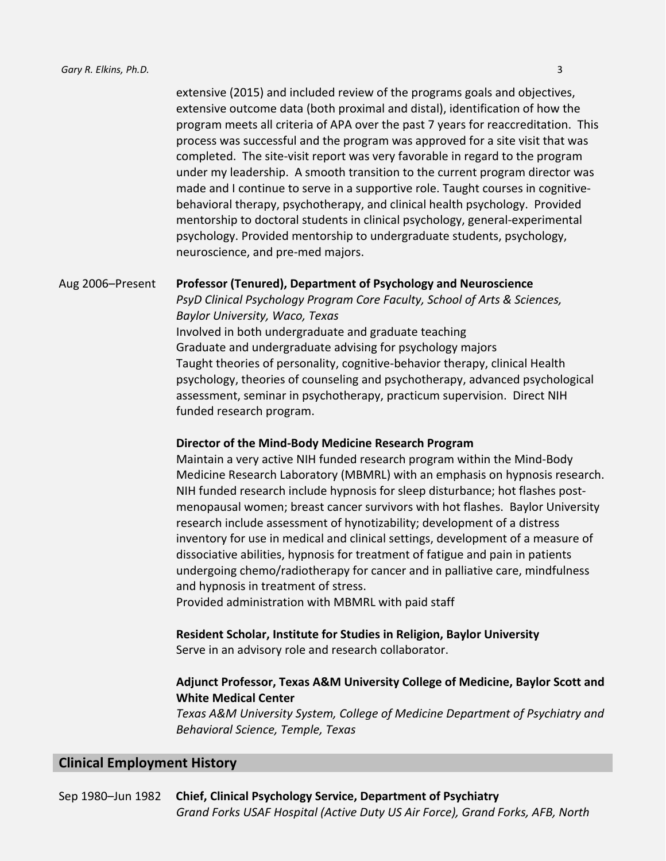extensive (2015) and included review of the programs goals and objectives, extensive outcome data (both proximal and distal), identification of how the program meets all criteria of APA over the past 7 years for reaccreditation. This process was successful and the program was approved for a site visit that was completed. The site-visit report was very favorable in regard to the program under my leadership. A smooth transition to the current program director was made and I continue to serve in a supportive role. Taught courses in cognitivebehavioral therapy, psychotherapy, and clinical health psychology. Provided mentorship to doctoral students in clinical psychology, general-experimental psychology. Provided mentorship to undergraduate students, psychology, neuroscience, and pre-med majors.

#### Aug 2006–Present **Professor (Tenured), Department of Psychology and Neuroscience**

*PsyD Clinical Psychology Program Core Faculty, School of Arts & Sciences, Baylor University, Waco, Texas*  Involved in both undergraduate and graduate teaching Graduate and undergraduate advising for psychology majors Taught theories of personality, cognitive-behavior therapy, clinical Health psychology, theories of counseling and psychotherapy, advanced psychological assessment, seminar in psychotherapy, practicum supervision. Direct NIH funded research program.

#### **Director of the Mind-Body Medicine Research Program**

Maintain a very active NIH funded research program within the Mind-Body Medicine Research Laboratory (MBMRL) with an emphasis on hypnosis research. NIH funded research include hypnosis for sleep disturbance; hot flashes postmenopausal women; breast cancer survivors with hot flashes. Baylor University research include assessment of hynotizability; development of a distress inventory for use in medical and clinical settings, development of a measure of dissociative abilities, hypnosis for treatment of fatigue and pain in patients undergoing chemo/radiotherapy for cancer and in palliative care, mindfulness and hypnosis in treatment of stress.

Provided administration with MBMRL with paid staff

# **Resident Scholar, Institute for Studies in Religion, Baylor University**

# Serve in an advisory role and research collaborator.

### **Adjunct Professor, Texas A&M University College of Medicine, Baylor Scott and White Medical Center**

*Texas A&M University System, College of Medicine Department of Psychiatry and Behavioral Science, Temple, Texas* 

# **Clinical Employment History**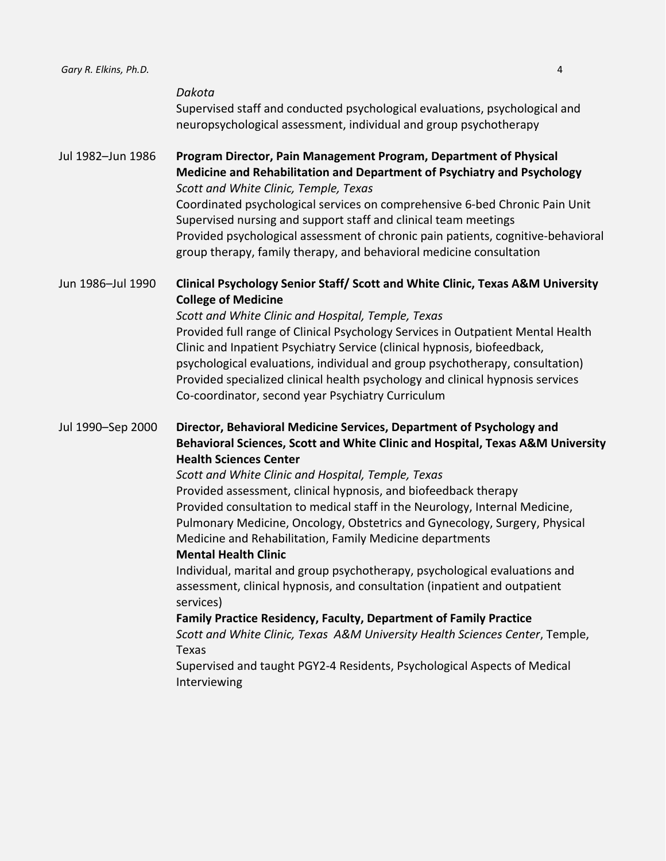| Gary R. Elkins, Ph.D. | 4                                                                                                                                                                                                                                                                                                                                                                                                                                                                                                                                                                                                                                                                                                                                                                                                                                                                                                                                                                                                                 |
|-----------------------|-------------------------------------------------------------------------------------------------------------------------------------------------------------------------------------------------------------------------------------------------------------------------------------------------------------------------------------------------------------------------------------------------------------------------------------------------------------------------------------------------------------------------------------------------------------------------------------------------------------------------------------------------------------------------------------------------------------------------------------------------------------------------------------------------------------------------------------------------------------------------------------------------------------------------------------------------------------------------------------------------------------------|
|                       | Dakota<br>Supervised staff and conducted psychological evaluations, psychological and<br>neuropsychological assessment, individual and group psychotherapy                                                                                                                                                                                                                                                                                                                                                                                                                                                                                                                                                                                                                                                                                                                                                                                                                                                        |
| Jul 1982-Jun 1986     | Program Director, Pain Management Program, Department of Physical<br>Medicine and Rehabilitation and Department of Psychiatry and Psychology<br>Scott and White Clinic, Temple, Texas<br>Coordinated psychological services on comprehensive 6-bed Chronic Pain Unit<br>Supervised nursing and support staff and clinical team meetings<br>Provided psychological assessment of chronic pain patients, cognitive-behavioral<br>group therapy, family therapy, and behavioral medicine consultation                                                                                                                                                                                                                                                                                                                                                                                                                                                                                                                |
| Jun 1986-Jul 1990     | Clinical Psychology Senior Staff/ Scott and White Clinic, Texas A&M University<br><b>College of Medicine</b><br>Scott and White Clinic and Hospital, Temple, Texas<br>Provided full range of Clinical Psychology Services in Outpatient Mental Health<br>Clinic and Inpatient Psychiatry Service (clinical hypnosis, biofeedback,<br>psychological evaluations, individual and group psychotherapy, consultation)<br>Provided specialized clinical health psychology and clinical hypnosis services<br>Co-coordinator, second year Psychiatry Curriculum                                                                                                                                                                                                                                                                                                                                                                                                                                                          |
| Jul 1990-Sep 2000     | Director, Behavioral Medicine Services, Department of Psychology and<br>Behavioral Sciences, Scott and White Clinic and Hospital, Texas A&M University<br><b>Health Sciences Center</b><br>Scott and White Clinic and Hospital, Temple, Texas<br>Provided assessment, clinical hypnosis, and biofeedback therapy<br>Provided consultation to medical staff in the Neurology, Internal Medicine,<br>Pulmonary Medicine, Oncology, Obstetrics and Gynecology, Surgery, Physical<br>Medicine and Rehabilitation, Family Medicine departments<br><b>Mental Health Clinic</b><br>Individual, marital and group psychotherapy, psychological evaluations and<br>assessment, clinical hypnosis, and consultation (inpatient and outpatient<br>services)<br><b>Family Practice Residency, Faculty, Department of Family Practice</b><br>Scott and White Clinic, Texas A&M University Health Sciences Center, Temple,<br>Texas<br>Supervised and taught PGY2-4 Residents, Psychological Aspects of Medical<br>Interviewing |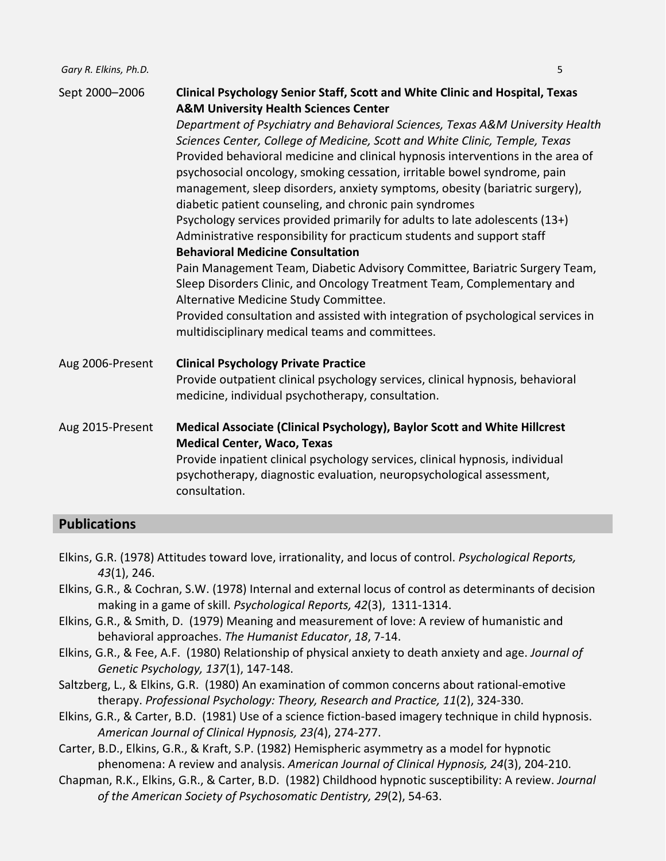| Sept 2000-2006   | Clinical Psychology Senior Staff, Scott and White Clinic and Hospital, Texas<br><b>A&amp;M University Health Sciences Center</b><br>Department of Psychiatry and Behavioral Sciences, Texas A&M University Health<br>Sciences Center, College of Medicine, Scott and White Clinic, Temple, Texas<br>Provided behavioral medicine and clinical hypnosis interventions in the area of<br>psychosocial oncology, smoking cessation, irritable bowel syndrome, pain<br>management, sleep disorders, anxiety symptoms, obesity (bariatric surgery),<br>diabetic patient counseling, and chronic pain syndromes<br>Psychology services provided primarily for adults to late adolescents (13+)<br>Administrative responsibility for practicum students and support staff<br><b>Behavioral Medicine Consultation</b><br>Pain Management Team, Diabetic Advisory Committee, Bariatric Surgery Team,<br>Sleep Disorders Clinic, and Oncology Treatment Team, Complementary and<br>Alternative Medicine Study Committee.<br>Provided consultation and assisted with integration of psychological services in<br>multidisciplinary medical teams and committees. |
|------------------|-------------------------------------------------------------------------------------------------------------------------------------------------------------------------------------------------------------------------------------------------------------------------------------------------------------------------------------------------------------------------------------------------------------------------------------------------------------------------------------------------------------------------------------------------------------------------------------------------------------------------------------------------------------------------------------------------------------------------------------------------------------------------------------------------------------------------------------------------------------------------------------------------------------------------------------------------------------------------------------------------------------------------------------------------------------------------------------------------------------------------------------------------------|
| Aug 2006-Present | <b>Clinical Psychology Private Practice</b><br>Provide outpatient clinical psychology services, clinical hypnosis, behavioral<br>medicine, individual psychotherapy, consultation.                                                                                                                                                                                                                                                                                                                                                                                                                                                                                                                                                                                                                                                                                                                                                                                                                                                                                                                                                                    |
| Aug 2015-Present | Medical Associate (Clinical Psychology), Baylor Scott and White Hillcrest<br><b>Medical Center, Waco, Texas</b><br>Provide inpatient clinical psychology services, clinical hypnosis, individual<br>psychotherapy, diagnostic evaluation, neuropsychological assessment,<br>consultation.                                                                                                                                                                                                                                                                                                                                                                                                                                                                                                                                                                                                                                                                                                                                                                                                                                                             |

#### **Publications**

- Elkins, G.R. (1978) Attitudes toward love, irrationality, and locus of control. *Psychological Reports, 43*(1), 246.
- Elkins, G.R., & Cochran, S.W. (1978) Internal and external locus of control as determinants of decision making in a game of skill. *Psychological Reports, 42*(3), 1311-1314.
- Elkins, G.R., & Smith, D. (1979) Meaning and measurement of love: A review of humanistic and behavioral approaches. *The Humanist Educator*, *18*, 7-14.
- Elkins, G.R., & Fee, A.F. (1980) Relationship of physical anxiety to death anxiety and age. *Journal of Genetic Psychology, 137*(1), 147-148.
- Saltzberg, L., & Elkins, G.R. (1980) An examination of common concerns about rational-emotive therapy. *Professional Psychology: Theory, Research and Practice, 11*(2), 324-330.
- Elkins, G.R., & Carter, B.D. (1981) Use of a science fiction-based imagery technique in child hypnosis. *American Journal of Clinical Hypnosis, 23(*4), 274-277.
- Carter, B.D., Elkins, G.R., & Kraft, S.P. (1982) Hemispheric asymmetry as a model for hypnotic phenomena: A review and analysis. *American Journal of Clinical Hypnosis, 24*(3), 204-210.
- Chapman, R.K., Elkins, G.R., & Carter, B.D. (1982) Childhood hypnotic susceptibility: A review. *Journal of the American Society of Psychosomatic Dentistry, 29*(2), 54-63.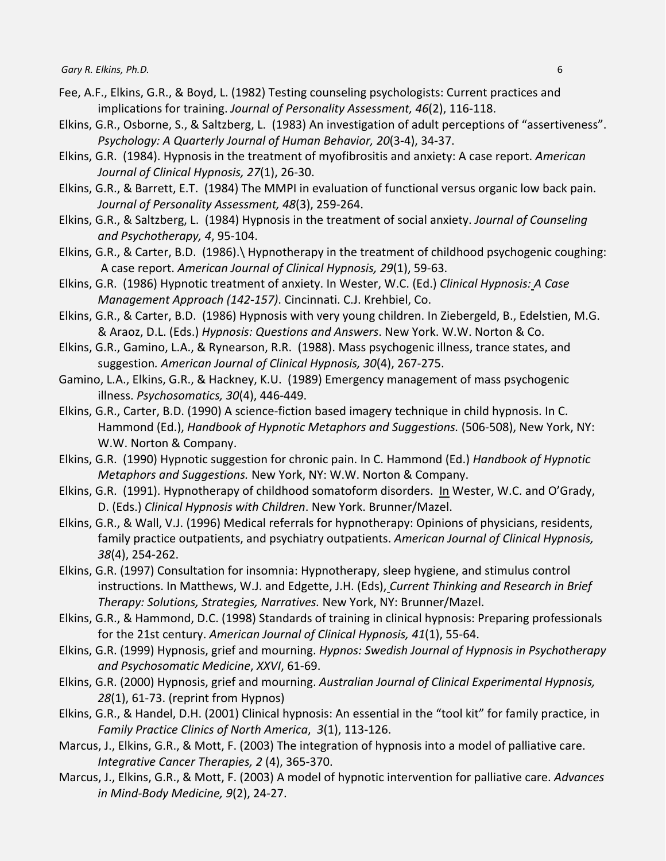- Fee, A.F., Elkins, G.R., & Boyd, L. (1982) Testing counseling psychologists: Current practices and implications for training. *Journal of Personality Assessment, 46*(2), 116-118.
- Elkins, G.R., Osborne, S., & Saltzberg, L. (1983) An investigation of adult perceptions of "assertiveness". *Psychology: A Quarterly Journal of Human Behavior, 20*(3-4), 34-37.
- Elkins, G.R. (1984). Hypnosis in the treatment of myofibrositis and anxiety: A case report. *American Journal of Clinical Hypnosis, 27*(1), 26-30.
- Elkins, G.R., & Barrett, E.T. (1984) The MMPI in evaluation of functional versus organic low back pain. *Journal of Personality Assessment, 48*(3), 259-264.
- Elkins, G.R., & Saltzberg, L. (1984) Hypnosis in the treatment of social anxiety. *Journal of Counseling and Psychotherapy, 4*, 95-104.
- Elkins, G.R., & Carter, B.D. (1986).\ Hypnotherapy in the treatment of childhood psychogenic coughing: A case report. *American Journal of Clinical Hypnosis, 29*(1), 59-63.
- Elkins, G.R. (1986) Hypnotic treatment of anxiety. In Wester, W.C. (Ed.) *Clinical Hypnosis: A Case Management Approach (142-157)*. Cincinnati. C.J. Krehbiel, Co.
- Elkins, G.R., & Carter, B.D. (1986) Hypnosis with very young children. In Ziebergeld, B., Edelstien, M.G. & Araoz, D.L. (Eds.) *Hypnosis: Questions and Answers*. New York. W.W. Norton & Co.
- Elkins, G.R., Gamino, L.A., & Rynearson, R.R. (1988). Mass psychogenic illness, trance states, and suggestion*. American Journal of Clinical Hypnosis, 30*(4), 267-275.
- Gamino, L.A., Elkins, G.R., & Hackney, K.U. (1989) Emergency management of mass psychogenic illness. *Psychosomatics, 30*(4), 446-449.
- Elkins, G.R., Carter, B.D. (1990) A science-fiction based imagery technique in child hypnosis. In C. Hammond (Ed.), *Handbook of Hypnotic Metaphors and Suggestions.* (506-508), New York, NY: W.W. Norton & Company.
- Elkins, G.R. (1990) Hypnotic suggestion for chronic pain. In C. Hammond (Ed.) *Handbook of Hypnotic Metaphors and Suggestions.* New York, NY: W.W. Norton & Company.
- Elkins, G.R. (1991). Hypnotherapy of childhood somatoform disorders. In Wester, W.C. and O'Grady, D. (Eds.) *Clinical Hypnosis with Children*. New York. Brunner/Mazel.
- Elkins, G.R., & Wall, V.J. (1996) Medical referrals for hypnotherapy: Opinions of physicians, residents, family practice outpatients, and psychiatry outpatients. *American Journal of Clinical Hypnosis, 38*(4), 254-262.
- Elkins, G.R. (1997) Consultation for insomnia: Hypnotherapy, sleep hygiene, and stimulus control instructions. In Matthews, W.J. and Edgette, J.H. (Eds), *Current Thinking and Research in Brief Therapy: Solutions, Strategies, Narratives.* New York, NY: Brunner/Mazel.
- Elkins, G.R., & Hammond, D.C. (1998) Standards of training in clinical hypnosis: Preparing professionals for the 21st century. *American Journal of Clinical Hypnosis, 41*(1), 55-64.
- Elkins, G.R. (1999) Hypnosis, grief and mourning. *Hypnos: Swedish Journal of Hypnosis in Psychotherapy and Psychosomatic Medicine*, *XXVI*, 61-69.
- Elkins, G.R. (2000) Hypnosis, grief and mourning. *Australian Journal of Clinical Experimental Hypnosis, 28*(1), 61-73. (reprint from Hypnos)
- Elkins, G.R., & Handel, D.H. (2001) Clinical hypnosis: An essential in the "tool kit" for family practice, in *Family Practice Clinics of North America*, *3*(1), 113-126.
- Marcus, J., Elkins, G.R., & Mott, F. (2003) The integration of hypnosis into a model of palliative care. *Integrative Cancer Therapies, 2* (4), 365-370.
- Marcus, J., Elkins, G.R., & Mott, F. (2003) A model of hypnotic intervention for palliative care. *Advances in Mind-Body Medicine, 9*(2), 24-27.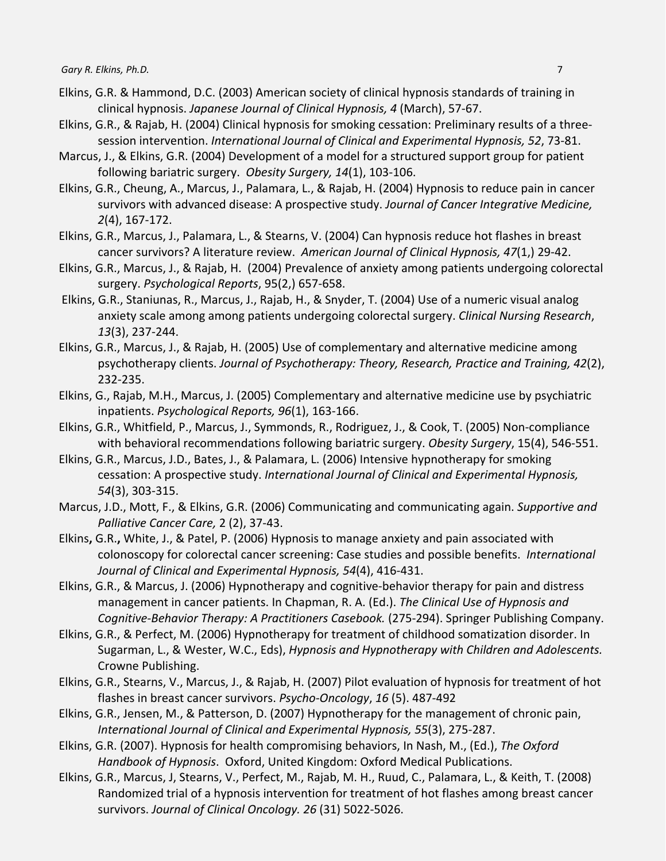- Elkins, G.R. & Hammond, D.C. (2003) American society of clinical hypnosis standards of training in clinical hypnosis. *Japanese Journal of Clinical Hypnosis, 4* (March), 57-67.
- Elkins, G.R., & Rajab, H. (2004) Clinical hypnosis for smoking cessation: Preliminary results of a threesession intervention. *International Journal of Clinical and Experimental Hypnosis, 52*, 73-81.
- Marcus, J., & Elkins, G.R. (2004) Development of a model for a structured support group for patient following bariatric surgery. *Obesity Surgery, 14*(1), 103-106.
- Elkins, G.R., Cheung, A., Marcus, J., Palamara, L., & Rajab, H. (2004) Hypnosis to reduce pain in cancer survivors with advanced disease: A prospective study. *Journal of Cancer Integrative Medicine, 2*(4), 167-172.
- Elkins, G.R., Marcus, J., Palamara, L., & Stearns, V. (2004) Can hypnosis reduce hot flashes in breast cancer survivors? A literature review. *American Journal of Clinical Hypnosis, 47*(1,) 29-42.
- Elkins, G.R., Marcus, J., & Rajab, H. (2004) Prevalence of anxiety among patients undergoing colorectal surgery. *Psychological Reports*, 95(2,) 657-658.
- Elkins, G.R., Staniunas, R., Marcus, J., Rajab, H., & Snyder, T. (2004) Use of a numeric visual analog anxiety scale among among patients undergoing colorectal surgery. *Clinical Nursing Research*, *13*(3), 237-244.
- Elkins, G.R., Marcus, J., & Rajab, H. (2005) Use of complementary and alternative medicine among psychotherapy clients. *Journal of Psychotherapy: Theory, Research, Practice and Training, 42*(2), 232-235.
- Elkins, G., Rajab, M.H., Marcus, J. (2005) Complementary and alternative medicine use by psychiatric inpatients. *Psychological Reports, 96*(1), 163-166.
- Elkins, G.R., Whitfield, P., Marcus, J., Symmonds, R., Rodriguez, J., & Cook, T. (2005) Non-compliance with behavioral recommendations following bariatric surgery. *Obesity Surgery*, 15(4), 546-551.
- Elkins, G.R., Marcus, J.D., Bates, J., & Palamara, L. (2006) Intensive hypnotherapy for smoking cessation: A prospective study. *International Journal of Clinical and Experimental Hypnosis, 54*(3), 303-315.
- Marcus, J.D., Mott, F., & Elkins, G.R. (2006) Communicating and communicating again. *Supportive and Palliative Cancer Care,* 2 (2), 37-43.
- Elkins**,** G.R.**,** White, J., & Patel, P. (2006) [Hypnosis to manage anxiety and pain associated with](http://web.ebscohost.com.ezproxy.baylor.edu/ehost/viewarticle?data=dGJyMPPp44rp2%2fdV0%2bnjisfk5Ie46bZQta6uUK6k63nn5Kx95uXxjL6nrUmypbBIrq2eULirr1Kyq55oy5zyit%2fk8Xnh6ueH7N%2fiVbaprkmyqK9JtZzqeezdu33snOJ6u%2bbxkeac8nnls79mpNfsVbCmrk6rp7FKtaarSK6rpH7t6Ot58rPkjeri0n326gAA&hid=19) [colonoscopy for colorectal cancer screening: Case studies and possible benefits.](http://web.ebscohost.com.ezproxy.baylor.edu/ehost/viewarticle?data=dGJyMPPp44rp2%2fdV0%2bnjisfk5Ie46bZQta6uUK6k63nn5Kx95uXxjL6nrUmypbBIrq2eULirr1Kyq55oy5zyit%2fk8Xnh6ueH7N%2fiVbaprkmyqK9JtZzqeezdu33snOJ6u%2bbxkeac8nnls79mpNfsVbCmrk6rp7FKtaarSK6rpH7t6Ot58rPkjeri0n326gAA&hid=19) *International Journal of Clinical and Experimental Hypnosis, 54*(4), 416-431.
- Elkins, G.R., & Marcus, J. (2006) Hypnotherapy and cognitive-behavior therapy for pain and distress management in cancer patients. In Chapman, R. A. (Ed.). *The Clinical Use of Hypnosis and Cognitive-Behavior Therapy: A Practitioners Casebook.* (275-294). Springer Publishing Company.
- Elkins, G.R., & Perfect, M. (2006) Hypnotherapy for treatment of childhood somatization disorder. In Sugarman, L., & Wester, W.C., Eds), *Hypnosis and Hypnotherapy with Children and Adolescents.* Crowne Publishing.
- Elkins, G.R., Stearns, V., Marcus, J., & Rajab, H. (2007) Pilot evaluation of hypnosis for treatment of hot flashes in breast cancer survivors. *Psycho-Oncology*, *16* (5). 487-492
- Elkins, G.R., Jensen, M., & Patterson, D. (2007) Hypnotherapy for the management of chronic pain, *International Journal of Clinical and Experimental Hypnosis, 55*(3), 275-287.
- Elkins, G.R. (2007). Hypnosis for health compromising behaviors, In Nash, M., (Ed.), *The Oxford Handbook of Hypnosis*. Oxford, United Kingdom: Oxford Medical Publications.
- Elkins, G.R., Marcus, J, Stearns, V., Perfect, M., Rajab, M. H., Ruud, C., Palamara, L., & Keith, T. (2008) Randomized trial of a hypnosis intervention for treatment of hot flashes among breast cancer survivors. *Journal of Clinical Oncology. 26* (31) 5022-5026.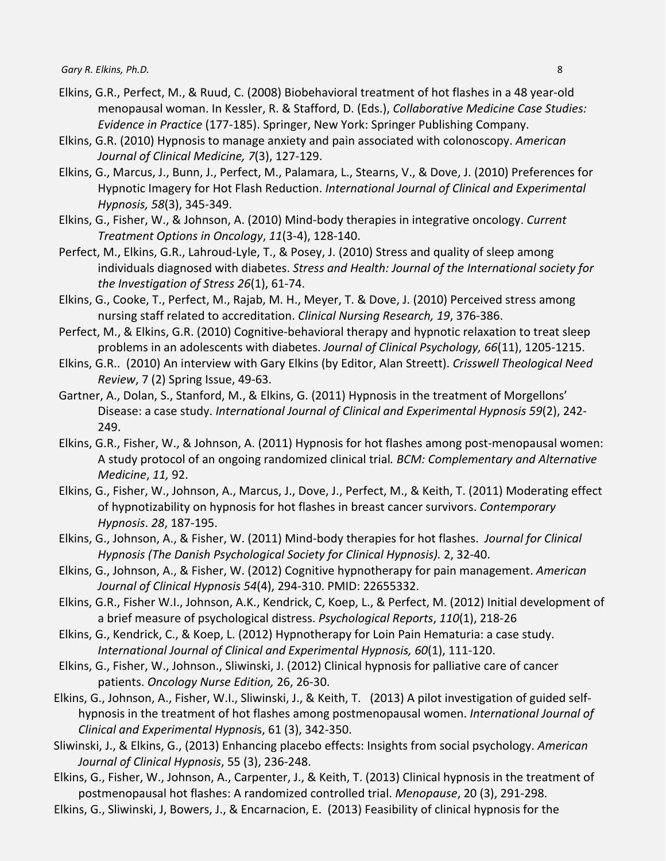- Elkins, G.R., Perfect, M., & Ruud, C. (2008) Biobehavioral treatment of hot flashes in a 48 year-old menopausal woman. In Kessler, R. & Stafford, D. (Eds.), *Collaborative Medicine Case Studies: Evidence in Practice* (177-185). Springer, New York: Springer Publishing Company.
- Elkins, G.R. (2010) Hypnosis to manage anxiety and pain associated with colonoscopy. *American Journal of Clinical Medicine, 7*(3), 127-129.
- Elkins, G., Marcus, J., Bunn, J., Perfect, M., Palamara, L., Stearns, V., & Dove, J. (2010) Preferences for Hypnotic Imagery for Hot Flash Reduction. *International Journal of Clinical and Experimental Hypnosis, 58*(3), 345-349.
- Elkins, G., Fisher, W., & Johnson, A. (2010) Mind-body therapies in integrative oncology. *Current Treatment Options in Oncology*, *11*(3-4), 128-140.
- Perfect, M., Elkins, G.R., Lahroud-Lyle, T., & Posey, J. (2010) Stress and quality of sleep among individuals diagnosed with diabetes. *Stress and Health: Journal of the International society for the Investigation of Stress 26*(1), 61-74.
- Elkins, G., Cooke, T., Perfect, M., Rajab, M. H., Meyer, T. & Dove, J. (2010) Perceived stress among nursing staff related to accreditation. *Clinical Nursing Research, 19*, 376-386.
- Perfect, M., & Elkins, G.R. (2010) Cognitive-behavioral therapy and hypnotic relaxation to treat sleep problems in an adolescents with diabetes. *Journal of Clinical Psychology, 66*(11), 1205-1215.
- Elkins, G.R.. (2010) An interview with Gary Elkins (by Editor, Alan Streett). *Crisswell Theological Need Review*, 7 (2) Spring Issue, 49-63.
- Gartner, A., Dolan, S., Stanford, M., & Elkins, G. (2011) Hypnosis in the treatment of Morgellons' Disease: a case study. *International Journal of Clinical and Experimental Hypnosis 59*(2), 242- 249.
- Elkins, G.R., Fisher, W., & Johnson, A. (2011) Hypnosis for hot flashes among post-menopausal women: A study protocol of an ongoing randomized clinical trial*. BCM: Complementary and Alternative Medicine*, *11,* 92.
- Elkins, G., Fisher, W., Johnson, A., Marcus, J., Dove, J., Perfect, M., & Keith, T. (2011) Moderating effect of hypnotizability on hypnosis for hot flashes in breast cancer survivors. *Contemporary Hypnosis*. *28*, 187-195.
- Elkins, G., Johnson, A., & Fisher, W. (2011) Mind-body therapies for hot flashes. *Journal for Clinical Hypnosis (The Danish Psychological Society for Clinical Hypnosis).* 2, 32-40.
- Elkins, G., Johnson, A., & Fisher, W. (2012) Cognitive hypnotherapy for pain management. *American Journal of Clinical Hypnosis 54*(4), 294-310. PMID: 22655332.
- Elkins, G.R., Fisher W.I., Johnson, A.K., Kendrick, C, Koep, L., & Perfect, M. (2012) Initial development of a brief measure of psychological distress. *Psychological Reports*, *110*(1), 218-26
- Elkins, G., Kendrick, C., & Koep, L. (2012) Hypnotherapy for Loin Pain Hematuria: a case study. *International Journal of Clinical and Experimental Hypnosis, 60*(1), 111-120.
- Elkins, G., Fisher, W., Johnson., Sliwinski, J. (2012) Clinical hypnosis for palliative care of cancer patients. *Oncology Nurse Edition,* 26, 26-30.
- Elkins, G., Johnson, A., Fisher, W.I., Sliwinski, J., & Keith, T. (2013) A pilot investigation of guided selfhypnosis in the treatment of hot flashes among postmenopausal women. *International Journal of Clinical and Experimental Hypnosi*s, 61 (3), 342-350.
- Sliwinski, J., & Elkins, G., (2013) Enhancing placebo effects: Insights from social psychology. *American Journal of Clinical Hypnosis*, 55 (3), 236-248.
- Elkins, G., Fisher, W., Johnson, A., Carpenter, J., & Keith, T. (2013) Clinical hypnosis in the treatment of postmenopausal hot flashes: A randomized controlled trial. *Menopause*, 20 (3), 291-298.
- Elkins, G., Sliwinski, J, Bowers, J., & Encarnacion, E. (2013) Feasibility of clinical hypnosis for the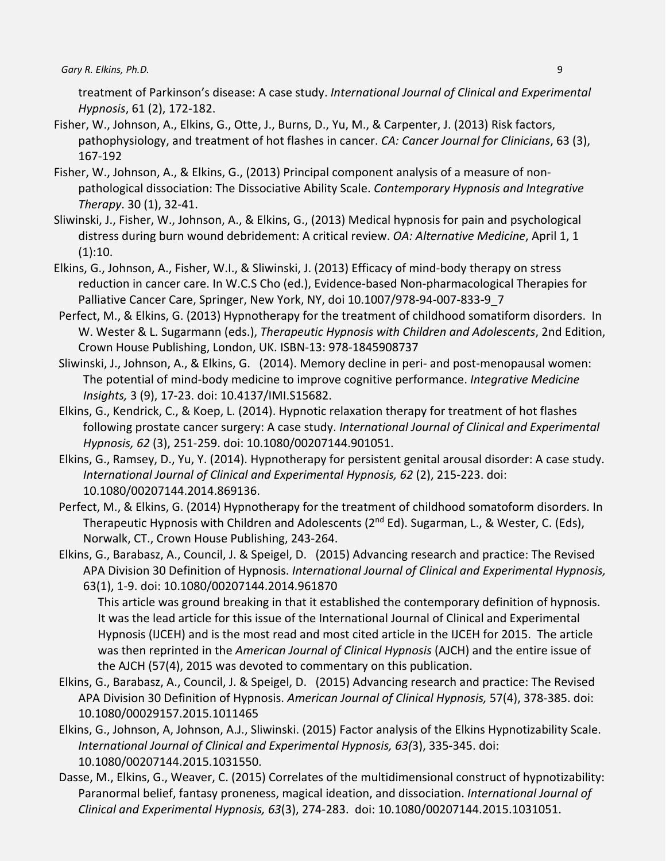treatment of Parkinson's disease: A case study. *International Journal of Clinical and Experimental Hypnosis*, 61 (2), 172-182.

- Fisher, W., Johnson, A., Elkins, G., Otte, J., Burns, D., Yu, M., & Carpenter, J. (2013) Risk factors, pathophysiology, and treatment of hot flashes in cancer. *CA: Cancer Journal for Clinicians*, 63 (3), 167-192
- Fisher, W., Johnson, A., & Elkins, G., (2013) Principal component analysis of a measure of nonpathological dissociation: The Dissociative Ability Scale. *Contemporary Hypnosis and Integrative Therapy*. 30 (1), 32-41.
- Sliwinski, J., Fisher, W., Johnson, A., & Elkins, G., (2013) Medical hypnosis for pain and psychological distress during burn wound debridement: A critical review. *OA: Alternative Medicine*, April 1, 1  $(1):10.$
- Elkins, G., Johnson, A., Fisher, W.I., & Sliwinski, J. (2013) Efficacy of mind-body therapy on stress reduction in cancer care. In W.C.S Cho (ed.), Evidence-based Non-pharmacological Therapies for Palliative Cancer Care, Springer, New York, NY, doi 10.1007/978-94-007-833-9\_7
- Perfect, M., & Elkins, G. (2013) Hypnotherapy for the treatment of childhood somatiform disorders. In W. Wester & L. Sugarmann (eds.), *Therapeutic Hypnosis with Children and Adolescents*, 2nd Edition, Crown House Publishing, London, UK. ISBN-13: 978-1845908737
- Sliwinski, J., Johnson, A., & Elkins, G. (2014). Memory decline in peri- and post-menopausal women: The potential of mind-body medicine to improve cognitive performance. *Integrative Medicine Insights,* 3 (9), 17-23. doi: 10.4137/IMI.S15682.
- Elkins, G., Kendrick, C., & Koep, L. (2014). Hypnotic relaxation therapy for treatment of hot flashes following prostate cancer surgery: A case study. *International Journal of Clinical and Experimental Hypnosis, 62* (3), 251-259. doi: 10.1080/00207144.901051.
- Elkins, G., Ramsey, D., Yu, Y. (2014). Hypnotherapy for persistent genital arousal disorder: A case study. *International Journal of Clinical and Experimental Hypnosis, 62* (2), 215-223. doi: 10.1080/00207144.2014.869136.
- Perfect, M., & Elkins, G. (2014) Hypnotherapy for the treatment of childhood somatoform disorders. In Therapeutic Hypnosis with Children and Adolescents (2<sup>nd</sup> Ed). Sugarman, L., & Wester, C. (Eds), Norwalk, CT., Crown House Publishing, 243-264.
- Elkins, G., Barabasz, A., Council, J. & Speigel, D. (2015) Advancing research and practice: The Revised APA Division 30 Definition of Hypnosis. *International Journal of Clinical and Experimental Hypnosis,*  63(1), 1-9. doi: 10.1080/00207144.2014.961870

This article was ground breaking in that it established the contemporary definition of hypnosis. It was the lead article for this issue of the International Journal of Clinical and Experimental Hypnosis (IJCEH) and is the most read and most cited article in the IJCEH for 2015. The article was then reprinted in the *American Journal of Clinical Hypnosis* (AJCH) and the entire issue of the AJCH (57(4), 2015 was devoted to commentary on this publication.

- Elkins, G., Barabasz, A., Council, J. & Speigel, D. (2015) Advancing research and practice: The Revised APA Division 30 Definition of Hypnosis. *American Journal of Clinical Hypnosis,* 57(4), 378-385. doi: 10.1080/00029157.2015.1011465
- Elkins, G., Johnson, A, Johnson, A.J., Sliwinski. (2015) Factor analysis of the Elkins Hypnotizability Scale. *International Journal of Clinical and Experimental Hypnosis, 63(*3), 335-345. doi: 10.1080/00207144.2015.1031550.
- Dasse, M., Elkins, G., Weaver, C. (2015) Correlates of the multidimensional construct of hypnotizability: Paranormal belief, fantasy proneness, magical ideation, and dissociation. *International Journal of Clinical and Experimental Hypnosis, 63*(3), 274-283. doi: 10.1080/00207144.2015.1031051.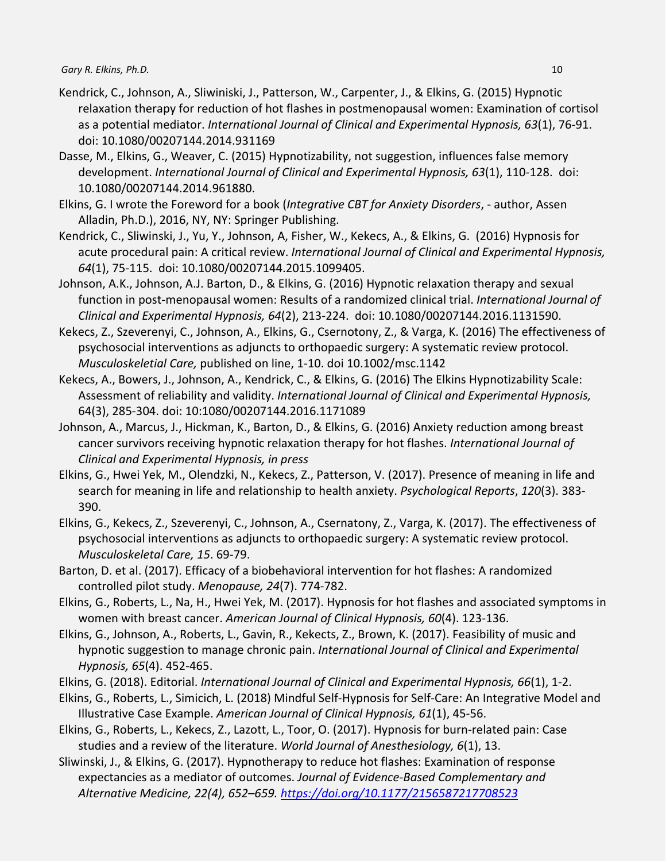- Kendrick, C., Johnson, A., Sliwiniski, J., Patterson, W., Carpenter, J., & Elkins, G. (2015) Hypnotic relaxation therapy for reduction of hot flashes in postmenopausal women: Examination of cortisol as a potential mediator. *International Journal of Clinical and Experimental Hypnosis, 63*(1), 76-91. doi: 10.1080/00207144.2014.931169
- Dasse, M., Elkins, G., Weaver, C. (2015) Hypnotizability, not suggestion, influences false memory development. *International Journal of Clinical and Experimental Hypnosis, 63*(1), 110-128. doi: 10.1080/00207144.2014.961880.
- Elkins, G. I wrote the Foreword for a book (*Integrative CBT for Anxiety Disorders*, author, Assen Alladin, Ph.D.), 2016, NY, NY: Springer Publishing.
- Kendrick, C., Sliwinski, J., Yu, Y., Johnson, A, Fisher, W., Kekecs, A., & Elkins, G. (2016) Hypnosis for acute procedural pain: A critical review. *International Journal of Clinical and Experimental Hypnosis, 64*(1), 75-115. doi: 10.1080/00207144.2015.1099405.
- Johnson, A.K., Johnson, A.J. Barton, D., & Elkins, G. (2016) Hypnotic relaxation therapy and sexual function in post-menopausal women: Results of a randomized clinical trial. *International Journal of Clinical and Experimental Hypnosis, 64*(2), 213-224. doi: 10.1080/00207144.2016.1131590.
- Kekecs, Z., Szeverenyi, C., Johnson, A., Elkins, G., Csernotony, Z., & Varga, K. (2016) The effectiveness of psychosocial interventions as adjuncts to orthopaedic surgery: A systematic review protocol. *Musculoskeletial Care,* published on line, 1-10. doi 10.1002/msc.1142
- Kekecs, A., Bowers, J., Johnson, A., Kendrick, C., & Elkins, G. (2016) The Elkins Hypnotizability Scale: Assessment of reliability and validity. *International Journal of Clinical and Experimental Hypnosis,*  64(3), 285-304. doi: 10:1080/00207144.2016.1171089
- Johnson, A., Marcus, J., Hickman, K., Barton, D., & Elkins, G. (2016) Anxiety reduction among breast cancer survivors receiving hypnotic relaxation therapy for hot flashes. *International Journal of Clinical and Experimental Hypnosis, in press*
- Elkins, G., Hwei Yek, M., Olendzki, N., Kekecs, Z., Patterson, V. (2017). Presence of meaning in life and search for meaning in life and relationship to health anxiety. *Psychological Reports*, *120*(3). 383- 390.
- Elkins, G., Kekecs, Z., Szeverenyi, C., Johnson, A., Csernatony, Z., Varga, K. (2017). The effectiveness of psychosocial interventions as adjuncts to orthopaedic surgery: A systematic review protocol. *Musculoskeletal Care, 15*. 69-79.
- Barton, D. et al. (2017). Efficacy of a biobehavioral intervention for hot flashes: A randomized controlled pilot study. *Menopause, 24*(7). 774-782.
- Elkins, G., Roberts, L., Na, H., Hwei Yek, M. (2017). Hypnosis for hot flashes and associated symptoms in women with breast cancer. *American Journal of Clinical Hypnosis, 60*(4). 123-136.
- Elkins, G., Johnson, A., Roberts, L., Gavin, R., Kekects, Z., Brown, K. (2017). Feasibility of music and hypnotic suggestion to manage chronic pain. *International Journal of Clinical and Experimental Hypnosis, 65*(4). 452-465.
- Elkins, G. (2018). Editorial. *International Journal of Clinical and Experimental Hypnosis, 66*(1), 1-2.
- Elkins, G., Roberts, L., Simicich, L. (2018) Mindful Self-Hypnosis for Self-Care: An Integrative Model and Illustrative Case Example. *American Journal of Clinical Hypnosis, 61*(1), 45-56.
- Elkins, G., Roberts, L., Kekecs, Z., Lazott, L., Toor, O. (2017). Hypnosis for burn-related pain: Case studies and a review of the literature. *World Journal of Anesthesiology, 6*(1), 13.
- Sliwinski, J., & Elkins, G. (2017). Hypnotherapy to reduce hot flashes: Examination of response expectancies as a mediator of outcomes. *Journal of Evidence-Based Complementary and Alternative Medicine, 22(4), 652–659. [https://doi.org/10.1177/2156587217708523](https://psycnet.apa.org/doi/10.1177/2156587217708523)*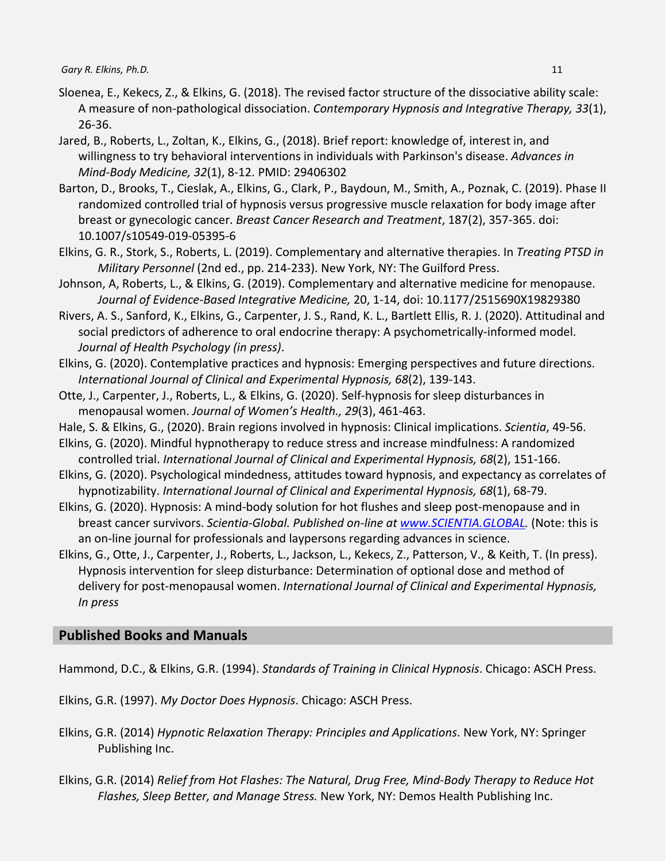- Sloenea, E., Kekecs, Z., & Elkins, G. (2018). The revised factor structure of the dissociative ability scale: A measure of non-pathological dissociation. *Contemporary Hypnosis and Integrative Therapy, 33*(1), 26-36.
- Jared, B., Roberts, L., Zoltan, K., Elkins, G., (2018). Brief report: knowledge of, interest in, and willingness to try behavioral interventions in individuals with Parkinson's disease. *Advances in Mind-Body Medicine, 32*(1), 8-12. PMID: 29406302
- Barton, D., Brooks, T., Cieslak, A., Elkins, G., Clark, P., Baydoun, M., Smith, A., Poznak, C. (2019). Phase II randomized controlled trial of hypnosis versus progressive muscle relaxation for body image after breast or gynecologic cancer. *Breast Cancer Research and Treatment*, 187(2), 357-365. doi: 10.1007/s10549-019-05395-6
- Elkins, G. R., Stork, S., Roberts, L. (2019). Complementary and alternative therapies. In *Treating PTSD in Military Personnel* (2nd ed., pp. 214-233). New York, NY: The Guilford Press.
- Johnson, A, Roberts, L., & Elkins, G. (2019). Complementary and alternative medicine for menopause. *Journal of Evidence-Based Integrative Medicine,* 20, 1-14, doi: 10.1177/2515690X19829380
- Rivers, A. S., Sanford, K., Elkins, G., Carpenter, J. S., Rand, K. L., Bartlett Ellis, R. J. (2020). Attitudinal and social predictors of adherence to oral endocrine therapy: A psychometrically-informed model. *Journal of Health Psychology (in press)*.
- Elkins, G. (2020). Contemplative practices and hypnosis: Emerging perspectives and future directions. *International Journal of Clinical and Experimental Hypnosis, 68*(2), 139-143.
- Otte, J., Carpenter, J., Roberts, L., & Elkins, G. (2020). Self-hypnosis for sleep disturbances in menopausal women. *Journal of Women's Health., 29*(3), 461-463.
- Hale, S. & Elkins, G., (2020). Brain regions involved in hypnosis: Clinical implications. *Scientia*, 49-56.
- Elkins, G. (2020). Mindful hypnotherapy to reduce stress and increase mindfulness: A randomized controlled trial. *International Journal of Clinical and Experimental Hypnosis, 68*(2), 151-166.
- Elkins, G. (2020). Psychological mindedness, attitudes toward hypnosis, and expectancy as correlates of hypnotizability. *International Journal of Clinical and Experimental Hypnosis, 68*(1), 68-79.
- Elkins, G. (2020). Hypnosis: A mind-body solution for hot flushes and sleep post-menopause and in breast cancer survivors. *Scientia-Global. Published on-line at [www.SCIENTIA.GLOBAL.](http://www.scientia.global/)* (Note: this is an on-line journal for professionals and laypersons regarding advances in science.
- Elkins, G., Otte, J., Carpenter, J., Roberts, L., Jackson, L., Kekecs, Z., Patterson, V., & Keith, T. (In press). Hypnosis intervention for sleep disturbance: Determination of optional dose and method of delivery for post-menopausal women. *International Journal of Clinical and Experimental Hypnosis, In press*

# **Published Books and Manuals**

Hammond, D.C., & Elkins, G.R. (1994). *Standards of Training in Clinical Hypnosis*. Chicago: ASCH Press.

Elkins, G.R. (1997). *My Doctor Does Hypnosis*. Chicago: ASCH Press.

- Elkins, G.R. (2014) *Hypnotic Relaxation Therapy: Principles and Applications*. New York, NY: Springer Publishing Inc.
- Elkins, G.R. (2014) *Relief from Hot Flashes: The Natural, Drug Free, Mind-Body Therapy to Reduce Hot Flashes, Sleep Better, and Manage Stress.* New York, NY: Demos Health Publishing Inc.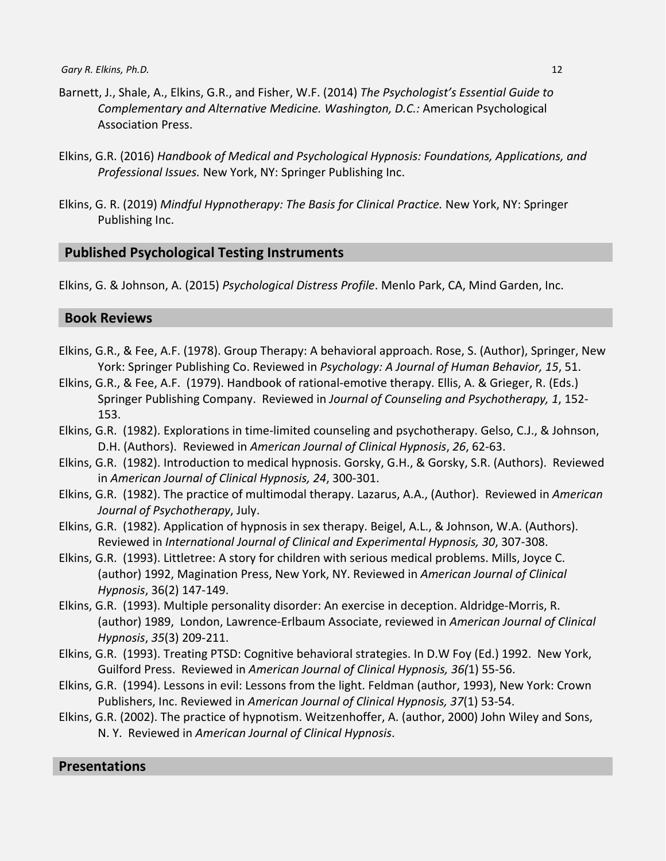- Barnett, J., Shale, A., Elkins, G.R., and Fisher, W.F. (2014) *The Psychologist's Essential Guide to Complementary and Alternative Medicine. Washington, D.C.:* American Psychological Association Press.
- Elkins, G.R. (2016) *Handbook of Medical and Psychological Hypnosis: Foundations, Applications, and Professional Issues.* New York, NY: Springer Publishing Inc.
- Elkins, G. R. (2019) *Mindful Hypnotherapy: The Basis for Clinical Practice.* New York, NY: Springer Publishing Inc.

#### **Published Psychological Testing Instruments**

Elkins, G. & Johnson, A. (2015) *Psychological Distress Profile*. Menlo Park, CA, Mind Garden, Inc.

### **Book Reviews**

- Elkins, G.R., & Fee, A.F. (1978). Group Therapy: A behavioral approach. Rose, S. (Author), Springer, New York: Springer Publishing Co. Reviewed in *Psychology: A Journal of Human Behavior, 15*, 51.
- Elkins, G.R., & Fee, A.F. (1979). Handbook of rational-emotive therapy. Ellis, A. & Grieger, R. (Eds.) Springer Publishing Company. Reviewed in *Journal of Counseling and Psychotherapy, 1*, 152- 153.
- Elkins, G.R. (1982). Explorations in time-limited counseling and psychotherapy. Gelso, C.J., & Johnson, D.H. (Authors). Reviewed in *American Journal of Clinical Hypnosis*, *26*, 62-63.
- Elkins, G.R. (1982). Introduction to medical hypnosis. Gorsky, G.H., & Gorsky, S.R. (Authors). Reviewed in *American Journal of Clinical Hypnosis, 24*, 300-301.
- Elkins, G.R. (1982). The practice of multimodal therapy. Lazarus, A.A., (Author). Reviewed in *American Journal of Psychotherapy*, July.
- Elkins, G.R. (1982). Application of hypnosis in sex therapy. Beigel, A.L., & Johnson, W.A. (Authors). Reviewed in *International Journal of Clinical and Experimental Hypnosis, 30*, 307-308.
- Elkins, G.R. (1993). Littletree: A story for children with serious medical problems. Mills, Joyce C. (author) 1992, Magination Press, New York, NY. Reviewed in *American Journal of Clinical Hypnosis*, 36(2) 147-149.
- Elkins, G.R. (1993). Multiple personality disorder: An exercise in deception. Aldridge-Morris, R. (author) 1989, London, Lawrence-Erlbaum Associate, reviewed in *American Journal of Clinical Hypnosis*, *35*(3) 209-211.
- Elkins, G.R. (1993). Treating PTSD: Cognitive behavioral strategies. In D.W Foy (Ed.) 1992. New York, Guilford Press. Reviewed in *American Journal of Clinical Hypnosis, 36(*1) 55-56.
- Elkins, G.R. (1994). Lessons in evil: Lessons from the light. Feldman (author, 1993), New York: Crown Publishers, Inc. Reviewed in *American Journal of Clinical Hypnosis, 37*(1) 53-54.
- Elkins, G.R. (2002). The practice of hypnotism. Weitzenhoffer, A. (author, 2000) John Wiley and Sons, N. Y. Reviewed in *American Journal of Clinical Hypnosis*.

# **Presentations**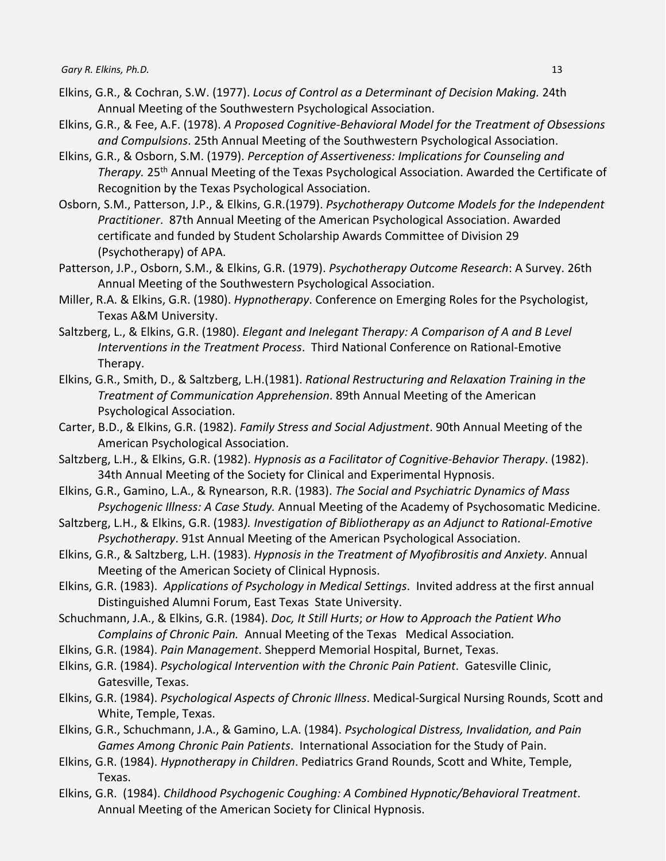- Elkins, G.R., & Cochran, S.W. (1977). *Locus of Control as a Determinant of Decision Making.* 24th Annual Meeting of the Southwestern Psychological Association.
- Elkins, G.R., & Fee, A.F. (1978). *A Proposed Cognitive-Behavioral Model for the Treatment of Obsessions and Compulsions*. 25th Annual Meeting of the Southwestern Psychological Association.
- Elkins, G.R., & Osborn, S.M. (1979). *Perception of Assertiveness: Implications for Counseling and Therapy.* 25th Annual Meeting of the Texas Psychological Association. Awarded the Certificate of Recognition by the Texas Psychological Association.
- Osborn, S.M., Patterson, J.P., & Elkins, G.R.(1979). *Psychotherapy Outcome Models for the Independent Practitioner*. 87th Annual Meeting of the American Psychological Association. Awarded certificate and funded by Student Scholarship Awards Committee of Division 29 (Psychotherapy) of APA.
- Patterson, J.P., Osborn, S.M., & Elkins, G.R. (1979). *Psychotherapy Outcome Research*: A Survey. 26th Annual Meeting of the Southwestern Psychological Association.
- Miller, R.A. & Elkins, G.R. (1980). *Hypnotherapy*. Conference on Emerging Roles for the Psychologist, Texas A&M University.
- Saltzberg, L., & Elkins, G.R. (1980). *Elegant and Inelegant Therapy: A Comparison of A and B Level Interventions in the Treatment Process*. Third National Conference on Rational-Emotive Therapy.
- Elkins, G.R., Smith, D., & Saltzberg, L.H.(1981). *Rational Restructuring and Relaxation Training in the Treatment of Communication Apprehension*. 89th Annual Meeting of the American Psychological Association.
- Carter, B.D., & Elkins, G.R. (1982). *Family Stress and Social Adjustment*. 90th Annual Meeting of the American Psychological Association.
- Saltzberg, L.H., & Elkins, G.R. (1982). *Hypnosis as a Facilitator of Cognitive-Behavior Therapy*. (1982). 34th Annual Meeting of the Society for Clinical and Experimental Hypnosis.
- Elkins, G.R., Gamino, L.A., & Rynearson, R.R. (1983). *The Social and Psychiatric Dynamics of Mass Psychogenic Illness: A Case Study.* Annual Meeting of the Academy of Psychosomatic Medicine.
- Saltzberg, L.H., & Elkins, G.R. (1983*). Investigation of Bibliotherapy as an Adjunct to Rational-Emotive Psychotherapy*. 91st Annual Meeting of the American Psychological Association.
- Elkins, G.R., & Saltzberg, L.H. (1983). *Hypnosis in the Treatment of Myofibrositis and Anxiety*. Annual Meeting of the American Society of Clinical Hypnosis.
- Elkins, G.R. (1983). *Applications of Psychology in Medical Settings*. Invited address at the first annual Distinguished Alumni Forum, East Texas State University.
- Schuchmann, J.A., & Elkins, G.R. (1984). *Doc, It Still Hurts*; *or How to Approach the Patient Who Complains of Chronic Pain.* Annual Meeting of the Texas Medical Association*.*
- Elkins, G.R. (1984). *Pain Management*. Shepperd Memorial Hospital, Burnet, Texas.
- Elkins, G.R. (1984). *Psychological Intervention with the Chronic Pain Patient*. Gatesville Clinic, Gatesville, Texas.
- Elkins, G.R. (1984). *Psychological Aspects of Chronic Illness*. Medical-Surgical Nursing Rounds, Scott and White, Temple, Texas.
- Elkins, G.R., Schuchmann, J.A., & Gamino, L.A. (1984). *Psychological Distress, Invalidation, and Pain Games Among Chronic Pain Patients*. International Association for the Study of Pain.
- Elkins, G.R. (1984). *Hypnotherapy in Children*. Pediatrics Grand Rounds, Scott and White, Temple, Texas.
- Elkins, G.R. (1984). *Childhood Psychogenic Coughing: A Combined Hypnotic/Behavioral Treatment*. Annual Meeting of the American Society for Clinical Hypnosis.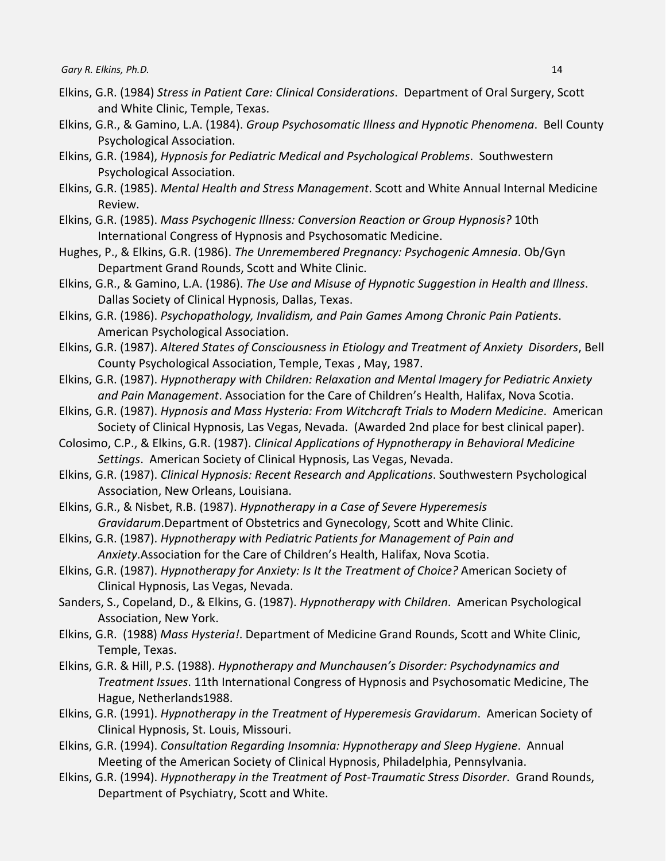- Elkins, G.R. (1984) *Stress in Patient Care: Clinical Considerations*. Department of Oral Surgery, Scott and White Clinic, Temple, Texas.
- Elkins, G.R., & Gamino, L.A. (1984). *Group Psychosomatic Illness and Hypnotic Phenomena*. Bell County Psychological Association.
- Elkins, G.R. (1984), *Hypnosis for Pediatric Medical and Psychological Problems*. Southwestern Psychological Association.
- Elkins, G.R. (1985). *Mental Health and Stress Management*. Scott and White Annual Internal Medicine Review.
- Elkins, G.R. (1985). *Mass Psychogenic Illness: Conversion Reaction or Group Hypnosis?* 10th International Congress of Hypnosis and Psychosomatic Medicine.
- Hughes, P., & Elkins, G.R. (1986). *The Unremembered Pregnancy: Psychogenic Amnesia*. Ob/Gyn Department Grand Rounds, Scott and White Clinic.
- Elkins, G.R., & Gamino, L.A. (1986). *The Use and Misuse of Hypnotic Suggestion in Health and Illness*. Dallas Society of Clinical Hypnosis, Dallas, Texas.
- Elkins, G.R. (1986). *Psychopathology, Invalidism, and Pain Games Among Chronic Pain Patients*. American Psychological Association.
- Elkins, G.R. (1987). *Altered States of Consciousness in Etiology and Treatment of Anxiety Disorders*, Bell County Psychological Association, Temple, Texas , May, 1987.
- Elkins, G.R. (1987). *Hypnotherapy with Children: Relaxation and Mental Imagery for Pediatric Anxiety and Pain Management*. Association for the Care of Children's Health, Halifax, Nova Scotia.
- Elkins, G.R. (1987). *Hypnosis and Mass Hysteria: From Witchcraft Trials to Modern Medicine*. American Society of Clinical Hypnosis, Las Vegas, Nevada. (Awarded 2nd place for best clinical paper).
- Colosimo, C.P., & Elkins, G.R. (1987). *Clinical Applications of Hypnotherapy in Behavioral Medicine Settings*. American Society of Clinical Hypnosis, Las Vegas, Nevada.
- Elkins, G.R. (1987). *Clinical Hypnosis: Recent Research and Applications*. Southwestern Psychological Association, New Orleans, Louisiana.
- Elkins, G.R., & Nisbet, R.B. (1987). *Hypnotherapy in a Case of Severe Hyperemesis Gravidarum*.Department of Obstetrics and Gynecology, Scott and White Clinic.
- Elkins, G.R. (1987). *Hypnotherapy with Pediatric Patients for Management of Pain and Anxiety*.Association for the Care of Children's Health, Halifax, Nova Scotia.
- Elkins, G.R. (1987). *Hypnotherapy for Anxiety: Is It the Treatment of Choice?* American Society of Clinical Hypnosis, Las Vegas, Nevada.
- Sanders, S., Copeland, D., & Elkins, G. (1987). *Hypnotherapy with Children*. American Psychological Association, New York.
- Elkins, G.R. (1988) *Mass Hysteria!*. Department of Medicine Grand Rounds, Scott and White Clinic, Temple, Texas.
- Elkins, G.R. & Hill, P.S. (1988). *Hypnotherapy and Munchausen's Disorder: Psychodynamics and Treatment Issues*. 11th International Congress of Hypnosis and Psychosomatic Medicine, The Hague, Netherlands1988.
- Elkins, G.R. (1991). *Hypnotherapy in the Treatment of Hyperemesis Gravidarum*. American Society of Clinical Hypnosis, St. Louis, Missouri.
- Elkins, G.R. (1994). *Consultation Regarding Insomnia: Hypnotherapy and Sleep Hygiene*. Annual Meeting of the American Society of Clinical Hypnosis, Philadelphia, Pennsylvania.
- Elkins, G.R. (1994). *Hypnotherapy in the Treatment of Post-Traumatic Stress Disorder*. Grand Rounds, Department of Psychiatry, Scott and White.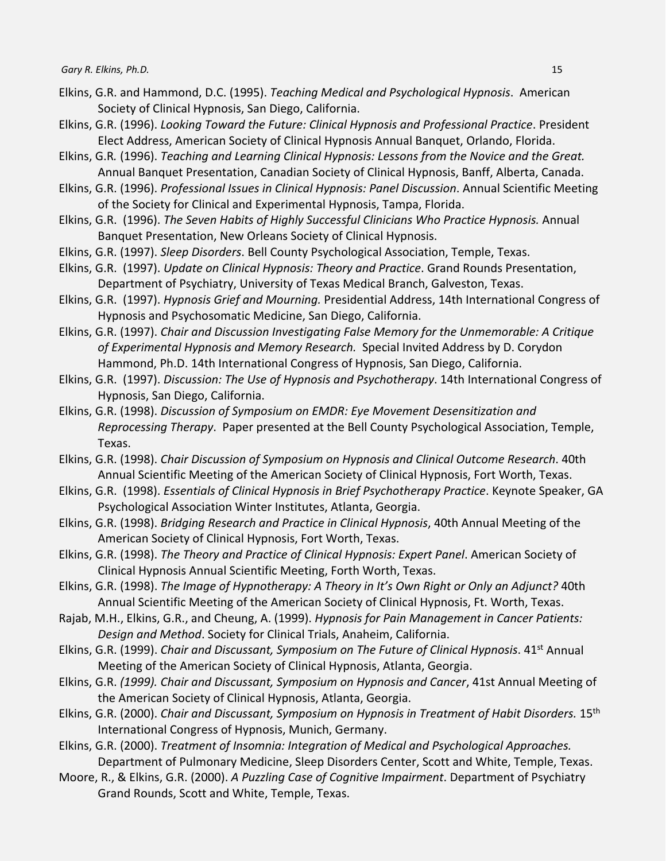- Elkins, G.R. and Hammond, D.C. (1995). *Teaching Medical and Psychological Hypnosis*. American Society of Clinical Hypnosis, San Diego, California.
- Elkins, G.R. (1996). *Looking Toward the Future: Clinical Hypnosis and Professional Practice*. President Elect Address, American Society of Clinical Hypnosis Annual Banquet, Orlando, Florida.
- Elkins, G.R*.* (1996). *Teaching and Learning Clinical Hypnosis: Lessons from the Novice and the Great.* Annual Banquet Presentation, Canadian Society of Clinical Hypnosis, Banff, Alberta, Canada.
- Elkins, G.R. (1996). *Professional Issues in Clinical Hypnosis: Panel Discussion*. Annual Scientific Meeting of the Society for Clinical and Experimental Hypnosis, Tampa, Florida.
- Elkins, G.R. (1996). *The Seven Habits of Highly Successful Clinicians Who Practice Hypnosis.* Annual Banquet Presentation, New Orleans Society of Clinical Hypnosis.
- Elkins, G.R. (1997). *Sleep Disorders*. Bell County Psychological Association, Temple, Texas.
- Elkins, G.R. (1997). *Update on Clinical Hypnosis: Theory and Practice*. Grand Rounds Presentation, Department of Psychiatry, University of Texas Medical Branch, Galveston, Texas.
- Elkins, G.R. (1997). *Hypnosis Grief and Mourning.* Presidential Address, 14th International Congress of Hypnosis and Psychosomatic Medicine, San Diego, California.
- Elkins, G.R. (1997). *Chair and Discussion Investigating False Memory for the Unmemorable: A Critique of Experimental Hypnosis and Memory Research.* Special Invited Address by D. Corydon Hammond, Ph.D. 14th International Congress of Hypnosis, San Diego, California.
- Elkins, G.R. (1997). *Discussion: The Use of Hypnosis and Psychotherapy*. 14th International Congress of Hypnosis, San Diego, California.
- Elkins, G.R. (1998). *Discussion of Symposium on EMDR: Eye Movement Desensitization and Reprocessing Therapy*. Paper presented at the Bell County Psychological Association, Temple, Texas.
- Elkins, G.R. (1998). *Chair Discussion of Symposium on Hypnosis and Clinical Outcome Research*. 40th Annual Scientific Meeting of the American Society of Clinical Hypnosis, Fort Worth, Texas.
- Elkins, G.R. (1998). *Essentials of Clinical Hypnosis in Brief Psychotherapy Practice*. Keynote Speaker, GA Psychological Association Winter Institutes, Atlanta, Georgia.
- Elkins, G.R. (1998). *Bridging Research and Practice in Clinical Hypnosis*, 40th Annual Meeting of the American Society of Clinical Hypnosis, Fort Worth, Texas.
- Elkins, G.R. (1998). *The Theory and Practice of Clinical Hypnosis: Expert Panel*. American Society of Clinical Hypnosis Annual Scientific Meeting, Forth Worth, Texas.
- Elkins, G.R. (1998). *The Image of Hypnotherapy: A Theory in It's Own Right or Only an Adjunct?* 40th Annual Scientific Meeting of the American Society of Clinical Hypnosis, Ft. Worth, Texas.
- Rajab, M.H., Elkins, G.R., and Cheung, A. (1999). *Hypnosis for Pain Management in Cancer Patients: Design and Method*. Society for Clinical Trials, Anaheim, California.
- Elkins, G.R. (1999). *Chair and Discussant, Symposium on The Future of Clinical Hypnosis*. 41st Annual Meeting of the American Society of Clinical Hypnosis, Atlanta, Georgia.
- Elkins, G.R. *(1999). Chair and Discussant, Symposium on Hypnosis and Cancer*, 41st Annual Meeting of the American Society of Clinical Hypnosis, Atlanta, Georgia.
- Elkins, G.R. (2000). *Chair and Discussant, Symposium on Hypnosis in Treatment of Habit Disorders.* 15th International Congress of Hypnosis, Munich, Germany.
- Elkins, G.R. (2000). *Treatment of Insomnia: Integration of Medical and Psychological Approaches.*  Department of Pulmonary Medicine, Sleep Disorders Center, Scott and White, Temple, Texas.
- Moore, R., & Elkins, G.R. (2000). *A Puzzling Case of Cognitive Impairment*. Department of Psychiatry Grand Rounds, Scott and White, Temple, Texas.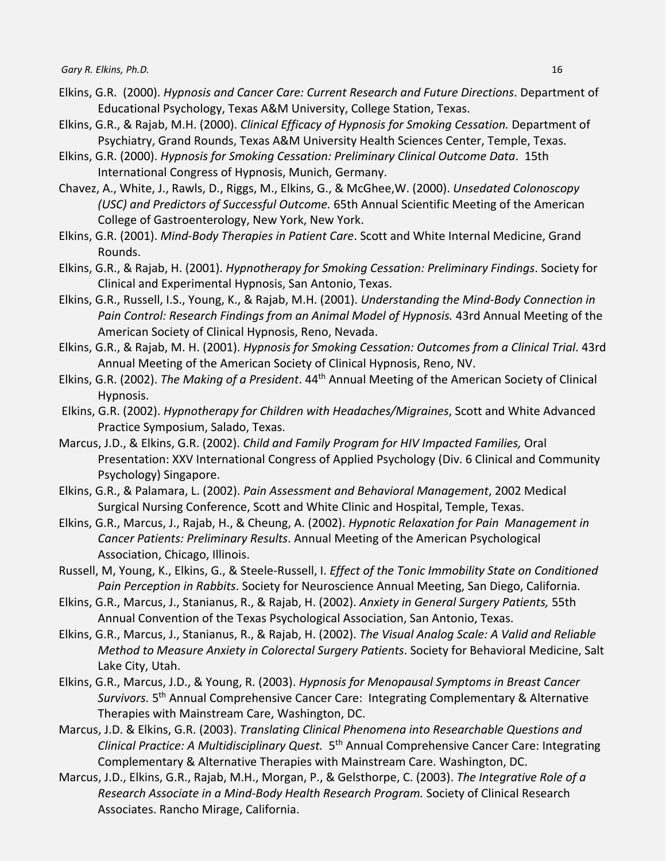- Elkins, G.R. (2000). *Hypnosis and Cancer Care: Current Research and Future Directions*. Department of Educational Psychology, Texas A&M University, College Station, Texas.
- Elkins, G.R., & Rajab, M.H. (2000). *Clinical Efficacy of Hypnosis for Smoking Cessation.* Department of Psychiatry, Grand Rounds, Texas A&M University Health Sciences Center, Temple, Texas.
- Elkins, G.R. (2000). *Hypnosis for Smoking Cessation: Preliminary Clinical Outcome Data*. 15th International Congress of Hypnosis, Munich, Germany.
- Chavez, A., White, J., Rawls, D., Riggs, M., Elkins, G., & McGhee,W. (2000). *Unsedated Colonoscopy (USC) and Predictors of Successful Outcome.* 65th Annual Scientific Meeting of the American College of Gastroenterology, New York, New York.
- Elkins, G.R. (2001). *Mind-Body Therapies in Patient Care*. Scott and White Internal Medicine, Grand Rounds.
- Elkins, G.R., & Rajab, H. (2001). *Hypnotherapy for Smoking Cessation: Preliminary Findings*. Society for Clinical and Experimental Hypnosis, San Antonio, Texas.
- Elkins, G.R., Russell, I.S., Young, K., & Rajab, M.H. (2001). *Understanding the Mind-Body Connection in*  Pain Control: Research Findings from an Animal Model of Hypnosis. 43rd Annual Meeting of the American Society of Clinical Hypnosis, Reno, Nevada.
- Elkins, G.R., & Rajab, M. H. (2001). *Hypnosis for Smoking Cessation: Outcomes from a Clinical Trial*. 43rd Annual Meeting of the American Society of Clinical Hypnosis, Reno, NV.
- Elkins, G.R. (2002). *The Making of a President*. 44th Annual Meeting of the American Society of Clinical Hypnosis.
- Elkins, G.R. (2002). *Hypnotherapy for Children with Headaches/Migraines*, Scott and White Advanced Practice Symposium, Salado, Texas.
- Marcus, J.D., & Elkins, G.R. (2002). *Child and Family Program for HIV Impacted Families,* Oral Presentation: XXV International Congress of Applied Psychology (Div. 6 Clinical and Community Psychology) Singapore.
- Elkins, G.R., & Palamara, L. (2002). *Pain Assessment and Behavioral Management*, 2002 Medical Surgical Nursing Conference, Scott and White Clinic and Hospital, Temple, Texas.
- Elkins, G.R., Marcus, J., Rajab, H., & Cheung, A. (2002). *Hypnotic Relaxation for Pain Management in Cancer Patients: Preliminary Results*. Annual Meeting of the American Psychological Association, Chicago, Illinois.
- Russell, M, Young, K., Elkins, G., & Steele-Russell, I. *Effect of the Tonic Immobility State on Conditioned Pain Perception in Rabbits*. Society for Neuroscience Annual Meeting, San Diego, California.
- Elkins, G.R., Marcus, J., Stanianus, R., & Rajab, H. (2002). *Anxiety in General Surgery Patients,* 55th Annual Convention of the Texas Psychological Association, San Antonio, Texas.
- Elkins, G.R., Marcus, J., Stanianus, R., & Rajab, H. (2002). *The Visual Analog Scale: A Valid and Reliable Method to Measure Anxiety in Colorectal Surgery Patients*. Society for Behavioral Medicine, Salt Lake City, Utah.
- Elkins, G.R., Marcus, J.D., & Young, R. (2003). *Hypnosis for Menopausal Symptoms in Breast Cancer Survivors.* 5th Annual Comprehensive Cancer Care: Integrating Complementary & Alternative Therapies with Mainstream Care, Washington, DC.
- Marcus, J.D. & Elkins, G.R. (2003). *Translating Clinical Phenomena into Researchable Questions and Clinical Practice: A Multidisciplinary Quest.* 5th Annual Comprehensive Cancer Care: Integrating Complementary & Alternative Therapies with Mainstream Care. Washington, DC.
- Marcus, J.D., Elkins, G.R., Rajab, M.H., Morgan, P., & Gelsthorpe, C. (2003). *The Integrative Role of a Research Associate in a Mind-Body Health Research Program.* Society of Clinical Research Associates. Rancho Mirage, California.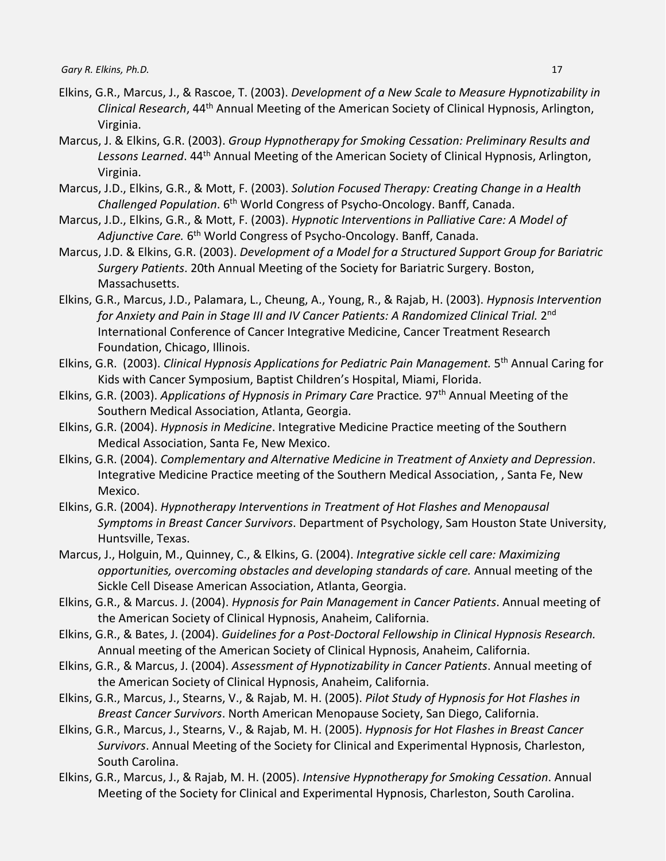- Elkins, G.R., Marcus, J., & Rascoe, T. (2003). *Development of a New Scale to Measure Hypnotizability in Clinical Research*, 44th Annual Meeting of the American Society of Clinical Hypnosis, Arlington, Virginia.
- Marcus, J. & Elkins, G.R. (2003). *Group Hypnotherapy for Smoking Cessation: Preliminary Results and*  Lessons Learned. 44<sup>th</sup> Annual Meeting of the American Society of Clinical Hypnosis, Arlington, Virginia.
- Marcus, J.D., Elkins, G.R., & Mott, F. (2003). *Solution Focused Therapy: Creating Change in a Health Challenged Population*. 6th World Congress of Psycho-Oncology. Banff, Canada.
- Marcus, J.D., Elkins, G.R., & Mott, F. (2003). *Hypnotic Interventions in Palliative Care: A Model of Adjunctive Care.* 6th World Congress of Psycho-Oncology. Banff, Canada.
- Marcus, J.D. & Elkins, G.R. (2003). *Development of a Model for a Structured Support Group for Bariatric Surgery Patients*. 20th Annual Meeting of the Society for Bariatric Surgery. Boston, Massachusetts.
- Elkins, G.R., Marcus, J.D., Palamara, L., Cheung, A., Young, R., & Rajab, H. (2003). *Hypnosis Intervention*  for Anxiety and Pain in Stage III and IV Cancer Patients: A Randomized Clinical Trial. 2<sup>nd</sup> International Conference of Cancer Integrative Medicine, Cancer Treatment Research Foundation, Chicago, Illinois.
- Elkins, G.R. (2003). *Clinical Hypnosis Applications for Pediatric Pain Management.* 5th Annual Caring for Kids with Cancer Symposium, Baptist Children's Hospital, Miami, Florida.
- Elkins, G.R. (2003). *Applications of Hypnosis in Primary Care* Practice*.* 97th Annual Meeting of the Southern Medical Association, Atlanta, Georgia.
- Elkins, G.R. (2004). *Hypnosis in Medicine*. Integrative Medicine Practice meeting of the Southern Medical Association, Santa Fe, New Mexico.
- Elkins, G.R. (2004). *Complementary and Alternative Medicine in Treatment of Anxiety and Depression*. Integrative Medicine Practice meeting of the Southern Medical Association, , Santa Fe, New Mexico.
- Elkins, G.R. (2004). *Hypnotherapy Interventions in Treatment of Hot Flashes and Menopausal Symptoms in Breast Cancer Survivors*. Department of Psychology, Sam Houston State University, Huntsville, Texas.
- Marcus, J., Holguin, M., Quinney, C., & Elkins, G. (2004). *Integrative sickle cell care: Maximizing opportunities, overcoming obstacles and developing standards of care.* Annual meeting of the Sickle Cell Disease American Association, Atlanta, Georgia.
- Elkins, G.R., & Marcus. J. (2004). *Hypnosis for Pain Management in Cancer Patients*. Annual meeting of the American Society of Clinical Hypnosis, Anaheim, California.
- Elkins, G.R., & Bates, J. (2004). *Guidelines for a Post-Doctoral Fellowship in Clinical Hypnosis Research.* Annual meeting of the American Society of Clinical Hypnosis, Anaheim, California.
- Elkins, G.R., & Marcus, J. (2004). *Assessment of Hypnotizability in Cancer Patients*. Annual meeting of the American Society of Clinical Hypnosis, Anaheim, California.
- Elkins, G.R., Marcus, J., Stearns, V., & Rajab, M. H. (2005). *Pilot Study of Hypnosis for Hot Flashes in Breast Cancer Survivors*. North American Menopause Society, San Diego, California.
- Elkins, G.R., Marcus, J., Stearns, V., & Rajab, M. H. (2005). *Hypnosis for Hot Flashes in Breast Cancer Survivors*. Annual Meeting of the Society for Clinical and Experimental Hypnosis, Charleston, South Carolina.
- Elkins, G.R., Marcus, J., & Rajab, M. H. (2005). *Intensive Hypnotherapy for Smoking Cessation*. Annual Meeting of the Society for Clinical and Experimental Hypnosis, Charleston, South Carolina.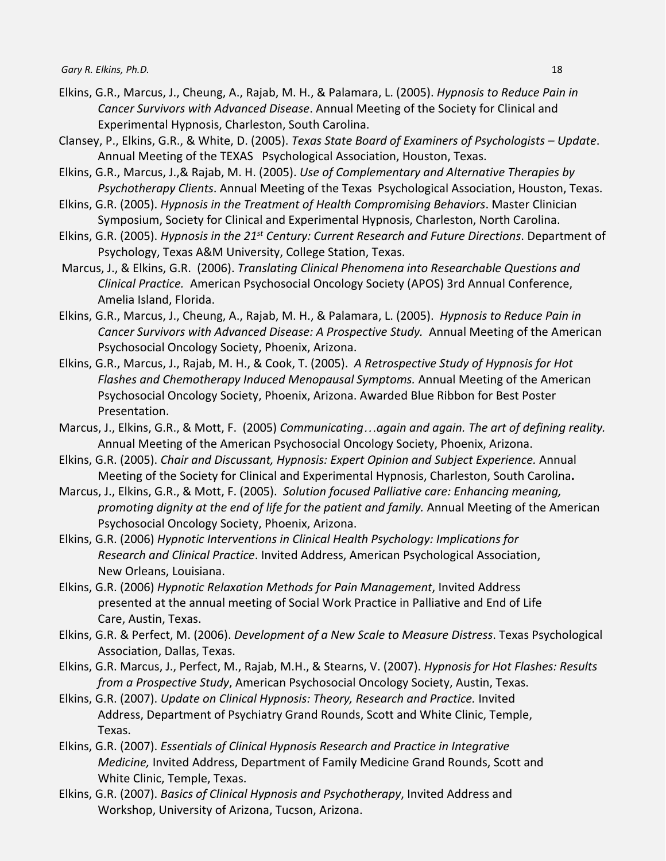- Elkins, G.R., Marcus, J., Cheung, A., Rajab, M. H., & Palamara, L. (2005). *Hypnosis to Reduce Pain in Cancer Survivors with Advanced Disease*. Annual Meeting of the Society for Clinical and Experimental Hypnosis, Charleston, South Carolina.
- Clansey, P., Elkins, G.R., & White, D. (2005). *Texas State Board of Examiners of Psychologists – Update*. Annual Meeting of the TEXAS Psychological Association, Houston, Texas.
- Elkins, G.R., Marcus, J.,& Rajab, M. H. (2005). *Use of Complementary and Alternative Therapies by Psychotherapy Clients*. Annual Meeting of the Texas Psychological Association, Houston, Texas.
- Elkins, G.R. (2005). *Hypnosis in the Treatment of Health Compromising Behaviors*. Master Clinician Symposium, Society for Clinical and Experimental Hypnosis, Charleston, North Carolina.
- Elkins, G.R. (2005). *Hypnosis in the 21st Century: Current Research and Future Directions*. Department of Psychology, Texas A&M University, College Station, Texas.
- Marcus, J., & Elkins, G.R. (2006). *Translating Clinical Phenomena into Researchable Questions and Clinical Practice.* American Psychosocial Oncology Society (APOS) 3rd Annual Conference, Amelia Island, Florida.
- Elkins, G.R., Marcus, J., Cheung, A., Rajab, M. H., & Palamara, L. (2005). *Hypnosis to Reduce Pain in Cancer Survivors with Advanced Disease: A Prospective Study.* Annual Meeting of the American Psychosocial Oncology Society, Phoenix, Arizona.
- Elkins, G.R., Marcus, J., Rajab, M. H., & Cook, T. (2005). *A Retrospective Study of Hypnosis for Hot Flashes and Chemotherapy Induced Menopausal Symptoms.* Annual Meeting of the American Psychosocial Oncology Society, Phoenix, Arizona. Awarded Blue Ribbon for Best Poster Presentation.
- Marcus, J., Elkins, G.R., & Mott, F. (2005) *Communicating*…*again and again. The art of defining reality.* Annual Meeting of the American Psychosocial Oncology Society, Phoenix, Arizona.
- Elkins, G.R. (2005). *Chair and Discussant, Hypnosis: Expert Opinion and Subject Experience.* Annual Meeting of the Society for Clinical and Experimental Hypnosis, Charleston, South Carolina**.**
- Marcus, J., Elkins, G.R., & Mott, F. (2005). *Solution focused Palliative care: Enhancing meaning, promoting dignity at the end of life for the patient and family.* Annual Meeting of the American Psychosocial Oncology Society, Phoenix, Arizona.
- Elkins, G.R. (2006) *Hypnotic Interventions in Clinical Health Psychology: Implications for Research and Clinical Practice*. Invited Address, American Psychological Association, New Orleans, Louisiana.
- Elkins, G.R. (2006) *Hypnotic Relaxation Methods for Pain Management*, Invited Address presented at the annual meeting of Social Work Practice in Palliative and End of Life Care, Austin, Texas.
- Elkins, G.R. & Perfect, M. (2006). *Development of a New Scale to Measure Distress*. Texas Psychological Association, Dallas, Texas.
- Elkins, G.R. Marcus, J., Perfect, M., Rajab, M.H., & Stearns, V. (2007). *Hypnosis for Hot Flashes: Results from a Prospective Study*, American Psychosocial Oncology Society, Austin, Texas.
- Elkins, G.R. (2007). *Update on Clinical Hypnosis: Theory, Research and Practice.* Invited Address, Department of Psychiatry Grand Rounds, Scott and White Clinic, Temple, Texas.
- Elkins, G.R. (2007). *Essentials of Clinical Hypnosis Research and Practice in Integrative Medicine,* Invited Address, Department of Family Medicine Grand Rounds, Scott and White Clinic, Temple, Texas.
- Elkins, G.R. (2007). *Basics of Clinical Hypnosis and Psychotherapy*, Invited Address and Workshop, University of Arizona, Tucson, Arizona.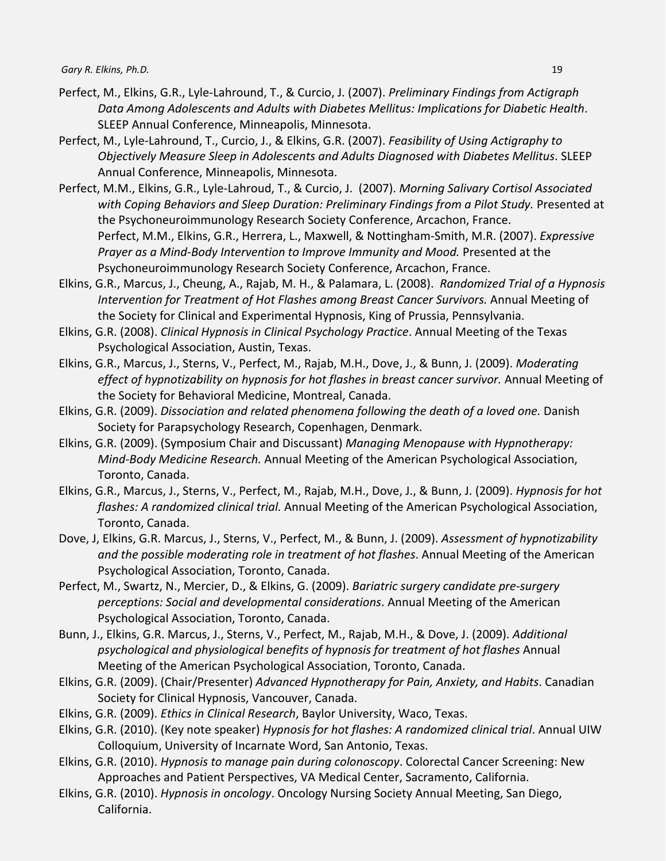- Perfect, M., Elkins, G.R., Lyle-Lahround, T., & Curcio, J. (2007). *Preliminary Findings from Actigraph Data Among Adolescents and Adults with Diabetes Mellitus: Implications for Diabetic Health*. SLEEP Annual Conference, Minneapolis, Minnesota.
- Perfect, M., Lyle-Lahround, T., Curcio, J., & Elkins, G.R. (2007). *Feasibility of Using Actigraphy to Objectively Measure Sleep in Adolescents and Adults Diagnosed with Diabetes Mellitus*. SLEEP Annual Conference, Minneapolis, Minnesota.
- Perfect, M.M., Elkins, G.R., Lyle-Lahroud, T., & Curcio, J. (2007). *Morning Salivary Cortisol Associated with Coping Behaviors and Sleep Duration: Preliminary Findings from a Pilot Study.* Presented at the Psychoneuroimmunology Research Society Conference, Arcachon, France. Perfect, M.M., Elkins, G.R., Herrera, L., Maxwell, & Nottingham-Smith, M.R. (2007). *Expressive Prayer as a Mind-Body Intervention to Improve Immunity and Mood.* Presented at the Psychoneuroimmunology Research Society Conference, Arcachon, France.
- Elkins, G.R., Marcus, J., Cheung, A., Rajab, M. H., & Palamara, L. (2008). *Randomized Trial of a Hypnosis Intervention for Treatment of Hot Flashes among Breast Cancer Survivors.* Annual Meeting of the Society for Clinical and Experimental Hypnosis, King of Prussia, Pennsylvania.
- Elkins, G.R. (2008). *Clinical Hypnosis in Clinical Psychology Practice*. Annual Meeting of the Texas Psychological Association, Austin, Texas.
- Elkins, G.R., Marcus, J., Sterns, V., Perfect, M., Rajab, M.H., Dove, J., & Bunn, J. (2009). *Moderating effect of hypnotizability on hypnosis for hot flashes in breast cancer survivor.* Annual Meeting of the Society for Behavioral Medicine, Montreal, Canada.
- Elkins, G.R. (2009). *Dissociation and related phenomena following the death of a loved one.* Danish Society for Parapsychology Research, Copenhagen, Denmark.
- Elkins, G.R. (2009). (Symposium Chair and Discussant) *Managing Menopause with Hypnotherapy: Mind-Body Medicine Research.* Annual Meeting of the American Psychological Association, Toronto, Canada.
- Elkins, G.R., Marcus, J., Sterns, V., Perfect, M., Rajab, M.H., Dove, J., & Bunn, J. (2009). *Hypnosis for hot flashes: A randomized clinical trial.* Annual Meeting of the American Psychological Association, Toronto, Canada.
- Dove, J, Elkins, G.R. Marcus, J., Sterns, V., Perfect, M., & Bunn, J. (2009). *Assessment of hypnotizability and the possible moderating role in treatment of hot flashes*. Annual Meeting of the American Psychological Association, Toronto, Canada.
- Perfect, M., Swartz, N., Mercier, D., & Elkins, G. (2009). *Bariatric surgery candidate pre-surgery perceptions: Social and developmental considerations*. Annual Meeting of the American Psychological Association, Toronto, Canada.
- Bunn, J., Elkins, G.R. Marcus, J., Sterns, V., Perfect, M., Rajab, M.H., & Dove, J. (2009). *Additional psychological and physiological benefits of hypnosis for treatment of hot flashes* Annual Meeting of the American Psychological Association, Toronto, Canada.
- Elkins, G.R. (2009). (Chair/Presenter) *Advanced Hypnotherapy for Pain, Anxiety, and Habits*. Canadian Society for Clinical Hypnosis, Vancouver, Canada.
- Elkins, G.R. (2009). *Ethics in Clinical Research*, Baylor University, Waco, Texas.
- Elkins, G.R. (2010). (Key note speaker) *Hypnosis for hot flashes: A randomized clinical trial*. Annual UIW Colloquium, University of Incarnate Word, San Antonio, Texas.
- Elkins, G.R. (2010). *Hypnosis to manage pain during colonoscopy*. Colorectal Cancer Screening: New Approaches and Patient Perspectives, VA Medical Center, Sacramento, California.
- Elkins, G.R. (2010). *Hypnosis in oncology*. Oncology Nursing Society Annual Meeting, San Diego, California.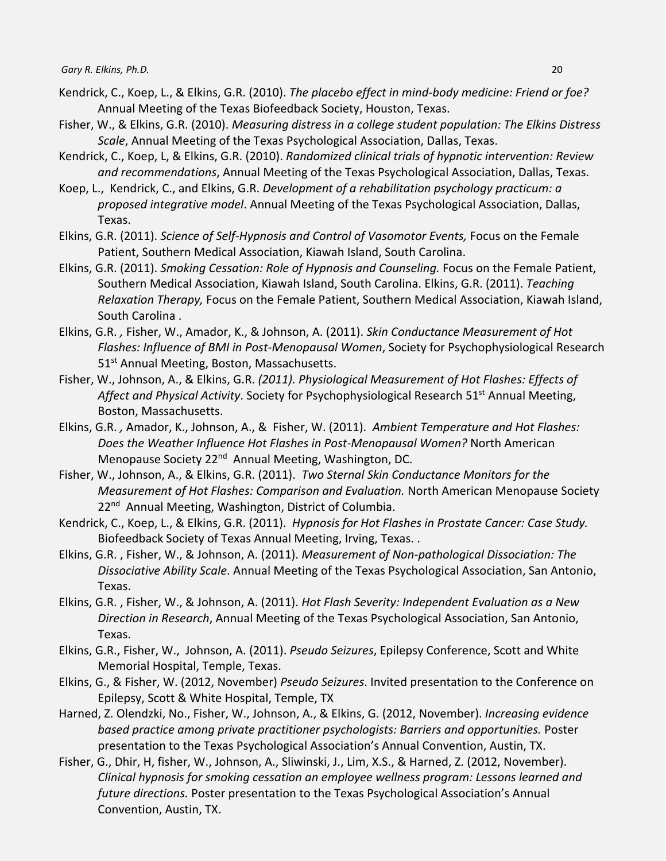- Kendrick, C., Koep, L., & Elkins, G.R. (2010). *The placebo effect in mind-body medicine: Friend or foe?* Annual Meeting of the Texas Biofeedback Society, Houston, Texas.
- Fisher, W., & Elkins, G.R. (2010). *Measuring distress in a college student population: The Elkins Distress Scale*, Annual Meeting of the Texas Psychological Association, Dallas, Texas.
- Kendrick, C., Koep, L, & Elkins, G.R. (2010). *Randomized clinical trials of hypnotic intervention: Review and recommendations*, Annual Meeting of the Texas Psychological Association, Dallas, Texas.
- Koep, L., Kendrick, C., and Elkins, G.R. *Development of a rehabilitation psychology practicum: a proposed integrative model*. Annual Meeting of the Texas Psychological Association, Dallas, Texas.
- Elkins, G.R. (2011). *Science of Self-Hypnosis and Control of Vasomotor Events,* Focus on the Female Patient, Southern Medical Association, Kiawah Island, South Carolina.
- Elkins, G.R. (2011). *Smoking Cessation: Role of Hypnosis and Counseling.* Focus on the Female Patient, Southern Medical Association, Kiawah Island, South Carolina. Elkins, G.R. (2011). *Teaching Relaxation Therapy,* Focus on the Female Patient, Southern Medical Association, Kiawah Island, South Carolina .
- Elkins, G.R. *,* Fisher, W., Amador, K., & Johnson, A. (2011). *Skin Conductance Measurement of Hot Flashes: Influence of BMI in Post-Menopausal Women*, Society for Psychophysiological Research 51<sup>st</sup> Annual Meeting, Boston, Massachusetts.
- Fisher, W., Johnson, A., & Elkins, G.R. *(2011). Physiological Measurement of Hot Flashes: Effects of*  Affect and Physical Activity. Society for Psychophysiological Research 51<sup>st</sup> Annual Meeting, Boston, Massachusetts.
- Elkins, G.R. *,* Amador, K., Johnson, A., & Fisher, W. (2011). *Ambient Temperature and Hot Flashes: Does the Weather Influence Hot Flashes in Post-Menopausal Women?* North American Menopause Society 22<sup>nd</sup> Annual Meeting, Washington, DC.
- Fisher, W., Johnson, A., & Elkins, G.R. (2011). *Two Sternal Skin Conductance Monitors for the Measurement of Hot Flashes: Comparison and Evaluation.* North American Menopause Society 22<sup>nd</sup> Annual Meeting, Washington, District of Columbia.
- Kendrick, C., Koep, L., & Elkins, G.R. (2011). *Hypnosis for Hot Flashes in Prostate Cancer: Case Study.* Biofeedback Society of Texas Annual Meeting, Irving, Texas. .
- Elkins, G.R. , Fisher, W., & Johnson, A. (2011). *Measurement of Non-pathological Dissociation: The Dissociative Ability Scale*. Annual Meeting of the Texas Psychological Association, San Antonio, Texas.
- Elkins, G.R. , Fisher, W., & Johnson, A. (2011). *Hot Flash Severity: Independent Evaluation as a New Direction in Research*, Annual Meeting of the Texas Psychological Association, San Antonio, Texas.
- Elkins, G.R., Fisher, W., Johnson, A. (2011). *Pseudo Seizures*, Epilepsy Conference, Scott and White Memorial Hospital, Temple, Texas.
- Elkins, G., & Fisher, W. (2012, November) *Pseudo Seizures*. Invited presentation to the Conference on Epilepsy, Scott & White Hospital, Temple, TX
- Harned, Z. Olendzki, No., Fisher, W., Johnson, A., & Elkins, G. (2012, November). *Increasing evidence based practice among private practitioner psychologists: Barriers and opportunities.* Poster presentation to the Texas Psychological Association's Annual Convention, Austin, TX.
- Fisher, G., Dhir, H, fisher, W., Johnson, A., Sliwinski, J., Lim, X.S., & Harned, Z. (2012, November). *Clinical hypnosis for smoking cessation an employee wellness program: Lessons learned and future directions.* Poster presentation to the Texas Psychological Association's Annual Convention, Austin, TX.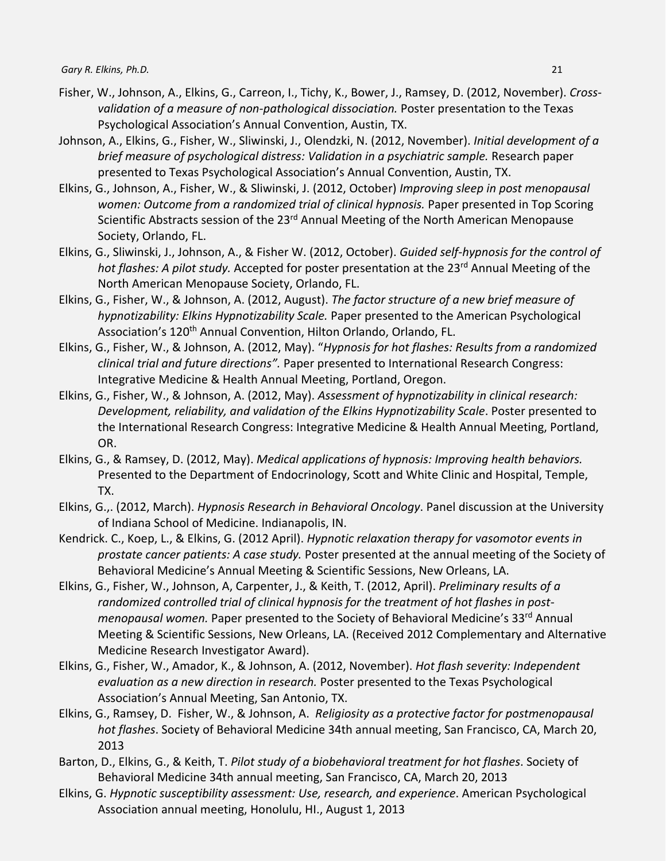- Fisher, W., Johnson, A., Elkins, G., Carreon, I., Tichy, K., Bower, J., Ramsey, D. (2012, November). *Crossvalidation of a measure of non-pathological dissociation.* Poster presentation to the Texas Psychological Association's Annual Convention, Austin, TX.
- Johnson, A., Elkins, G., Fisher, W., Sliwinski, J., Olendzki, N. (2012, November). *Initial development of a brief measure of psychological distress: Validation in a psychiatric sample.* Research paper presented to Texas Psychological Association's Annual Convention, Austin, TX.
- Elkins, G., Johnson, A., Fisher, W., & Sliwinski, J. (2012, October) *Improving sleep in post menopausal women: Outcome from a randomized trial of clinical hypnosis.* Paper presented in Top Scoring Scientific Abstracts session of the 23<sup>rd</sup> Annual Meeting of the North American Menopause Society, Orlando, FL.
- Elkins, G., Sliwinski, J., Johnson, A., & Fisher W. (2012, October). *Guided self-hypnosis for the control of*  hot flashes: A pilot study. Accepted for poster presentation at the 23<sup>rd</sup> Annual Meeting of the North American Menopause Society, Orlando, FL.
- Elkins, G., Fisher, W., & Johnson, A. (2012, August). *The factor structure of a new brief measure of hypnotizability: Elkins Hypnotizability Scale.* Paper presented to the American Psychological Association's 120<sup>th</sup> Annual Convention, Hilton Orlando, Orlando, FL.
- Elkins, G., Fisher, W., & Johnson, A. (2012, May). "*Hypnosis for hot flashes: Results from a randomized clinical trial and future directions".* Paper presented to International Research Congress: Integrative Medicine & Health Annual Meeting, Portland, Oregon.
- Elkins, G., Fisher, W., & Johnson, A. (2012, May). *Assessment of hypnotizability in clinical research: Development, reliability, and validation of the Elkins Hypnotizability Scale*. Poster presented to the International Research Congress: Integrative Medicine & Health Annual Meeting, Portland, OR.
- Elkins, G., & Ramsey, D. (2012, May). *Medical applications of hypnosis: Improving health behaviors.*  Presented to the Department of Endocrinology, Scott and White Clinic and Hospital, Temple, TX.
- Elkins, G.,. (2012, March). *Hypnosis Research in Behavioral Oncology*. Panel discussion at the University of Indiana School of Medicine. Indianapolis, IN.
- Kendrick. C., Koep, L., & Elkins, G. (2012 April). *Hypnotic relaxation therapy for vasomotor events in prostate cancer patients: A case study.* Poster presented at the annual meeting of the Society of Behavioral Medicine's Annual Meeting & Scientific Sessions, New Orleans, LA.
- Elkins, G., Fisher, W., Johnson, A, Carpenter, J., & Keith, T. (2012, April). *Preliminary results of a randomized controlled trial of clinical hypnosis for the treatment of hot flashes in postmenopausal women.* Paper presented to the Society of Behavioral Medicine's 33<sup>rd</sup> Annual Meeting & Scientific Sessions, New Orleans, LA. (Received 2012 Complementary and Alternative Medicine Research Investigator Award).
- Elkins, G., Fisher, W., Amador, K., & Johnson, A. (2012, November). *Hot flash severity: Independent evaluation as a new direction in research.* Poster presented to the Texas Psychological Association's Annual Meeting, San Antonio, TX.
- Elkins, G., Ramsey, D. Fisher, W., & Johnson, A. *Religiosity as a protective factor for postmenopausal hot flashes*. Society of Behavioral Medicine 34th annual meeting, San Francisco, CA, March 20, 2013
- Barton, D., Elkins, G., & Keith, T. *Pilot study of a biobehavioral treatment for hot flashes*. Society of Behavioral Medicine 34th annual meeting, San Francisco, CA, March 20, 2013
- Elkins, G. *Hypnotic susceptibility assessment: Use, research, and experience*. American Psychological Association annual meeting, Honolulu, HI., August 1, 2013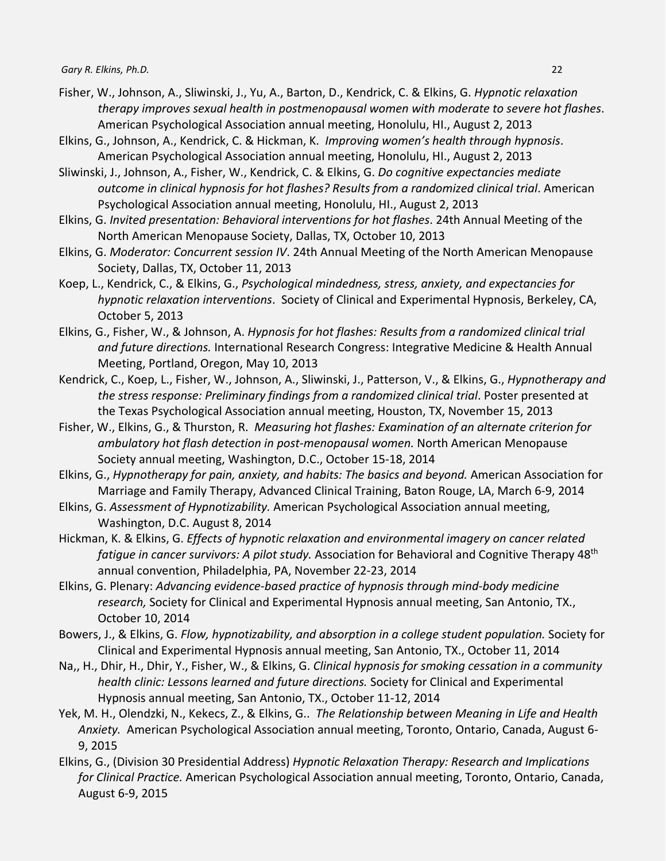- Fisher, W., Johnson, A., Sliwinski, J., Yu, A., Barton, D., Kendrick, C. & Elkins, G. *Hypnotic relaxation therapy improves sexual health in postmenopausal women with moderate to severe hot flashes*. American Psychological Association annual meeting, Honolulu, HI., August 2, 2013
- Elkins, G., Johnson, A., Kendrick, C. & Hickman, K. *Improving women's health through hypnosis*. American Psychological Association annual meeting, Honolulu, HI., August 2, 2013
- Sliwinski, J., Johnson, A., Fisher, W., Kendrick, C. & Elkins, G. *Do cognitive expectancies mediate outcome in clinical hypnosis for hot flashes? Results from a randomized clinical trial*. American Psychological Association annual meeting, Honolulu, HI., August 2, 2013
- Elkins, G. *Invited presentation: Behavioral interventions for hot flashes*. 24th Annual Meeting of the North American Menopause Society, Dallas, TX, October 10, 2013
- Elkins, G. *Moderator: Concurrent session IV*. 24th Annual Meeting of the North American Menopause Society, Dallas, TX, October 11, 2013
- Koep, L., Kendrick, C., & Elkins, G., *Psychological mindedness, stress, anxiety, and expectancies for hypnotic relaxation interventions*. Society of Clinical and Experimental Hypnosis, Berkeley, CA, October 5, 2013
- Elkins, G., Fisher, W., & Johnson, A. *Hypnosis for hot flashes: Results from a randomized clinical trial and future directions.* International Research Congress: Integrative Medicine & Health Annual Meeting, Portland, Oregon, May 10, 2013
- Kendrick, C., Koep, L., Fisher, W., Johnson, A., Sliwinski, J., Patterson, V., & Elkins, G., *Hypnotherapy and the stress response: Preliminary findings from a randomized clinical trial*. Poster presented at the Texas Psychological Association annual meeting, Houston, TX, November 15, 2013
- Fisher, W., Elkins, G., & Thurston, R. *Measuring hot flashes: Examination of an alternate criterion for ambulatory hot flash detection in post-menopausal women.* North American Menopause Society annual meeting, Washington, D.C., October 15-18, 2014
- Elkins, G., *Hypnotherapy for pain, anxiety, and habits: The basics and beyond.* American Association for Marriage and Family Therapy, Advanced Clinical Training, Baton Rouge, LA, March 6-9, 2014
- Elkins, G. *Assessment of Hypnotizability.* American Psychological Association annual meeting, Washington, D.C. August 8, 2014
- Hickman, K. & Elkins, G. *Effects of hypnotic relaxation and environmental imagery on cancer related fatigue in cancer survivors: A pilot study.* Association for Behavioral and Cognitive Therapy 48th annual convention, Philadelphia, PA, November 22-23, 2014
- Elkins, G. Plenary: *Advancing evidence-based practice of hypnosis through mind-body medicine research,* Society for Clinical and Experimental Hypnosis annual meeting, San Antonio, TX., October 10, 2014
- Bowers, J., & Elkins, G. *Flow, hypnotizability, and absorption in a college student population.* Society for Clinical and Experimental Hypnosis annual meeting, San Antonio, TX., October 11, 2014
- Na,, H., Dhir, H., Dhir, Y., Fisher, W., & Elkins, G. *Clinical hypnosis for smoking cessation in a community health clinic: Lessons learned and future directions.* Society for Clinical and Experimental Hypnosis annual meeting, San Antonio, TX., October 11-12, 2014
- Yek, M. H., Olendzki, N., Kekecs, Z., & Elkins, G.. *The Relationship between Meaning in Life and Health Anxiety.* American Psychological Association annual meeting, Toronto, Ontario, Canada, August 6- 9, 2015
- Elkins, G., (Division 30 Presidential Address) *Hypnotic Relaxation Therapy: Research and Implications for Clinical Practice.* American Psychological Association annual meeting, Toronto, Ontario, Canada, August 6-9, 2015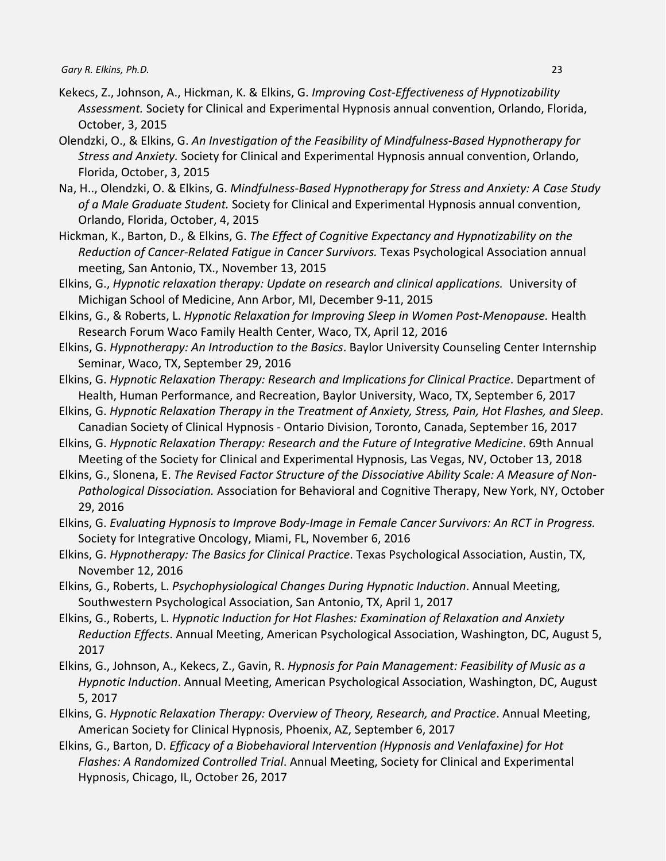- Kekecs, Z., Johnson, A., Hickman, K. & Elkins, G. *Improving Cost-Effectiveness of Hypnotizability Assessment.* Society for Clinical and Experimental Hypnosis annual convention, Orlando, Florida, October, 3, 2015
- Olendzki, O., & Elkins, G. *An Investigation of the Feasibility of Mindfulness-Based Hypnotherapy for Stress and Anxiety.* Society for Clinical and Experimental Hypnosis annual convention, Orlando, Florida, October, 3, 2015
- Na, H.., Olendzki, O. & Elkins, G. *Mindfulness-Based Hypnotherapy for Stress and Anxiety: A Case Study of a Male Graduate Student.* Society for Clinical and Experimental Hypnosis annual convention, Orlando, Florida, October, 4, 2015
- Hickman, K., Barton, D., & Elkins, G. *The Effect of Cognitive Expectancy and Hypnotizability on the Reduction of Cancer-Related Fatigue in Cancer Survivors.* Texas Psychological Association annual meeting, San Antonio, TX., November 13, 2015
- Elkins, G., *Hypnotic relaxation therapy: Update on research and clinical applications.* University of Michigan School of Medicine, Ann Arbor, MI, December 9-11, 2015
- Elkins, G., & Roberts, L. *Hypnotic Relaxation for Improving Sleep in Women Post-Menopause.* Health Research Forum Waco Family Health Center, Waco, TX, April 12, 2016
- Elkins, G. *Hypnotherapy: An Introduction to the Basics*. Baylor University Counseling Center Internship Seminar, Waco, TX, September 29, 2016
- Elkins, G. *Hypnotic Relaxation Therapy: Research and Implications for Clinical Practice*. Department of Health, Human Performance, and Recreation, Baylor University, Waco, TX, September 6, 2017
- Elkins, G. *Hypnotic Relaxation Therapy in the Treatment of Anxiety, Stress, Pain, Hot Flashes, and Sleep*. Canadian Society of Clinical Hypnosis - Ontario Division, Toronto, Canada, September 16, 2017
- Elkins, G. *Hypnotic Relaxation Therapy: Research and the Future of Integrative Medicine*. 69th Annual Meeting of the Society for Clinical and Experimental Hypnosis, Las Vegas, NV, October 13, 2018
- Elkins, G., Slonena, E. *The Revised Factor Structure of the Dissociative Ability Scale: A Measure of Non-Pathological Dissociation.* Association for Behavioral and Cognitive Therapy, New York, NY, October 29, 2016
- Elkins, G. *Evaluating Hypnosis to Improve Body-Image in Female Cancer Survivors: An RCT in Progress.*  Society for Integrative Oncology, Miami, FL, November 6, 2016
- Elkins, G. *Hypnotherapy: The Basics for Clinical Practice*. Texas Psychological Association, Austin, TX, November 12, 2016
- Elkins, G., Roberts, L. *Psychophysiological Changes During Hypnotic Induction*. Annual Meeting, Southwestern Psychological Association, San Antonio, TX, April 1, 2017
- Elkins, G., Roberts, L. *Hypnotic Induction for Hot Flashes: Examination of Relaxation and Anxiety Reduction Effects*. Annual Meeting, American Psychological Association, Washington, DC, August 5, 2017
- Elkins, G., Johnson, A., Kekecs, Z., Gavin, R. *Hypnosis for Pain Management: Feasibility of Music as a Hypnotic Induction*. Annual Meeting, American Psychological Association, Washington, DC, August 5, 2017
- Elkins, G. *Hypnotic Relaxation Therapy: Overview of Theory, Research, and Practice*. Annual Meeting, American Society for Clinical Hypnosis, Phoenix, AZ, September 6, 2017
- Elkins, G., Barton, D. *Efficacy of a Biobehavioral Intervention (Hypnosis and Venlafaxine) for Hot Flashes: A Randomized Controlled Trial*. Annual Meeting, Society for Clinical and Experimental Hypnosis, Chicago, IL, October 26, 2017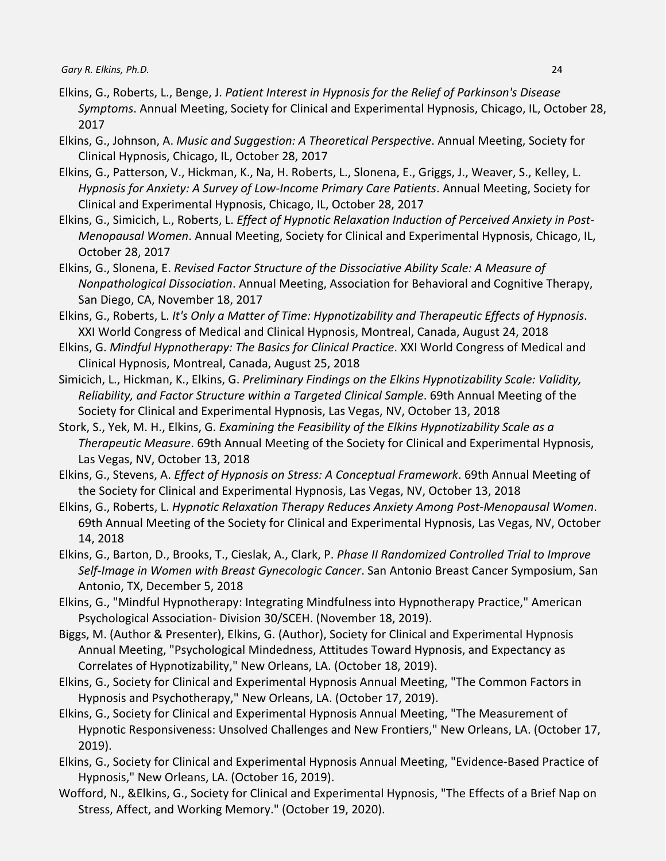- Elkins, G., Roberts, L., Benge, J. *Patient Interest in Hypnosis for the Relief of Parkinson's Disease Symptoms*. Annual Meeting, Society for Clinical and Experimental Hypnosis, Chicago, IL, October 28, 2017
- Elkins, G., Johnson, A. *Music and Suggestion: A Theoretical Perspective*. Annual Meeting, Society for Clinical Hypnosis, Chicago, IL, October 28, 2017
- Elkins, G., Patterson, V., Hickman, K., Na, H. Roberts, L., Slonena, E., Griggs, J., Weaver, S., Kelley, L. *Hypnosis for Anxiety: A Survey of Low-Income Primary Care Patients*. Annual Meeting, Society for Clinical and Experimental Hypnosis, Chicago, IL, October 28, 2017
- Elkins, G., Simicich, L., Roberts, L. *Effect of Hypnotic Relaxation Induction of Perceived Anxiety in Post-Menopausal Women*. Annual Meeting, Society for Clinical and Experimental Hypnosis, Chicago, IL, October 28, 2017
- Elkins, G., Slonena, E. *Revised Factor Structure of the Dissociative Ability Scale: A Measure of Nonpathological Dissociation*. Annual Meeting, Association for Behavioral and Cognitive Therapy, San Diego, CA, November 18, 2017
- Elkins, G., Roberts, L. *It's Only a Matter of Time: Hypnotizability and Therapeutic Effects of Hypnosis*. XXI World Congress of Medical and Clinical Hypnosis, Montreal, Canada, August 24, 2018
- Elkins, G. *Mindful Hypnotherapy: The Basics for Clinical Practice*. XXI World Congress of Medical and Clinical Hypnosis, Montreal, Canada, August 25, 2018
- Simicich, L., Hickman, K., Elkins, G. *Preliminary Findings on the Elkins Hypnotizability Scale: Validity, Reliability, and Factor Structure within a Targeted Clinical Sample*. 69th Annual Meeting of the Society for Clinical and Experimental Hypnosis, Las Vegas, NV, October 13, 2018
- Stork, S., Yek, M. H., Elkins, G. *Examining the Feasibility of the Elkins Hypnotizability Scale as a Therapeutic Measure*. 69th Annual Meeting of the Society for Clinical and Experimental Hypnosis, Las Vegas, NV, October 13, 2018
- Elkins, G., Stevens, A. *Effect of Hypnosis on Stress: A Conceptual Framework*. 69th Annual Meeting of the Society for Clinical and Experimental Hypnosis, Las Vegas, NV, October 13, 2018
- Elkins, G., Roberts, L. *Hypnotic Relaxation Therapy Reduces Anxiety Among Post-Menopausal Women*. 69th Annual Meeting of the Society for Clinical and Experimental Hypnosis, Las Vegas, NV, October 14, 2018
- Elkins, G., Barton, D., Brooks, T., Cieslak, A., Clark, P. *Phase II Randomized Controlled Trial to Improve Self-Image in Women with Breast Gynecologic Cancer*. San Antonio Breast Cancer Symposium, San Antonio, TX, December 5, 2018
- Elkins, G., "Mindful Hypnotherapy: Integrating Mindfulness into Hypnotherapy Practice," American Psychological Association- Division 30/SCEH. (November 18, 2019).
- Biggs, M. (Author & Presenter), Elkins, G. (Author), Society for Clinical and Experimental Hypnosis Annual Meeting, "Psychological Mindedness, Attitudes Toward Hypnosis, and Expectancy as Correlates of Hypnotizability," New Orleans, LA. (October 18, 2019).
- Elkins, G., Society for Clinical and Experimental Hypnosis Annual Meeting, "The Common Factors in Hypnosis and Psychotherapy," New Orleans, LA. (October 17, 2019).
- Elkins, G., Society for Clinical and Experimental Hypnosis Annual Meeting, "The Measurement of Hypnotic Responsiveness: Unsolved Challenges and New Frontiers," New Orleans, LA. (October 17, 2019).
- Elkins, G., Society for Clinical and Experimental Hypnosis Annual Meeting, "Evidence-Based Practice of Hypnosis," New Orleans, LA. (October 16, 2019).
- Wofford, N., &Elkins, G., Society for Clinical and Experimental Hypnosis, "The Effects of a Brief Nap on Stress, Affect, and Working Memory." (October 19, 2020).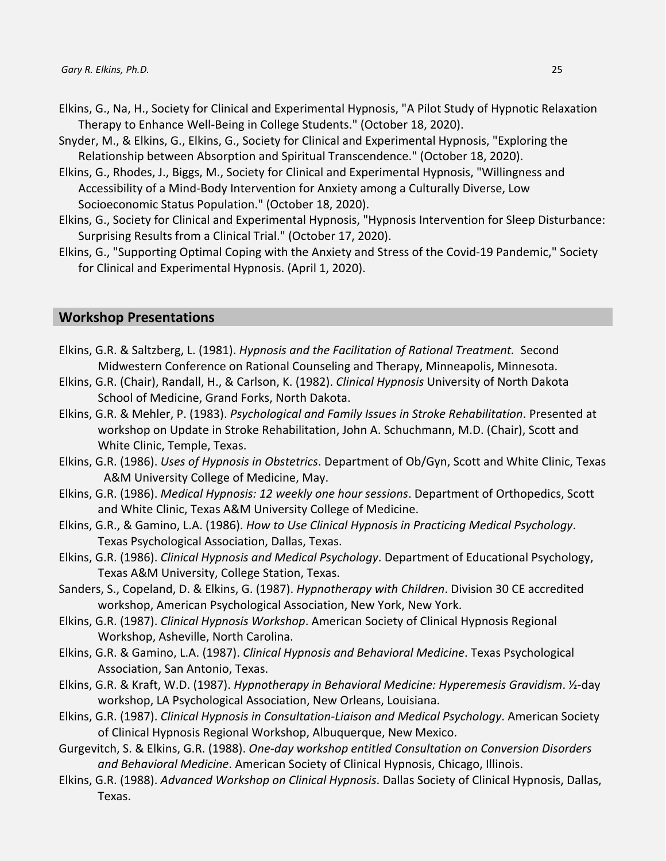- Elkins, G., Na, H., Society for Clinical and Experimental Hypnosis, "A Pilot Study of Hypnotic Relaxation Therapy to Enhance Well-Being in College Students." (October 18, 2020).
- Snyder, M., & Elkins, G., Elkins, G., Society for Clinical and Experimental Hypnosis, "Exploring the Relationship between Absorption and Spiritual Transcendence." (October 18, 2020).
- Elkins, G., Rhodes, J., Biggs, M., Society for Clinical and Experimental Hypnosis, "Willingness and Accessibility of a Mind-Body Intervention for Anxiety among a Culturally Diverse, Low Socioeconomic Status Population." (October 18, 2020).
- Elkins, G., Society for Clinical and Experimental Hypnosis, "Hypnosis Intervention for Sleep Disturbance: Surprising Results from a Clinical Trial." (October 17, 2020).
- Elkins, G., "Supporting Optimal Coping with the Anxiety and Stress of the Covid-19 Pandemic," Society for Clinical and Experimental Hypnosis. (April 1, 2020).

#### **Workshop Presentations**

- Elkins, G.R. & Saltzberg, L. (1981). *Hypnosis and the Facilitation of Rational Treatment.* Second Midwestern Conference on Rational Counseling and Therapy, Minneapolis, Minnesota.
- Elkins, G.R. (Chair), Randall, H., & Carlson, K. (1982). *Clinical Hypnosis* University of North Dakota School of Medicine, Grand Forks, North Dakota.
- Elkins, G.R. & Mehler, P. (1983). *Psychological and Family Issues in Stroke Rehabilitation*. Presented at workshop on Update in Stroke Rehabilitation, John A. Schuchmann, M.D. (Chair), Scott and White Clinic, Temple, Texas.
- Elkins, G.R. (1986). *Uses of Hypnosis in Obstetrics*. Department of Ob/Gyn, Scott and White Clinic, Texas A&M University College of Medicine, May.
- Elkins, G.R. (1986). *Medical Hypnosis: 12 weekly one hour sessions*. Department of Orthopedics, Scott and White Clinic, Texas A&M University College of Medicine.
- Elkins, G.R., & Gamino, L.A. (1986). *How to Use Clinical Hypnosis in Practicing Medical Psychology*. Texas Psychological Association, Dallas, Texas.
- Elkins, G.R. (1986). *Clinical Hypnosis and Medical Psychology*. Department of Educational Psychology, Texas A&M University, College Station, Texas.
- Sanders, S., Copeland, D. & Elkins, G. (1987). *Hypnotherapy with Children*. Division 30 CE accredited workshop, American Psychological Association, New York, New York.
- Elkins, G.R. (1987). *Clinical Hypnosis Workshop*. American Society of Clinical Hypnosis Regional Workshop, Asheville, North Carolina.
- Elkins, G.R. & Gamino, L.A. (1987). *Clinical Hypnosis and Behavioral Medicine*. Texas Psychological Association, San Antonio, Texas.
- Elkins, G.R. & Kraft, W.D. (1987). *Hypnotherapy in Behavioral Medicine: Hyperemesis Gravidism*. ½-day workshop, LA Psychological Association, New Orleans, Louisiana.
- Elkins, G.R. (1987). *Clinical Hypnosis in Consultation-Liaison and Medical Psychology*. American Society of Clinical Hypnosis Regional Workshop, Albuquerque, New Mexico.
- Gurgevitch, S. & Elkins, G.R. (1988). *One-day workshop entitled Consultation on Conversion Disorders and Behavioral Medicine*. American Society of Clinical Hypnosis, Chicago, Illinois.
- Elkins, G.R. (1988). *Advanced Workshop on Clinical Hypnosis*. Dallas Society of Clinical Hypnosis, Dallas, Texas.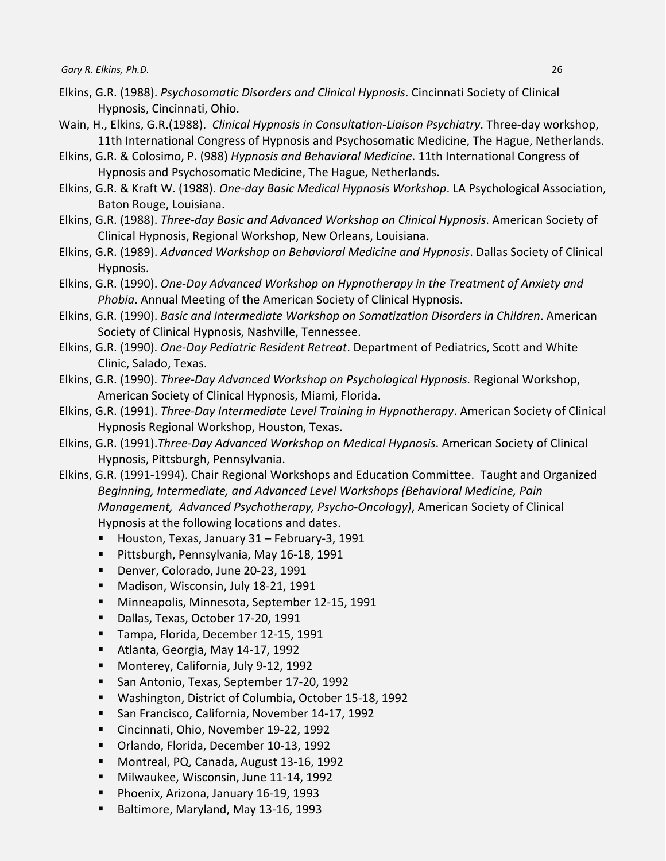- Elkins, G.R. (1988). *Psychosomatic Disorders and Clinical Hypnosis*. Cincinnati Society of Clinical Hypnosis, Cincinnati, Ohio.
- Wain, H., Elkins, G.R.(1988). *Clinical Hypnosis in Consultation-Liaison Psychiatry*. Three-day workshop, 11th International Congress of Hypnosis and Psychosomatic Medicine, The Hague, Netherlands.
- Elkins, G.R. & Colosimo, P. (988) *Hypnosis and Behavioral Medicine*. 11th International Congress of Hypnosis and Psychosomatic Medicine, The Hague, Netherlands.
- Elkins, G.R. & Kraft W. (1988). *One-day Basic Medical Hypnosis Workshop*. LA Psychological Association, Baton Rouge, Louisiana.
- Elkins, G.R. (1988). *Three-day Basic and Advanced Workshop on Clinical Hypnosis*. American Society of Clinical Hypnosis, Regional Workshop, New Orleans, Louisiana.
- Elkins, G.R. (1989). *Advanced Workshop on Behavioral Medicine and Hypnosis*. Dallas Society of Clinical Hypnosis.
- Elkins, G.R. (1990). *One-Day Advanced Workshop on Hypnotherapy in the Treatment of Anxiety and Phobia*. Annual Meeting of the American Society of Clinical Hypnosis.
- Elkins, G.R. (1990). *Basic and Intermediate Workshop on Somatization Disorders in Children*. American Society of Clinical Hypnosis, Nashville, Tennessee.
- Elkins, G.R. (1990). *One-Day Pediatric Resident Retreat*. Department of Pediatrics, Scott and White Clinic, Salado, Texas.
- Elkins, G.R. (1990). *Three-Day Advanced Workshop on Psychological Hypnosis.* Regional Workshop, American Society of Clinical Hypnosis, Miami, Florida.
- Elkins, G.R. (1991). *Three-Day Intermediate Level Training in Hypnotherapy*. American Society of Clinical Hypnosis Regional Workshop, Houston, Texas.
- Elkins, G.R. (1991).*Three-Day Advanced Workshop on Medical Hypnosis*. American Society of Clinical Hypnosis, Pittsburgh, Pennsylvania.
- Elkins, G.R. (1991-1994). Chair Regional Workshops and Education Committee. Taught and Organized *Beginning, Intermediate, and Advanced Level Workshops (Behavioral Medicine, Pain Management, Advanced Psychotherapy, Psycho-Oncology)*, American Society of Clinical Hypnosis at the following locations and dates.
	- Houston, Texas, January 31 February-3, 1991
	- **Pittsburgh, Pennsylvania, May 16-18, 1991**
	- **Denver, Colorado, June 20-23, 1991**
	- Madison, Wisconsin, July 18-21, 1991
	- **Minneapolis, Minnesota, September 12-15, 1991**
	- Dallas, Texas, October 17-20, 1991
	- Tampa, Florida, December 12-15, 1991
	- Atlanta, Georgia, May 14-17, 1992
	- **Monterey, California, July 9-12, 1992**
	- San Antonio, Texas, September 17-20, 1992
	- Washington, District of Columbia, October 15-18, 1992
	- San Francisco, California, November 14-17, 1992
	- Cincinnati, Ohio, November 19-22, 1992
	- Orlando, Florida, December 10-13, 1992
	- Montreal, PQ, Canada, August 13-16, 1992
	- **Milwaukee, Wisconsin, June 11-14, 1992**
	- Phoenix, Arizona, January 16-19, 1993
	- Baltimore, Maryland, May 13-16, 1993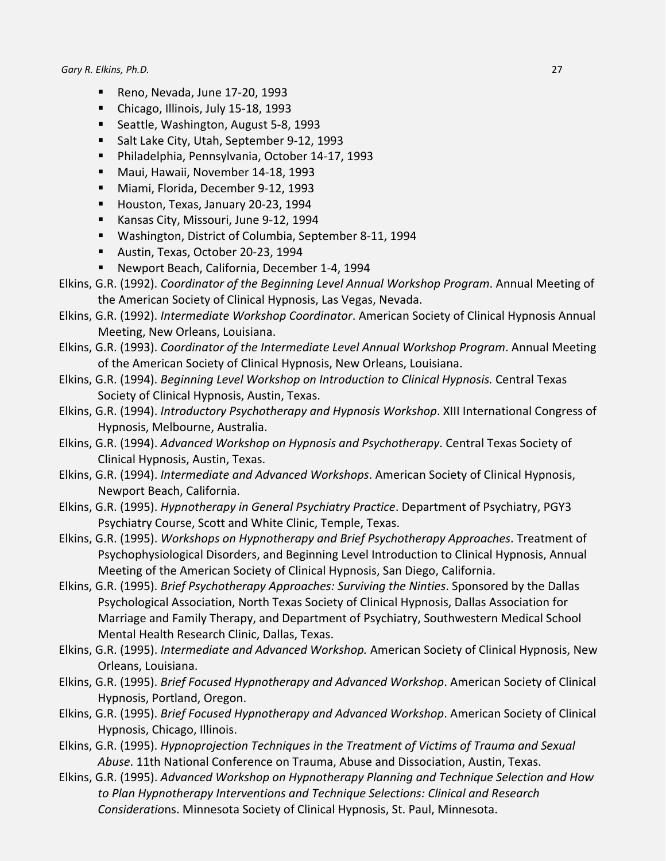- **Reno, Nevada, June 17-20, 1993**
- Chicago, Illinois, July 15-18, 1993
- Seattle, Washington, August 5-8, 1993
- Salt Lake City, Utah, September 9-12, 1993
- Philadelphia, Pennsylvania, October 14-17, 1993
- Maui, Hawaii, November 14-18, 1993
- Miami, Florida, December 9-12, 1993
- Houston, Texas, January 20-23, 1994
- **Kansas City, Missouri, June 9-12, 1994**
- Washington, District of Columbia, September 8-11, 1994
- Austin, Texas, October 20-23, 1994
- Newport Beach, California, December 1-4, 1994
- Elkins, G.R. (1992). *Coordinator of the Beginning Level Annual Workshop Program*. Annual Meeting of the American Society of Clinical Hypnosis, Las Vegas, Nevada.
- Elkins, G.R. (1992). *Intermediate Workshop Coordinator*. American Society of Clinical Hypnosis Annual Meeting, New Orleans, Louisiana.
- Elkins, G.R. (1993). *Coordinator of the Intermediate Level Annual Workshop Program*. Annual Meeting of the American Society of Clinical Hypnosis, New Orleans, Louisiana.
- Elkins, G.R. (1994). *Beginning Level Workshop on Introduction to Clinical Hypnosis.* Central Texas Society of Clinical Hypnosis, Austin, Texas.
- Elkins, G.R. (1994). *Introductory Psychotherapy and Hypnosis Workshop*. XIII International Congress of Hypnosis, Melbourne, Australia.
- Elkins, G.R. (1994). *Advanced Workshop on Hypnosis and Psychotherapy*. Central Texas Society of Clinical Hypnosis, Austin, Texas.
- Elkins, G.R. (1994). *Intermediate and Advanced Workshops*. American Society of Clinical Hypnosis, Newport Beach, California.
- Elkins, G.R. (1995). *Hypnotherapy in General Psychiatry Practice*. Department of Psychiatry, PGY3 Psychiatry Course, Scott and White Clinic, Temple, Texas.
- Elkins, G.R. (1995). *Workshops on Hypnotherapy and Brief Psychotherapy Approaches*. Treatment of Psychophysiological Disorders, and Beginning Level Introduction to Clinical Hypnosis, Annual Meeting of the American Society of Clinical Hypnosis, San Diego, California.
- Elkins, G.R. (1995). *Brief Psychotherapy Approaches: Surviving the Ninties*. Sponsored by the Dallas Psychological Association, North Texas Society of Clinical Hypnosis, Dallas Association for Marriage and Family Therapy, and Department of Psychiatry, Southwestern Medical School Mental Health Research Clinic, Dallas, Texas.
- Elkins, G.R. (1995). *Intermediate and Advanced Workshop.* American Society of Clinical Hypnosis, New Orleans, Louisiana.
- Elkins, G.R. (1995). *Brief Focused Hypnotherapy and Advanced Workshop*. American Society of Clinical Hypnosis, Portland, Oregon.
- Elkins, G.R. (1995). *Brief Focused Hypnotherapy and Advanced Workshop*. American Society of Clinical Hypnosis, Chicago, Illinois.
- Elkins, G.R. (1995). *Hypnoprojection Techniques in the Treatment of Victims of Trauma and Sexual Abuse*. 11th National Conference on Trauma, Abuse and Dissociation, Austin, Texas.
- Elkins, G.R. (1995). *Advanced Workshop on Hypnotherapy Planning and Technique Selection and How to Plan Hypnotherapy Interventions and Technique Selections: Clinical and Research Consideratio*ns. Minnesota Society of Clinical Hypnosis, St. Paul, Minnesota.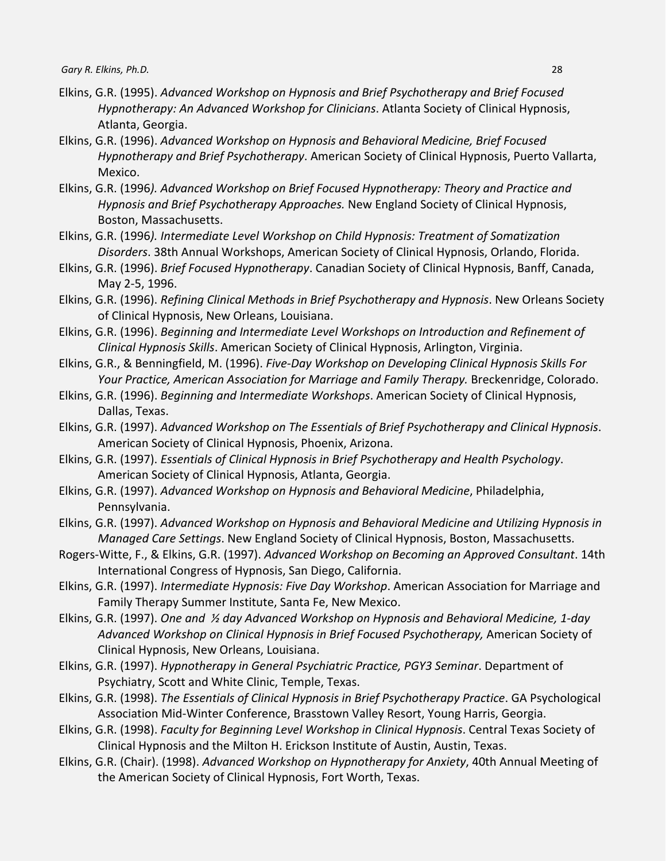- Elkins, G.R. (1995). *Advanced Workshop on Hypnosis and Brief Psychotherapy and Brief Focused Hypnotherapy: An Advanced Workshop for Clinicians*. Atlanta Society of Clinical Hypnosis, Atlanta, Georgia.
- Elkins, G.R. (1996). *Advanced Workshop on Hypnosis and Behavioral Medicine, Brief Focused Hypnotherapy and Brief Psychotherapy*. American Society of Clinical Hypnosis, Puerto Vallarta, Mexico.
- Elkins, G.R. (1996*). Advanced Workshop on Brief Focused Hypnotherapy: Theory and Practice and Hypnosis and Brief Psychotherapy Approaches.* New England Society of Clinical Hypnosis, Boston, Massachusetts.
- Elkins, G.R. (1996*). Intermediate Level Workshop on Child Hypnosis: Treatment of Somatization Disorders*. 38th Annual Workshops, American Society of Clinical Hypnosis, Orlando, Florida.
- Elkins, G.R. (1996). *Brief Focused Hypnotherapy*. Canadian Society of Clinical Hypnosis, Banff, Canada, May 2-5, 1996.
- Elkins, G.R. (1996). *Refining Clinical Methods in Brief Psychotherapy and Hypnosis*. New Orleans Society of Clinical Hypnosis, New Orleans, Louisiana.
- Elkins, G.R. (1996). *Beginning and Intermediate Level Workshops on Introduction and Refinement of Clinical Hypnosis Skills*. American Society of Clinical Hypnosis, Arlington, Virginia.
- Elkins, G.R., & Benningfield, M. (1996). *Five-Day Workshop on Developing Clinical Hypnosis Skills For Your Practice, American Association for Marriage and Family Therapy.* Breckenridge, Colorado.
- Elkins, G.R. (1996). *Beginning and Intermediate Workshops*. American Society of Clinical Hypnosis, Dallas, Texas.
- Elkins, G.R. (1997). *Advanced Workshop on The Essentials of Brief Psychotherapy and Clinical Hypnosis*. American Society of Clinical Hypnosis, Phoenix, Arizona.
- Elkins, G.R. (1997). *Essentials of Clinical Hypnosis in Brief Psychotherapy and Health Psychology*. American Society of Clinical Hypnosis, Atlanta, Georgia.
- Elkins, G.R. (1997). *Advanced Workshop on Hypnosis and Behavioral Medicine*, Philadelphia, Pennsylvania.
- Elkins, G.R. (1997). *Advanced Workshop on Hypnosis and Behavioral Medicine and Utilizing Hypnosis in Managed Care Settings*. New England Society of Clinical Hypnosis, Boston, Massachusetts.
- Rogers-Witte, F., & Elkins, G.R. (1997). *Advanced Workshop on Becoming an Approved Consultant*. 14th International Congress of Hypnosis, San Diego, California.
- Elkins, G.R. (1997). *Intermediate Hypnosis: Five Day Workshop*. American Association for Marriage and Family Therapy Summer Institute, Santa Fe, New Mexico.
- Elkins, G.R. (1997). *One and ½ day Advanced Workshop on Hypnosis and Behavioral Medicine, 1-day Advanced Workshop on Clinical Hypnosis in Brief Focused Psychotherapy,* American Society of Clinical Hypnosis, New Orleans, Louisiana.
- Elkins, G.R. (1997). *Hypnotherapy in General Psychiatric Practice, PGY3 Seminar*. Department of Psychiatry, Scott and White Clinic, Temple, Texas.
- Elkins, G.R. (1998). *The Essentials of Clinical Hypnosis in Brief Psychotherapy Practice*. GA Psychological Association Mid-Winter Conference, Brasstown Valley Resort, Young Harris, Georgia.
- Elkins, G.R. (1998). *Faculty for Beginning Level Workshop in Clinical Hypnosis*. Central Texas Society of Clinical Hypnosis and the Milton H. Erickson Institute of Austin, Austin, Texas.
- Elkins, G.R. (Chair). (1998). *Advanced Workshop on Hypnotherapy for Anxiety*, 40th Annual Meeting of the American Society of Clinical Hypnosis, Fort Worth, Texas.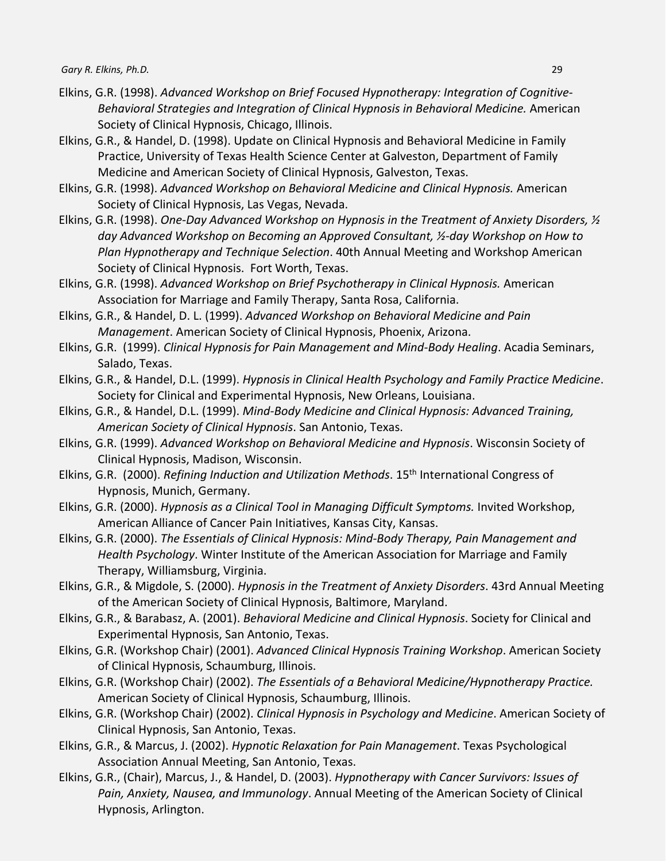- Elkins, G.R. (1998). *Advanced Workshop on Brief Focused Hypnotherapy: Integration of Cognitive-Behavioral Strategies and Integration of Clinical Hypnosis in Behavioral Medicine.* American Society of Clinical Hypnosis, Chicago, Illinois.
- Elkins, G.R., & Handel, D. (1998). Update on Clinical Hypnosis and Behavioral Medicine in Family Practice, University of Texas Health Science Center at Galveston, Department of Family Medicine and American Society of Clinical Hypnosis, Galveston, Texas.
- Elkins, G.R. (1998). *Advanced Workshop on Behavioral Medicine and Clinical Hypnosis.* American Society of Clinical Hypnosis, Las Vegas, Nevada.
- Elkins, G.R. (1998). *One-Day Advanced Workshop on Hypnosis in the Treatment of Anxiety Disorders, ½ day Advanced Workshop on Becoming an Approved Consultant, ½-day Workshop on How to Plan Hypnotherapy and Technique Selection*. 40th Annual Meeting and Workshop American Society of Clinical Hypnosis. Fort Worth, Texas.
- Elkins, G.R. (1998). *Advanced Workshop on Brief Psychotherapy in Clinical Hypnosis.* American Association for Marriage and Family Therapy, Santa Rosa, California.
- Elkins, G.R., & Handel, D. L. (1999). *Advanced Workshop on Behavioral Medicine and Pain Management*. American Society of Clinical Hypnosis, Phoenix, Arizona.
- Elkins, G.R. (1999). *Clinical Hypnosis for Pain Management and Mind-Body Healing*. Acadia Seminars, Salado, Texas.
- Elkins, G.R., & Handel, D.L. (1999). *Hypnosis in Clinical Health Psychology and Family Practice Medicine*. Society for Clinical and Experimental Hypnosis, New Orleans, Louisiana.
- Elkins, G.R., & Handel, D.L. (1999). *Mind-Body Medicine and Clinical Hypnosis: Advanced Training, American Society of Clinical Hypnosis*. San Antonio, Texas.
- Elkins, G.R. (1999). *Advanced Workshop on Behavioral Medicine and Hypnosis*. Wisconsin Society of Clinical Hypnosis, Madison, Wisconsin.
- Elkins, G.R. (2000). *Refining Induction and Utilization Methods*. 15th International Congress of Hypnosis, Munich, Germany.
- Elkins, G.R. (2000). *Hypnosis as a Clinical Tool in Managing Difficult Symptoms.* Invited Workshop, American Alliance of Cancer Pain Initiatives, Kansas City, Kansas.
- Elkins, G.R. (2000). *The Essentials of Clinical Hypnosis: Mind-Body Therapy, Pain Management and Health Psychology*. Winter Institute of the American Association for Marriage and Family Therapy, Williamsburg, Virginia.
- Elkins, G.R., & Migdole, S. (2000). *Hypnosis in the Treatment of Anxiety Disorders*. 43rd Annual Meeting of the American Society of Clinical Hypnosis, Baltimore, Maryland.
- Elkins, G.R., & Barabasz, A. (2001). *Behavioral Medicine and Clinical Hypnosis*. Society for Clinical and Experimental Hypnosis, San Antonio, Texas.
- Elkins, G.R. (Workshop Chair) (2001). *Advanced Clinical Hypnosis Training Workshop*. American Society of Clinical Hypnosis, Schaumburg, Illinois.
- Elkins, G.R. (Workshop Chair) (2002). *The Essentials of a Behavioral Medicine/Hypnotherapy Practice.* American Society of Clinical Hypnosis, Schaumburg, Illinois.
- Elkins, G.R. (Workshop Chair) (2002). *Clinical Hypnosis in Psychology and Medicine*. American Society of Clinical Hypnosis, San Antonio, Texas.
- Elkins, G.R., & Marcus, J. (2002). *Hypnotic Relaxation for Pain Management*. Texas Psychological Association Annual Meeting, San Antonio, Texas.
- Elkins, G.R., (Chair), Marcus, J., & Handel, D. (2003). *Hypnotherapy with Cancer Survivors: Issues of Pain, Anxiety, Nausea, and Immunology*. Annual Meeting of the American Society of Clinical Hypnosis, Arlington.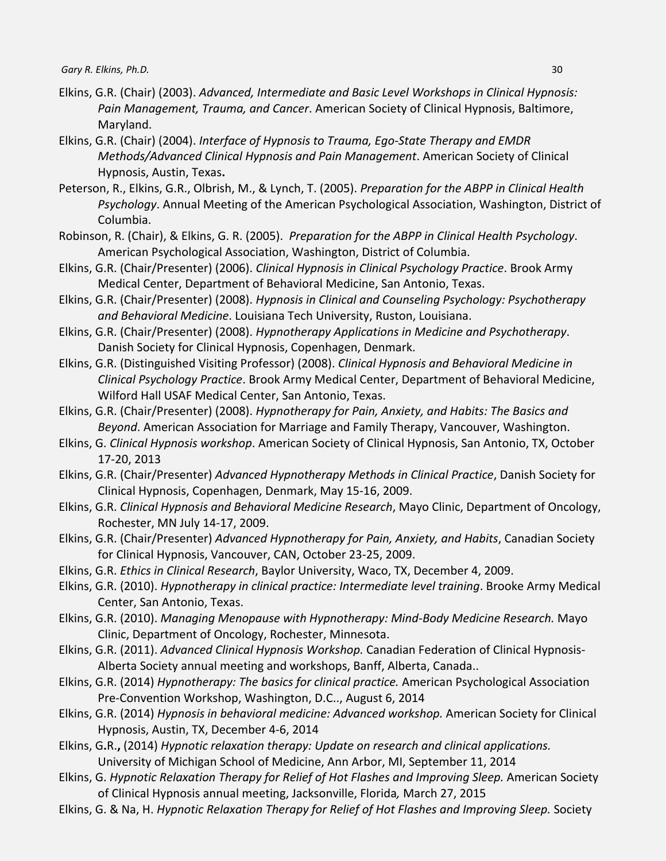- Elkins, G.R. (Chair) (2003). *Advanced, Intermediate and Basic Level Workshops in Clinical Hypnosis: Pain Management, Trauma, and Cancer*. American Society of Clinical Hypnosis, Baltimore, Maryland.
- Elkins, G.R. (Chair) (2004). *Interface of Hypnosis to Trauma, Ego-State Therapy and EMDR Methods/Advanced Clinical Hypnosis and Pain Management*. American Society of Clinical Hypnosis, Austin, Texas**.**
- Peterson, R., Elkins, G.R., Olbrish, M., & Lynch, T. (2005). *Preparation for the ABPP in Clinical Health Psychology*. Annual Meeting of the American Psychological Association, Washington, District of Columbia.
- Robinson, R. (Chair), & Elkins, G. R. (2005). *Preparation for the ABPP in Clinical Health Psychology*. American Psychological Association, Washington, District of Columbia.
- Elkins, G.R. (Chair/Presenter) (2006). *Clinical Hypnosis in Clinical Psychology Practice*. Brook Army Medical Center, Department of Behavioral Medicine, San Antonio, Texas.
- Elkins, G.R. (Chair/Presenter) (2008). *Hypnosis in Clinical and Counseling Psychology: Psychotherapy and Behavioral Medicine*. Louisiana Tech University, Ruston, Louisiana.
- Elkins, G.R. (Chair/Presenter) (2008). *Hypnotherapy Applications in Medicine and Psychotherapy*. Danish Society for Clinical Hypnosis, Copenhagen, Denmark.
- Elkins, G.R. (Distinguished Visiting Professor) (2008). *Clinical Hypnosis and Behavioral Medicine in Clinical Psychology Practice*. Brook Army Medical Center, Department of Behavioral Medicine, Wilford Hall USAF Medical Center, San Antonio, Texas.
- Elkins, G.R. (Chair/Presenter) (2008). *Hypnotherapy for Pain, Anxiety, and Habits: The Basics and Beyond*. American Association for Marriage and Family Therapy, Vancouver, Washington.
- Elkins, G. *Clinical Hypnosis workshop*. American Society of Clinical Hypnosis, San Antonio, TX, October 17-20, 2013
- Elkins, G.R. (Chair/Presenter) *Advanced Hypnotherapy Methods in Clinical Practice*, Danish Society for Clinical Hypnosis, Copenhagen, Denmark, May 15-16, 2009.
- Elkins, G.R. *Clinical Hypnosis and Behavioral Medicine Research*, Mayo Clinic, Department of Oncology, Rochester, MN July 14-17, 2009.
- Elkins, G.R. (Chair/Presenter) *Advanced Hypnotherapy for Pain, Anxiety, and Habits*, Canadian Society for Clinical Hypnosis, Vancouver, CAN, October 23-25, 2009.
- Elkins, G.R. *Ethics in Clinical Research*, Baylor University, Waco, TX, December 4, 2009.
- Elkins, G.R. (2010). *Hypnotherapy in clinical practice: Intermediate level training*. Brooke Army Medical Center, San Antonio, Texas.
- Elkins, G.R. (2010). *Managing Menopause with Hypnotherapy: Mind-Body Medicine Research.* Mayo Clinic, Department of Oncology, Rochester, Minnesota.
- Elkins, G.R. (2011). *Advanced Clinical Hypnosis Workshop.* Canadian Federation of Clinical Hypnosis-Alberta Society annual meeting and workshops, Banff, Alberta, Canada..
- Elkins, G.R. (2014) *Hypnotherapy: The basics for clinical practice.* American Psychological Association Pre-Convention Workshop, Washington, D.C.., August 6, 2014
- Elkins, G.R. (2014) *Hypnosis in behavioral medicine: Advanced workshop.* American Society for Clinical Hypnosis, Austin, TX, December 4-6, 2014
- Elkins, G**.**R.**,** (2014) *Hypnotic relaxation therapy: Update on research and clinical applications.*  University of Michigan School of Medicine, Ann Arbor, MI, September 11, 2014
- Elkins, G. *Hypnotic Relaxation Therapy for Relief of Hot Flashes and Improving Sleep.* American Society of Clinical Hypnosis annual meeting, Jacksonville, Florida*,* March 27, 2015
- Elkins, G. & Na, H. *Hypnotic Relaxation Therapy for Relief of Hot Flashes and Improving Sleep.* Society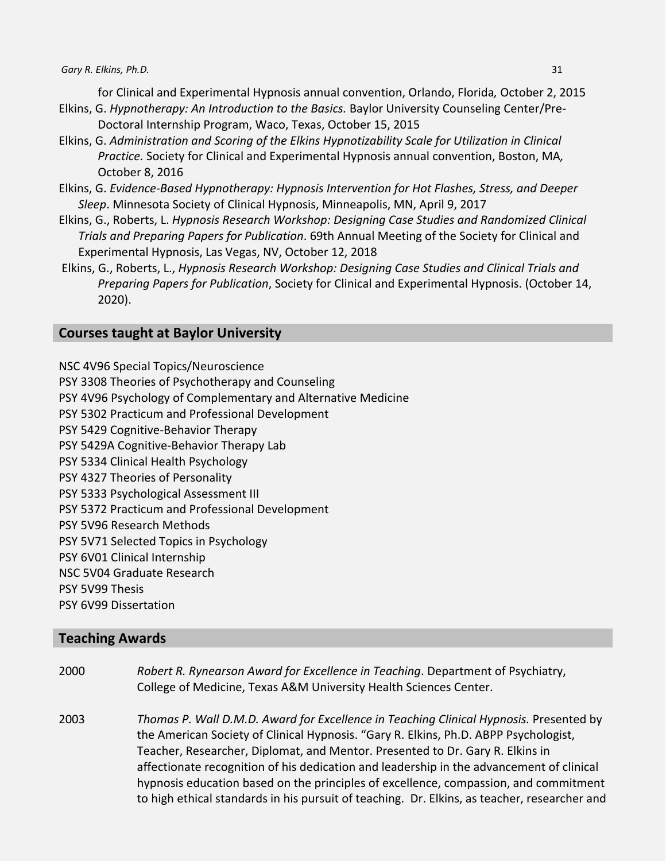for Clinical and Experimental Hypnosis annual convention, Orlando, Florida*,* October 2, 2015 Elkins, G. *Hypnotherapy: An Introduction to the Basics.* Baylor University Counseling Center/Pre-

- Doctoral Internship Program, Waco, Texas, October 15, 2015
- Elkins, G. *Administration and Scoring of the Elkins Hypnotizability Scale for Utilization in Clinical Practice.* Society for Clinical and Experimental Hypnosis annual convention, Boston, MA*,*  October 8, 2016
- Elkins, G. *Evidence-Based Hypnotherapy: Hypnosis Intervention for Hot Flashes, Stress, and Deeper Sleep*. Minnesota Society of Clinical Hypnosis, Minneapolis, MN, April 9, 2017
- Elkins, G., Roberts, L. *Hypnosis Research Workshop: Designing Case Studies and Randomized Clinical Trials and Preparing Papers for Publication*. 69th Annual Meeting of the Society for Clinical and Experimental Hypnosis, Las Vegas, NV, October 12, 2018
- Elkins, G., Roberts, L., *Hypnosis Research Workshop: Designing Case Studies and Clinical Trials and Preparing Papers for Publication*, Society for Clinical and Experimental Hypnosis. (October 14, 2020).

# **Courses taught at Baylor University**

NSC 4V96 Special Topics/Neuroscience

- PSY 3308 Theories of Psychotherapy and Counseling
- PSY 4V96 Psychology of Complementary and Alternative Medicine
- PSY 5302 Practicum and Professional Development
- PSY 5429 Cognitive-Behavior Therapy
- PSY 5429A Cognitive-Behavior Therapy Lab
- PSY 5334 Clinical Health Psychology
- PSY 4327 Theories of Personality
- PSY 5333 Psychological Assessment III
- PSY 5372 Practicum and Professional Development
- PSY 5V96 Research Methods
- PSY 5V71 Selected Topics in Psychology
- PSY 6V01 Clinical Internship
- NSC 5V04 Graduate Research
- PSY 5V99 Thesis
- PSY 6V99 Dissertation

# **Teaching Awards**

- 2000 *Robert R. Rynearson Award for Excellence in Teaching*. Department of Psychiatry, College of Medicine, Texas A&M University Health Sciences Center.
- 2003 *Thomas P. Wall D.M.D. Award for Excellence in Teaching Clinical Hypnosis.* Presented by the American Society of Clinical Hypnosis. "Gary R. Elkins, Ph.D. ABPP Psychologist, Teacher, Researcher, Diplomat, and Mentor. Presented to Dr. Gary R. Elkins in affectionate recognition of his dedication and leadership in the advancement of clinical hypnosis education based on the principles of excellence, compassion, and commitment to high ethical standards in his pursuit of teaching. Dr. Elkins, as teacher, researcher and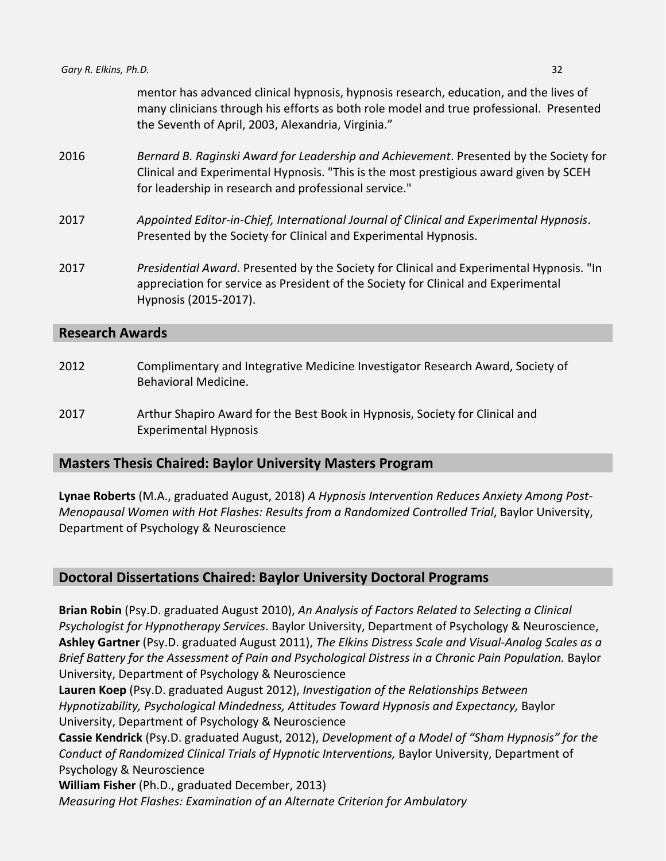mentor has advanced clinical hypnosis, hypnosis research, education, and the lives of many clinicians through his efforts as both role model and true professional. Presented the Seventh of April, 2003, Alexandria, Virginia."

- 2016 *Bernard B. Raginski Award for Leadership and Achievement*. Presented by the Society for Clinical and Experimental Hypnosis. "This is the most prestigious award given by SCEH for leadership in research and professional service."
- 2017 *Appointed Editor-in-Chief, International Journal of Clinical and Experimental Hypnosis*. Presented by the Society for Clinical and Experimental Hypnosis.
- 2017 *Presidential Award*. Presented by the Society for Clinical and Experimental Hypnosis. "In appreciation for service as President of the Society for Clinical and Experimental Hypnosis (2015-2017).

### **Research Awards**

- 2012 Complimentary and Integrative Medicine Investigator Research Award, Society of Behavioral Medicine.
- 2017 Arthur Shapiro Award for the Best Book in Hypnosis, Society for Clinical and Experimental Hypnosis

# **Masters Thesis Chaired: Baylor University Masters Program**

**Lynae Roberts** (M.A., graduated August, 2018) *A Hypnosis Intervention Reduces Anxiety Among Post-Menopausal Women with Hot Flashes: Results from a Randomized Controlled Trial*, Baylor University, Department of Psychology & Neuroscience

# **Doctoral Dissertations Chaired: Baylor University Doctoral Programs**

**Brian Robin** (Psy.D. graduated August 2010), *An Analysis of Factors Related to Selecting a Clinical Psychologist for Hypnotherapy Services*. Baylor University, Department of Psychology & Neuroscience, **Ashley Gartner** (Psy.D. graduated August 2011), *The Elkins Distress Scale and Visual-Analog Scales as a Brief Battery for the Assessment of Pain and Psychological Distress in a Chronic Pain Population.* Baylor University, Department of Psychology & Neuroscience

**Lauren Koep** (Psy.D. graduated August 2012), *Investigation of the Relationships Between Hypnotizability, Psychological Mindedness, Attitudes Toward Hypnosis and Expectancy,* Baylor University, Department of Psychology & Neuroscience

**Cassie Kendrick** (Psy.D. graduated August, 2012), *Development of a Model of "Sham Hypnosis" for the Conduct of Randomized Clinical Trials of Hypnotic Interventions,* Baylor University, Department of Psychology & Neuroscience

**William Fisher** (Ph.D., graduated December, 2013) *Measuring Hot Flashes: Examination of an Alternate Criterion for Ambulatory*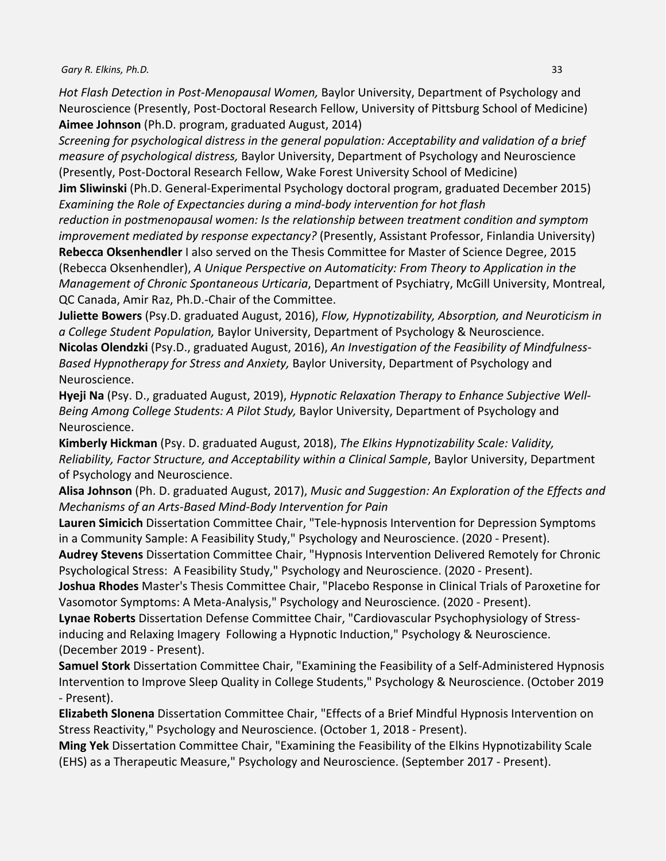*Hot Flash Detection in Post-Menopausal Women,* Baylor University, Department of Psychology and Neuroscience (Presently, Post-Doctoral Research Fellow, University of Pittsburg School of Medicine) **Aimee Johnson** (Ph.D. program, graduated August, 2014)

*Screening for psychological distress in the general population: Acceptability and validation of a brief measure of psychological distress,* Baylor University, Department of Psychology and Neuroscience (Presently, Post-Doctoral Research Fellow, Wake Forest University School of Medicine)

**Jim Sliwinski** (Ph.D. General-Experimental Psychology doctoral program, graduated December 2015) *Examining the Role of Expectancies during a mind-body intervention for hot flash* 

*reduction in postmenopausal women: Is the relationship between treatment condition and symptom improvement mediated by response expectancy?* (Presently, Assistant Professor, Finlandia University)

**Rebecca Oksenhendler** I also served on the Thesis Committee for Master of Science Degree, 2015 (Rebecca Oksenhendler), *A Unique Perspective on Automaticity: From Theory to Application in the Management of Chronic Spontaneous Urticaria*, Department of Psychiatry, McGill University, Montreal, QC Canada, Amir Raz, Ph.D.-Chair of the Committee.

**Juliette Bowers** (Psy.D. graduated August, 2016), *Flow, Hypnotizability, Absorption, and Neuroticism in a College Student Population,* Baylor University, Department of Psychology & Neuroscience. **Nicolas Olendzki** (Psy.D., graduated August, 2016), *An Investigation of the Feasibility of Mindfulness-Based Hypnotherapy for Stress and Anxiety,* Baylor University, Department of Psychology and Neuroscience.

**Hyeji Na** (Psy. D., graduated August, 2019), *Hypnotic Relaxation Therapy to Enhance Subjective Well-Being Among College Students: A Pilot Study,* Baylor University, Department of Psychology and Neuroscience.

**Kimberly Hickman** (Psy. D. graduated August, 2018), *The Elkins Hypnotizability Scale: Validity, Reliability, Factor Structure, and Acceptability within a Clinical Sample*, Baylor University, Department of Psychology and Neuroscience.

**Alisa Johnson** (Ph. D. graduated August, 2017), *Music and Suggestion: An Exploration of the Effects and Mechanisms of an Arts-Based Mind-Body Intervention for Pain*

**Lauren Simicich** Dissertation Committee Chair, "Tele-hypnosis Intervention for Depression Symptoms in a Community Sample: A Feasibility Study," Psychology and Neuroscience. (2020 - Present).

**Audrey Stevens** Dissertation Committee Chair, "Hypnosis Intervention Delivered Remotely for Chronic Psychological Stress: A Feasibility Study," Psychology and Neuroscience. (2020 - Present).

**Joshua Rhodes** Master's Thesis Committee Chair, "Placebo Response in Clinical Trials of Paroxetine for Vasomotor Symptoms: A Meta-Analysis," Psychology and Neuroscience. (2020 - Present).

**Lynae Roberts** Dissertation Defense Committee Chair, "Cardiovascular Psychophysiology of Stressinducing and Relaxing Imagery Following a Hypnotic Induction," Psychology & Neuroscience. (December 2019 - Present).

**Samuel Stork** Dissertation Committee Chair, "Examining the Feasibility of a Self-Administered Hypnosis Intervention to Improve Sleep Quality in College Students," Psychology & Neuroscience. (October 2019 - Present).

**Elizabeth Slonena** Dissertation Committee Chair, "Effects of a Brief Mindful Hypnosis Intervention on Stress Reactivity," Psychology and Neuroscience. (October 1, 2018 - Present).

**Ming Yek** Dissertation Committee Chair, "Examining the Feasibility of the Elkins Hypnotizability Scale (EHS) as a Therapeutic Measure," Psychology and Neuroscience. (September 2017 - Present).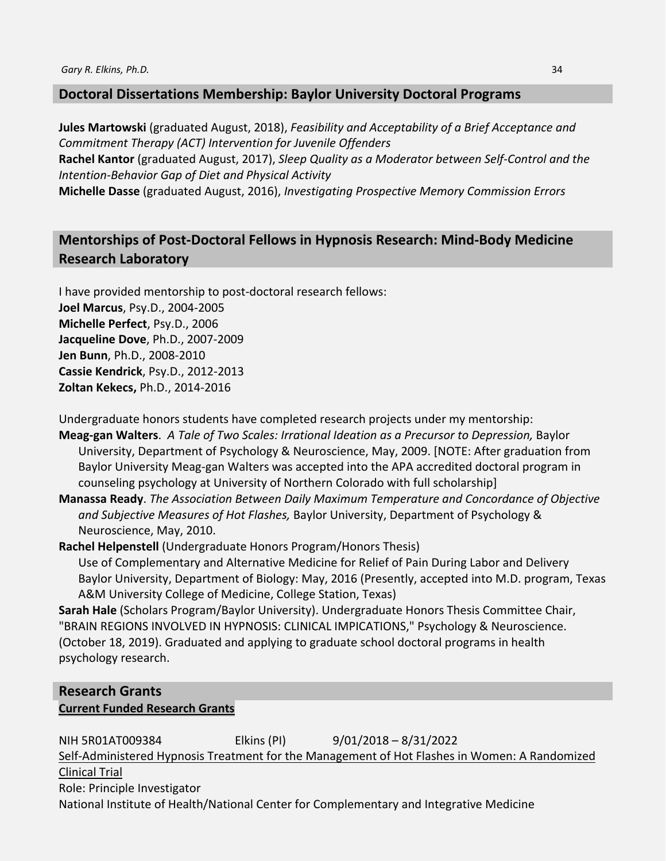# **Doctoral Dissertations Membership: Baylor University Doctoral Programs**

**Jules Martowski** (graduated August, 2018), *Feasibility and Acceptability of a Brief Acceptance and Commitment Therapy (ACT) Intervention for Juvenile Offenders*

**Rachel Kantor** (graduated August, 2017), *Sleep Quality as a Moderator between Self-Control and the Intention-Behavior Gap of Diet and Physical Activity*

**Michelle Dasse** (graduated August, 2016), *Investigating Prospective Memory Commission Errors*

# **Mentorships of Post-Doctoral Fellows in Hypnosis Research: Mind-Body Medicine Research Laboratory**

I have provided mentorship to post-doctoral research fellows: **Joel Marcus**, Psy.D., 2004-2005 **Michelle Perfect**, Psy.D., 2006 **Jacqueline Dove**, Ph.D., 2007-2009 **Jen Bunn**, Ph.D., 2008-2010 **Cassie Kendrick**, Psy.D., 2012-2013 **Zoltan Kekecs,** Ph.D., 2014-2016

Undergraduate honors students have completed research projects under my mentorship:

**Meag-gan Walters**. *A Tale of Two Scales: Irrational Ideation as a Precursor to Depression,* Baylor University, Department of Psychology & Neuroscience, May, 2009. [NOTE: After graduation from Baylor University Meag-gan Walters was accepted into the APA accredited doctoral program in counseling psychology at University of Northern Colorado with full scholarship]

**Manassa Ready**. *The Association Between Daily Maximum Temperature and Concordance of Objective and Subjective Measures of Hot Flashes,* Baylor University, Department of Psychology & Neuroscience, May, 2010.

**Rachel Helpenstell** (Undergraduate Honors Program/Honors Thesis) Use of Complementary and Alternative Medicine for Relief of Pain During Labor and Delivery Baylor University, Department of Biology: May, 2016 (Presently, accepted into M.D. program, Texas A&M University College of Medicine, College Station, Texas)

**Sarah Hale** (Scholars Program/Baylor University). Undergraduate Honors Thesis Committee Chair, "BRAIN REGIONS INVOLVED IN HYPNOSIS: CLINICAL IMPICATIONS," Psychology & Neuroscience. (October 18, 2019). Graduated and applying to graduate school doctoral programs in health psychology research.

# **Research Grants Current Funded Research Grants**

NIH 5R01AT009384 Elkins (PI) 9/01/2018 – 8/31/2022 Self-Administered Hypnosis Treatment for the Management of Hot Flashes in Women: A Randomized Clinical Trial Role: Principle Investigator National Institute of Health/National Center for Complementary and Integrative Medicine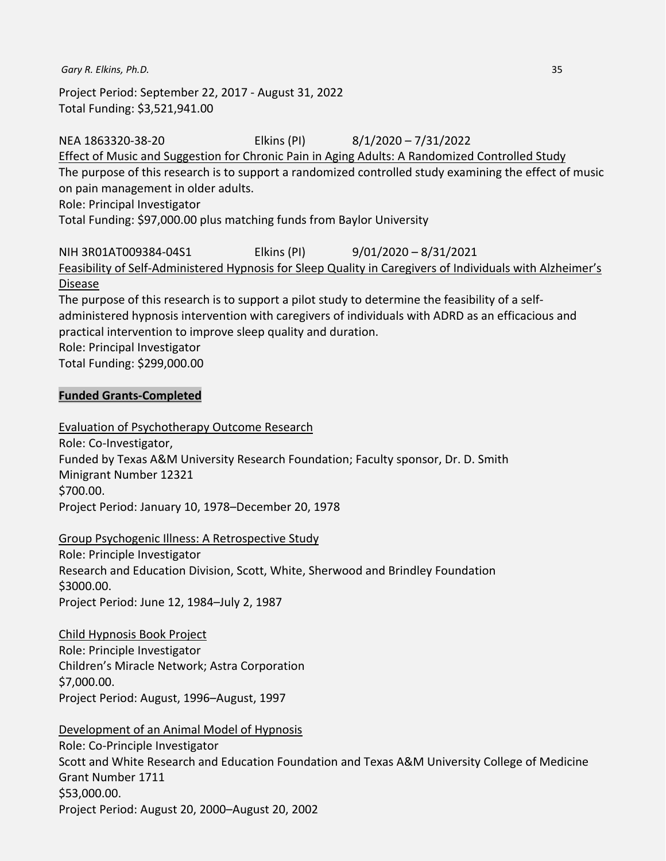Project Period: September 22, 2017 - August 31, 2022 Total Funding: \$3,521,941.00

NEA 1863320-38-20 Elkins (PI) 8/1/2020 – 7/31/2022 Effect of Music and Suggestion for Chronic Pain in Aging Adults: A Randomized Controlled Study The purpose of this research is to support a randomized controlled study examining the effect of music on pain management in older adults. Role: Principal Investigator Total Funding: \$97,000.00 plus matching funds from Baylor University NIH 3R01AT009384-04S1 Elkins (PI) 9/01/2020 – 8/31/2021 Feasibility of Self-Administered Hypnosis for Sleep Quality in Caregivers of Individuals with Alzheimer's Disease The purpose of this research is to support a pilot study to determine the feasibility of a selfadministered hypnosis intervention with caregivers of individuals with ADRD as an efficacious and practical intervention to improve sleep quality and duration. Role: Principal Investigator Total Funding: \$299,000.00

#### **Funded Grants-Completed**

Evaluation of Psychotherapy Outcome Research Role: Co-Investigator, Funded by Texas A&M University Research Foundation; Faculty sponsor, Dr. D. Smith Minigrant Number 12321 \$700.00. Project Period: January 10, 1978–December 20, 1978

#### Group Psychogenic Illness: A Retrospective Study

Role: Principle Investigator Research and Education Division, Scott, White, Sherwood and Brindley Foundation \$3000.00. Project Period: June 12, 1984–July 2, 1987

Child Hypnosis Book Project Role: Principle Investigator Children's Miracle Network; Astra Corporation \$7,000.00. Project Period: August, 1996–August, 1997

Development of an Animal Model of Hypnosis Role: Co-Principle Investigator Scott and White Research and Education Foundation and Texas A&M University College of Medicine Grant Number 1711 \$53,000.00. Project Period: August 20, 2000–August 20, 2002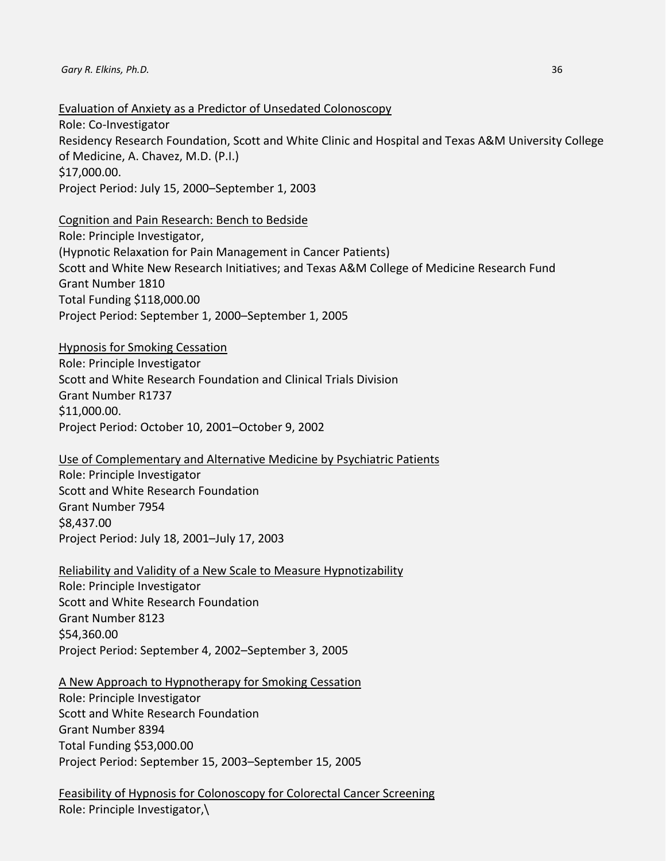Evaluation of Anxiety as a Predictor of Unsedated Colonoscopy

Role: Co-Investigator Residency Research Foundation, Scott and White Clinic and Hospital and Texas A&M University College of Medicine, A. Chavez, M.D. (P.I.) \$17,000.00. Project Period: July 15, 2000–September 1, 2003

Cognition and Pain Research: Bench to Bedside

Role: Principle Investigator, (Hypnotic Relaxation for Pain Management in Cancer Patients) Scott and White New Research Initiatives; and Texas A&M College of Medicine Research Fund Grant Number 1810 Total Funding \$118,000.00 Project Period: September 1, 2000–September 1, 2005

Hypnosis for Smoking Cessation Role: Principle Investigator Scott and White Research Foundation and Clinical Trials Division Grant Number R1737 \$11,000.00. Project Period: October 10, 2001–October 9, 2002

Use of Complementary and Alternative Medicine by Psychiatric Patients Role: Principle Investigator Scott and White Research Foundation Grant Number 7954 \$8,437.00 Project Period: July 18, 2001–July 17, 2003

Reliability and Validity of a New Scale to Measure Hypnotizability Role: Principle Investigator Scott and White Research Foundation Grant Number 8123 \$54,360.00 Project Period: September 4, 2002–September 3, 2005

A New Approach to Hypnotherapy for Smoking Cessation

Role: Principle Investigator Scott and White Research Foundation Grant Number 8394 Total Funding \$53,000.00 Project Period: September 15, 2003–September 15, 2005

Feasibility of Hypnosis for Colonoscopy for Colorectal Cancer Screening Role: Principle Investigator,\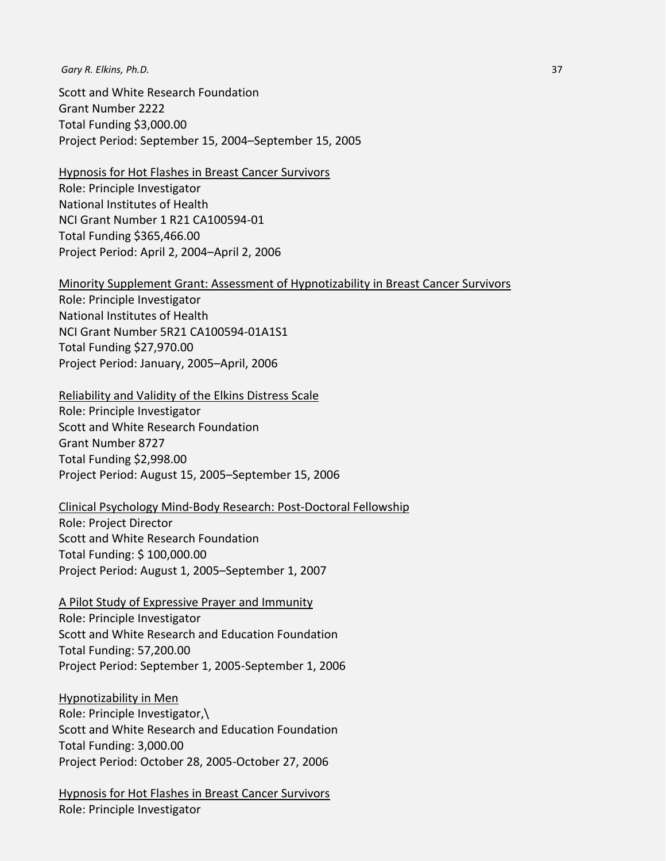Scott and White Research Foundation Grant Number 2222 Total Funding \$3,000.00 Project Period: September 15, 2004–September 15, 2005

Hypnosis for Hot Flashes in Breast Cancer Survivors Role: Principle Investigator

National Institutes of Health NCI Grant Number 1 R21 CA100594-01 Total Funding \$365,466.00 Project Period: April 2, 2004–April 2, 2006

#### Minority Supplement Grant: Assessment of Hypnotizability in Breast Cancer Survivors

Role: Principle Investigator National Institutes of Health NCI Grant Number 5R21 CA100594-01A1S1 Total Funding \$27,970.00 Project Period: January, 2005–April, 2006

Reliability and Validity of the Elkins Distress Scale

Role: Principle Investigator Scott and White Research Foundation Grant Number 8727 Total Funding \$2,998.00 Project Period: August 15, 2005–September 15, 2006

Clinical Psychology Mind-Body Research: Post-Doctoral Fellowship Role: Project Director Scott and White Research Foundation Total Funding: \$ 100,000.00 Project Period: August 1, 2005–September 1, 2007

A Pilot Study of Expressive Prayer and Immunity Role: Principle Investigator Scott and White Research and Education Foundation Total Funding: 57,200.00 Project Period: September 1, 2005-September 1, 2006

Hypnotizability in Men Role: Principle Investigator,\ Scott and White Research and Education Foundation Total Funding: 3,000.00 Project Period: October 28, 2005-October 27, 2006

Hypnosis for Hot Flashes in Breast Cancer Survivors Role: Principle Investigator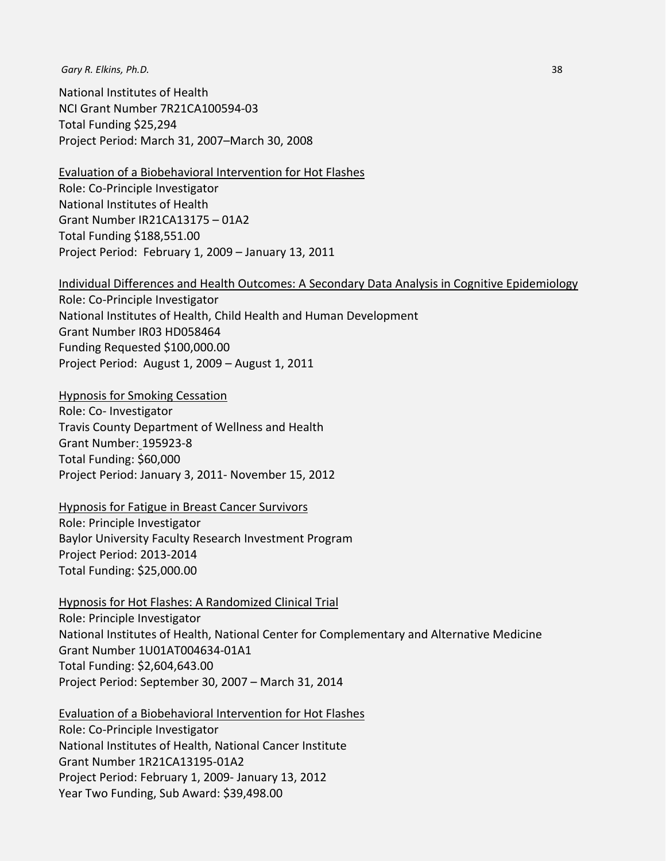National Institutes of Health NCI Grant Number 7R21CA100594-03 Total Funding \$25,294 Project Period: March 31, 2007–March 30, 2008

Evaluation of a Biobehavioral Intervention for Hot Flashes Role: Co-Principle Investigator National Institutes of Health Grant Number IR21CA13175 – 01A2 Total Funding \$188,551.00 Project Period: February 1, 2009 – January 13, 2011

Individual Differences and Health Outcomes: A Secondary Data Analysis in Cognitive Epidemiology

Role: Co-Principle Investigator National Institutes of Health, Child Health and Human Development Grant Number IR03 HD058464 Funding Requested \$100,000.00 Project Period: August 1, 2009 – August 1, 2011

Hypnosis for Smoking Cessation Role: Co- Investigator Travis County Department of Wellness and Health Grant Number: 195923-8 Total Funding: \$60,000 Project Period: January 3, 2011- November 15, 2012

Hypnosis for Fatigue in Breast Cancer Survivors Role: Principle Investigator Baylor University Faculty Research Investment Program Project Period: 2013-2014 Total Funding: \$25,000.00

Hypnosis for Hot Flashes: A Randomized Clinical Trial Role: Principle Investigator National Institutes of Health, National Center for Complementary and Alternative Medicine Grant Number 1U01AT004634-01A1 Total Funding: \$2,604,643.00 Project Period: September 30, 2007 – March 31, 2014

Evaluation of a Biobehavioral Intervention for Hot Flashes Role: Co-Principle Investigator National Institutes of Health, National Cancer Institute Grant Number 1R21CA13195-01A2 Project Period: February 1, 2009- January 13, 2012 Year Two Funding, Sub Award: \$39,498.00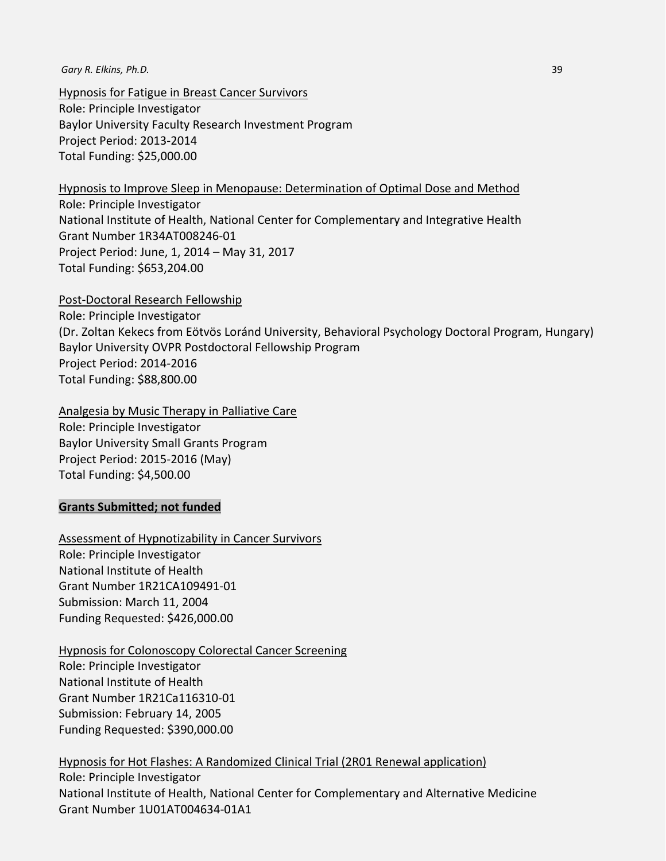Hypnosis for Fatigue in Breast Cancer Survivors Role: Principle Investigator Baylor University Faculty Research Investment Program Project Period: 2013-2014 Total Funding: \$25,000.00

Hypnosis to Improve Sleep in Menopause: Determination of Optimal Dose and Method

Role: Principle Investigator National Institute of Health, National Center for Complementary and Integrative Health Grant Number 1R34AT008246-01 Project Period: June, 1, 2014 – May 31, 2017 Total Funding: \$653,204.00

Post-Doctoral Research Fellowship Role: Principle Investigator (Dr. Zoltan Kekecs from Eötvös Loránd University, Behavioral Psychology Doctoral Program, Hungary) Baylor University OVPR Postdoctoral Fellowship Program Project Period: 2014-2016 Total Funding: \$88,800.00

Analgesia by Music Therapy in Palliative Care Role: Principle Investigator Baylor University Small Grants Program Project Period: 2015-2016 (May) Total Funding: \$4,500.00

#### **Grants Submitted; not funded**

Assessment of Hypnotizability in Cancer Survivors Role: Principle Investigator National Institute of Health Grant Number 1R21CA109491-01 Submission: March 11, 2004 Funding Requested: \$426,000.00

Hypnosis for Colonoscopy Colorectal Cancer Screening Role: Principle Investigator National Institute of Health Grant Number 1R21Ca116310-01 Submission: February 14, 2005 Funding Requested: \$390,000.00

Hypnosis for Hot Flashes: A Randomized Clinical Trial (2R01 Renewal application)

Role: Principle Investigator National Institute of Health, National Center for Complementary and Alternative Medicine Grant Number 1U01AT004634-01A1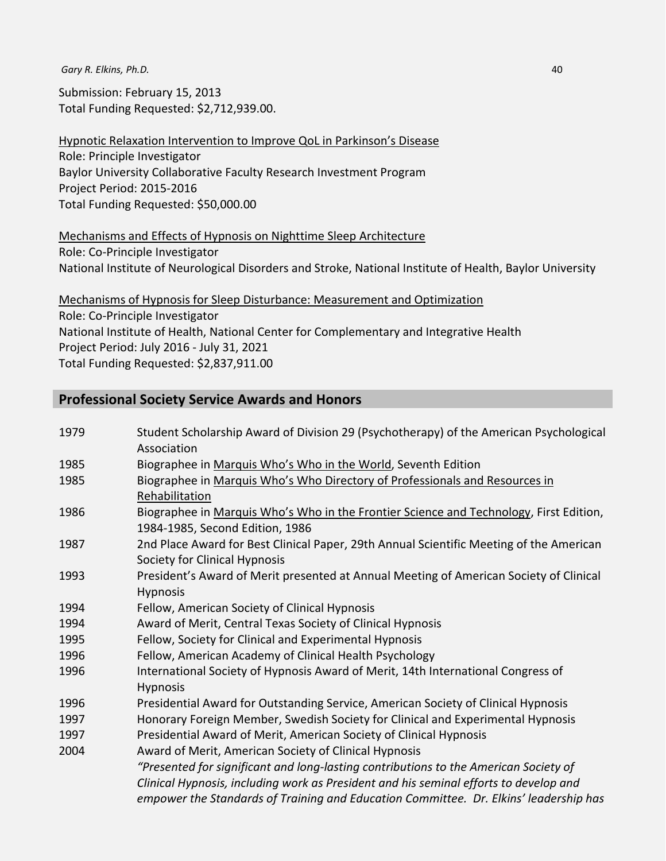Submission: February 15, 2013 Total Funding Requested: \$2,712,939.00.

Hypnotic Relaxation Intervention to Improve QoL in Parkinson's Disease Role: Principle Investigator Baylor University Collaborative Faculty Research Investment Program Project Period: 2015-2016 Total Funding Requested: \$50,000.00

## Mechanisms and Effects of Hypnosis on Nighttime Sleep Architecture Role: Co-Principle Investigator National Institute of Neurological Disorders and Stroke, National Institute of Health, Baylor University

Mechanisms of Hypnosis for Sleep Disturbance: Measurement and Optimization Role: Co-Principle Investigator National Institute of Health, National Center for Complementary and Integrative Health Project Period: July 2016 - July 31, 2021 Total Funding Requested: \$2,837,911.00

# **Professional Society Service Awards and Honors**

| 1979 | Student Scholarship Award of Division 29 (Psychotherapy) of the American Psychological  |
|------|-----------------------------------------------------------------------------------------|
|      | Association                                                                             |
| 1985 | Biographee in Marquis Who's Who in the World, Seventh Edition                           |
| 1985 | Biographee in Marquis Who's Who Directory of Professionals and Resources in             |
|      | Rehabilitation                                                                          |
| 1986 | Biographee in Marquis Who's Who in the Frontier Science and Technology, First Edition,  |
|      | 1984-1985, Second Edition, 1986                                                         |
| 1987 | 2nd Place Award for Best Clinical Paper, 29th Annual Scientific Meeting of the American |
|      | Society for Clinical Hypnosis                                                           |
| 1993 | President's Award of Merit presented at Annual Meeting of American Society of Clinical  |
|      | <b>Hypnosis</b>                                                                         |
| 1994 | Fellow, American Society of Clinical Hypnosis                                           |
| 1994 | Award of Merit, Central Texas Society of Clinical Hypnosis                              |
| 1995 | Fellow, Society for Clinical and Experimental Hypnosis                                  |
| 1996 | Fellow, American Academy of Clinical Health Psychology                                  |
| 1996 | International Society of Hypnosis Award of Merit, 14th International Congress of        |
|      | Hypnosis                                                                                |
| 1996 | Presidential Award for Outstanding Service, American Society of Clinical Hypnosis       |
| 1997 | Honorary Foreign Member, Swedish Society for Clinical and Experimental Hypnosis         |
| 1997 | Presidential Award of Merit, American Society of Clinical Hypnosis                      |
| 2004 | Award of Merit, American Society of Clinical Hypnosis                                   |
|      | "Presented for significant and long-lasting contributions to the American Society of    |
|      | Clinical Hypnosis, including work as President and his seminal efforts to develop and   |
|      | empower the Standards of Training and Education Committee. Dr. Elkins' leadership has   |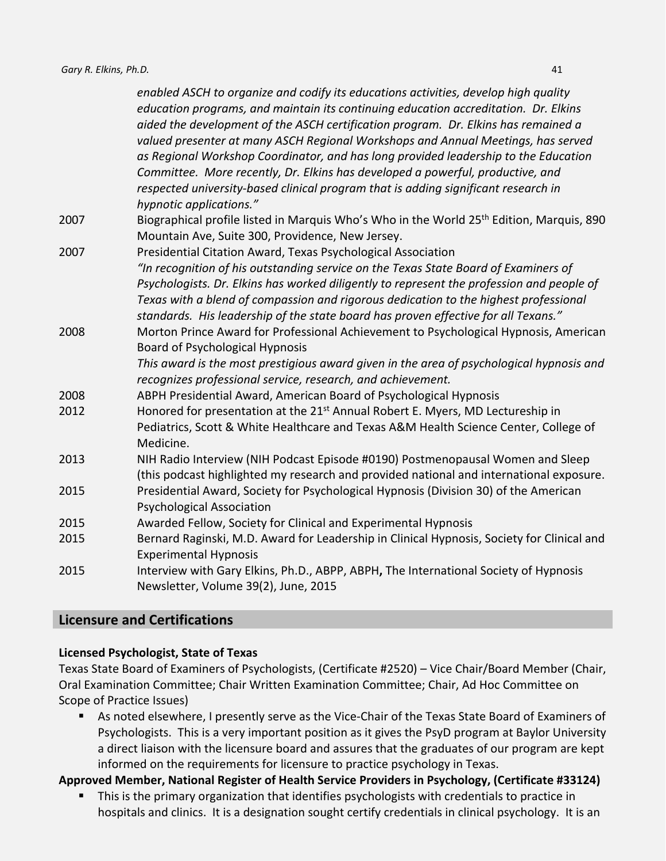|      | enabled ASCH to organize and codify its educations activities, develop high quality<br>education programs, and maintain its continuing education accreditation. Dr. Elkins<br>aided the development of the ASCH certification program. Dr. Elkins has remained a |
|------|------------------------------------------------------------------------------------------------------------------------------------------------------------------------------------------------------------------------------------------------------------------|
|      | valued presenter at many ASCH Regional Workshops and Annual Meetings, has served                                                                                                                                                                                 |
|      | as Regional Workshop Coordinator, and has long provided leadership to the Education                                                                                                                                                                              |
|      | Committee. More recently, Dr. Elkins has developed a powerful, productive, and                                                                                                                                                                                   |
|      | respected university-based clinical program that is adding significant research in                                                                                                                                                                               |
|      | hypnotic applications."                                                                                                                                                                                                                                          |
| 2007 | Biographical profile listed in Marquis Who's Who in the World 25 <sup>th</sup> Edition, Marquis, 890                                                                                                                                                             |
|      | Mountain Ave, Suite 300, Providence, New Jersey.                                                                                                                                                                                                                 |
| 2007 | Presidential Citation Award, Texas Psychological Association                                                                                                                                                                                                     |
|      | "In recognition of his outstanding service on the Texas State Board of Examiners of                                                                                                                                                                              |
|      | Psychologists. Dr. Elkins has worked diligently to represent the profession and people of                                                                                                                                                                        |
|      | Texas with a blend of compassion and rigorous dedication to the highest professional                                                                                                                                                                             |
|      | standards. His leadership of the state board has proven effective for all Texans."                                                                                                                                                                               |
| 2008 | Morton Prince Award for Professional Achievement to Psychological Hypnosis, American                                                                                                                                                                             |
|      | <b>Board of Psychological Hypnosis</b>                                                                                                                                                                                                                           |
|      | This award is the most prestigious award given in the area of psychological hypnosis and                                                                                                                                                                         |
|      | recognizes professional service, research, and achievement.                                                                                                                                                                                                      |
| 2008 | ABPH Presidential Award, American Board of Psychological Hypnosis                                                                                                                                                                                                |
| 2012 | Honored for presentation at the 21 <sup>st</sup> Annual Robert E. Myers, MD Lectureship in                                                                                                                                                                       |
|      | Pediatrics, Scott & White Healthcare and Texas A&M Health Science Center, College of                                                                                                                                                                             |
|      | Medicine.                                                                                                                                                                                                                                                        |
| 2013 | NIH Radio Interview (NIH Podcast Episode #0190) Postmenopausal Women and Sleep                                                                                                                                                                                   |
|      | (this podcast highlighted my research and provided national and international exposure.                                                                                                                                                                          |
| 2015 | Presidential Award, Society for Psychological Hypnosis (Division 30) of the American                                                                                                                                                                             |
|      | <b>Psychological Association</b>                                                                                                                                                                                                                                 |
| 2015 | Awarded Fellow, Society for Clinical and Experimental Hypnosis                                                                                                                                                                                                   |
| 2015 | Bernard Raginski, M.D. Award for Leadership in Clinical Hypnosis, Society for Clinical and                                                                                                                                                                       |
|      | <b>Experimental Hypnosis</b>                                                                                                                                                                                                                                     |
| 2015 | Interview with Gary Elkins, Ph.D., ABPP, ABPH, The International Society of Hypnosis                                                                                                                                                                             |
|      | Newsletter, Volume 39(2), June, 2015                                                                                                                                                                                                                             |

# **Licensure and Certifications**

#### **Licensed Psychologist, State of Texas**

Texas State Board of Examiners of Psychologists, (Certificate #2520) – Vice Chair/Board Member (Chair, Oral Examination Committee; Chair Written Examination Committee; Chair, Ad Hoc Committee on Scope of Practice Issues)

 As noted elsewhere, I presently serve as the Vice-Chair of the Texas State Board of Examiners of Psychologists. This is a very important position as it gives the PsyD program at Baylor University a direct liaison with the licensure board and assures that the graduates of our program are kept informed on the requirements for licensure to practice psychology in Texas.

# **Approved Member, National Register of Health Service Providers in Psychology, (Certificate #33124)**

 This is the primary organization that identifies psychologists with credentials to practice in hospitals and clinics. It is a designation sought certify credentials in clinical psychology. It is an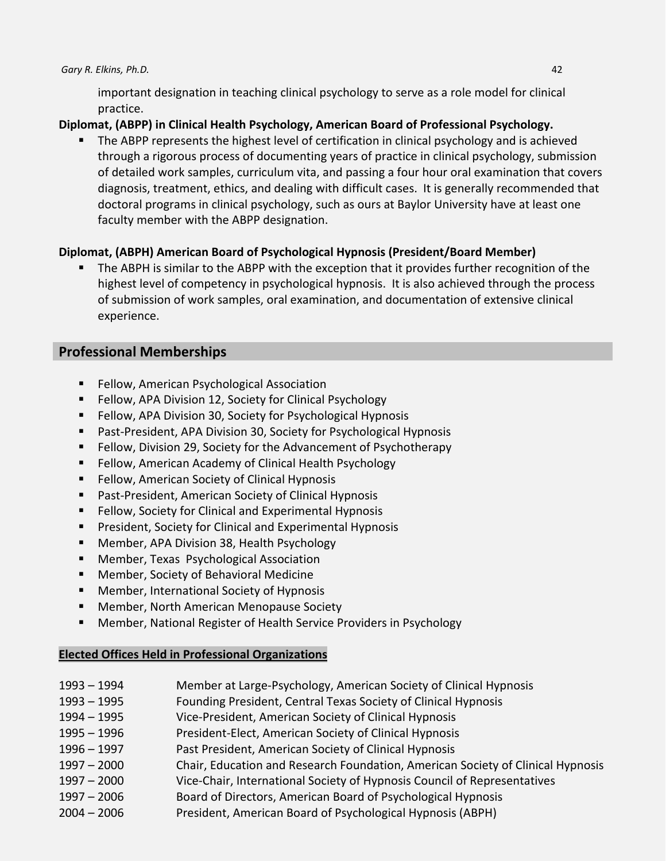important designation in teaching clinical psychology to serve as a role model for clinical practice.

# **Diplomat, (ABPP) in Clinical Health Psychology, American Board of Professional Psychology.**

 The ABPP represents the highest level of certification in clinical psychology and is achieved through a rigorous process of documenting years of practice in clinical psychology, submission of detailed work samples, curriculum vita, and passing a four hour oral examination that covers diagnosis, treatment, ethics, and dealing with difficult cases. It is generally recommended that doctoral programs in clinical psychology, such as ours at Baylor University have at least one faculty member with the ABPP designation.

# **Diplomat, (ABPH) American Board of Psychological Hypnosis (President/Board Member)**

 The ABPH is similar to the ABPP with the exception that it provides further recognition of the highest level of competency in psychological hypnosis. It is also achieved through the process of submission of work samples, oral examination, and documentation of extensive clinical experience.

# **Professional Memberships**

- Fellow, American Psychological Association
- **Fellow, APA Division 12, Society for Clinical Psychology**
- Fellow, APA Division 30, Society for Psychological Hypnosis
- Past-President, APA Division 30, Society for Psychological Hypnosis
- **Fellow, Division 29, Society for the Advancement of Psychotherapy**
- **Fellow, American Academy of Clinical Health Psychology**
- **Fellow, American Society of Clinical Hypnosis**
- Past-President, American Society of Clinical Hypnosis
- **Fellow, Society for Clinical and Experimental Hypnosis**
- **President, Society for Clinical and Experimental Hypnosis**
- Member, APA Division 38, Health Psychology
- Member, Texas Psychological Association
- **Member, Society of Behavioral Medicine**
- **Member, International Society of Hypnosis**
- **Member, North American Menopause Society**
- Member, National Register of Health Service Providers in Psychology

# **Elected Offices Held in Professional Organizations**

- 1993 1994 Member at Large-Psychology, American Society of Clinical Hypnosis
- 1993 1995 Founding President, Central Texas Society of Clinical Hypnosis
- 1994 1995 Vice-President, American Society of Clinical Hypnosis
- 1995 1996 President-Elect, American Society of Clinical Hypnosis
- 1996 1997 Past President, American Society of Clinical Hypnosis
- 1997 2000 Chair, Education and Research Foundation, American Society of Clinical Hypnosis
- 1997 2000 Vice-Chair, International Society of Hypnosis Council of Representatives
- 1997 2006 Board of Directors, American Board of Psychological Hypnosis
- 2004 2006 President, American Board of Psychological Hypnosis (ABPH)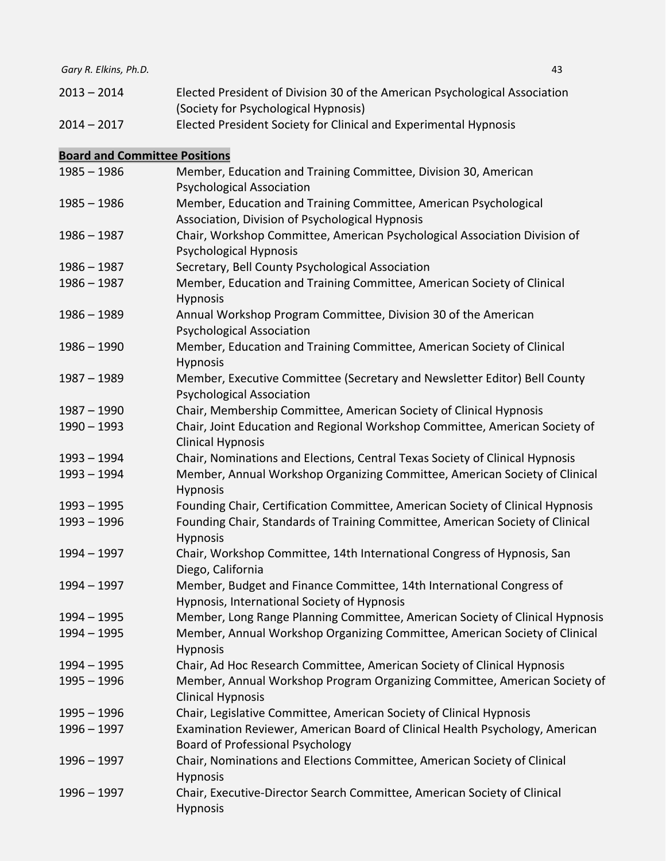| 2013 – 2014       | Elected President of Division 30 of the American Psychological Association |
|-------------------|----------------------------------------------------------------------------|
|                   | (Society for Psychological Hypnosis)                                       |
| ີດ ເ<br>$\bigcap$ | Flasted Bussident Casister for Clinical and Funsarius antal Hummaria.      |

2014 – 2017 Elected President Society for Clinical and Experimental Hypnosis

# **Board and Committee Positions**

| $1985 - 1986$ | Member, Education and Training Committee, Division 30, American<br><b>Psychological Association</b>                     |
|---------------|-------------------------------------------------------------------------------------------------------------------------|
| $1985 - 1986$ | Member, Education and Training Committee, American Psychological                                                        |
|               | Association, Division of Psychological Hypnosis                                                                         |
| $1986 - 1987$ | Chair, Workshop Committee, American Psychological Association Division of                                               |
|               | Psychological Hypnosis                                                                                                  |
| $1986 - 1987$ | Secretary, Bell County Psychological Association                                                                        |
| $1986 - 1987$ | Member, Education and Training Committee, American Society of Clinical<br><b>Hypnosis</b>                               |
| $1986 - 1989$ | Annual Workshop Program Committee, Division 30 of the American<br><b>Psychological Association</b>                      |
| $1986 - 1990$ | Member, Education and Training Committee, American Society of Clinical<br>Hypnosis                                      |
| $1987 - 1989$ | Member, Executive Committee (Secretary and Newsletter Editor) Bell County<br><b>Psychological Association</b>           |
| 1987 - 1990   | Chair, Membership Committee, American Society of Clinical Hypnosis                                                      |
| $1990 - 1993$ | Chair, Joint Education and Regional Workshop Committee, American Society of<br><b>Clinical Hypnosis</b>                 |
| $1993 - 1994$ | Chair, Nominations and Elections, Central Texas Society of Clinical Hypnosis                                            |
| 1993 - 1994   | Member, Annual Workshop Organizing Committee, American Society of Clinical<br>Hypnosis                                  |
| $1993 - 1995$ | Founding Chair, Certification Committee, American Society of Clinical Hypnosis                                          |
| $1993 - 1996$ | Founding Chair, Standards of Training Committee, American Society of Clinical<br>Hypnosis                               |
| $1994 - 1997$ | Chair, Workshop Committee, 14th International Congress of Hypnosis, San<br>Diego, California                            |
| 1994 - 1997   | Member, Budget and Finance Committee, 14th International Congress of<br>Hypnosis, International Society of Hypnosis     |
| $1994 - 1995$ | Member, Long Range Planning Committee, American Society of Clinical Hypnosis                                            |
| $1994 - 1995$ | Member, Annual Workshop Organizing Committee, American Society of Clinical<br>Hypnosis                                  |
| 1994 - 1995   | Chair, Ad Hoc Research Committee, American Society of Clinical Hypnosis                                                 |
| $1995 - 1996$ | Member, Annual Workshop Program Organizing Committee, American Society of<br><b>Clinical Hypnosis</b>                   |
| 1995 - 1996   | Chair, Legislative Committee, American Society of Clinical Hypnosis                                                     |
| 1996 - 1997   | Examination Reviewer, American Board of Clinical Health Psychology, American<br><b>Board of Professional Psychology</b> |
| $1996 - 1997$ | Chair, Nominations and Elections Committee, American Society of Clinical<br><b>Hypnosis</b>                             |
| 1996 - 1997   | Chair, Executive-Director Search Committee, American Society of Clinical<br>Hypnosis                                    |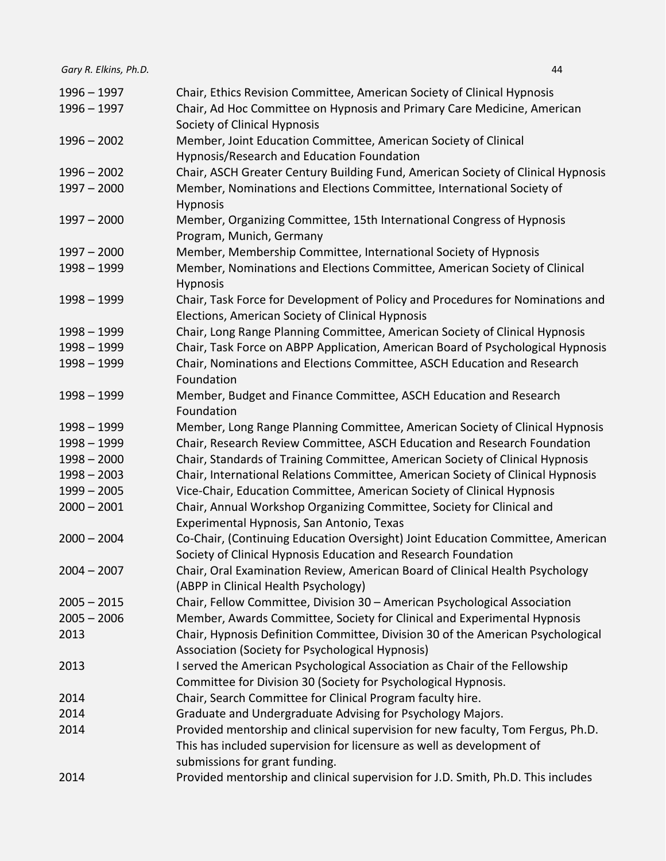| $1996 - 1997$ | Chair, Ethics Revision Committee, American Society of Clinical Hypnosis               |
|---------------|---------------------------------------------------------------------------------------|
| $1996 - 1997$ | Chair, Ad Hoc Committee on Hypnosis and Primary Care Medicine, American               |
|               | Society of Clinical Hypnosis                                                          |
| $1996 - 2002$ | Member, Joint Education Committee, American Society of Clinical                       |
|               | Hypnosis/Research and Education Foundation                                            |
| $1996 - 2002$ | Chair, ASCH Greater Century Building Fund, American Society of Clinical Hypnosis      |
| $1997 - 2000$ | Member, Nominations and Elections Committee, International Society of                 |
|               | Hypnosis                                                                              |
| $1997 - 2000$ | Member, Organizing Committee, 15th International Congress of Hypnosis                 |
|               | Program, Munich, Germany                                                              |
| $1997 - 2000$ | Member, Membership Committee, International Society of Hypnosis                       |
| $1998 - 1999$ | Member, Nominations and Elections Committee, American Society of Clinical             |
|               | Hypnosis                                                                              |
| $1998 - 1999$ | Chair, Task Force for Development of Policy and Procedures for Nominations and        |
|               | Elections, American Society of Clinical Hypnosis                                      |
| $1998 - 1999$ | Chair, Long Range Planning Committee, American Society of Clinical Hypnosis           |
| $1998 - 1999$ | Chair, Task Force on ABPP Application, American Board of Psychological Hypnosis       |
| $1998 - 1999$ | Chair, Nominations and Elections Committee, ASCH Education and Research<br>Foundation |
| $1998 - 1999$ | Member, Budget and Finance Committee, ASCH Education and Research                     |
|               | Foundation                                                                            |
| $1998 - 1999$ | Member, Long Range Planning Committee, American Society of Clinical Hypnosis          |
| $1998 - 1999$ | Chair, Research Review Committee, ASCH Education and Research Foundation              |
| $1998 - 2000$ | Chair, Standards of Training Committee, American Society of Clinical Hypnosis         |
| $1998 - 2003$ | Chair, International Relations Committee, American Society of Clinical Hypnosis       |
| $1999 - 2005$ | Vice-Chair, Education Committee, American Society of Clinical Hypnosis                |
| $2000 - 2001$ | Chair, Annual Workshop Organizing Committee, Society for Clinical and                 |
|               | Experimental Hypnosis, San Antonio, Texas                                             |
| $2000 - 2004$ | Co-Chair, (Continuing Education Oversight) Joint Education Committee, American        |
|               | Society of Clinical Hypnosis Education and Research Foundation                        |
| $2004 - 2007$ | Chair, Oral Examination Review, American Board of Clinical Health Psychology          |
|               | (ABPP in Clinical Health Psychology)                                                  |
| $2005 - 2015$ | Chair, Fellow Committee, Division 30 - American Psychological Association             |
| $2005 - 2006$ | Member, Awards Committee, Society for Clinical and Experimental Hypnosis              |
| 2013          | Chair, Hypnosis Definition Committee, Division 30 of the American Psychological       |
|               | Association (Society for Psychological Hypnosis)                                      |
| 2013          | I served the American Psychological Association as Chair of the Fellowship            |
|               | Committee for Division 30 (Society for Psychological Hypnosis.                        |
| 2014          | Chair, Search Committee for Clinical Program faculty hire.                            |
| 2014          | Graduate and Undergraduate Advising for Psychology Majors.                            |
| 2014          | Provided mentorship and clinical supervision for new faculty, Tom Fergus, Ph.D.       |
|               | This has included supervision for licensure as well as development of                 |
|               | submissions for grant funding.                                                        |
| 2014          | Provided mentorship and clinical supervision for J.D. Smith, Ph.D. This includes      |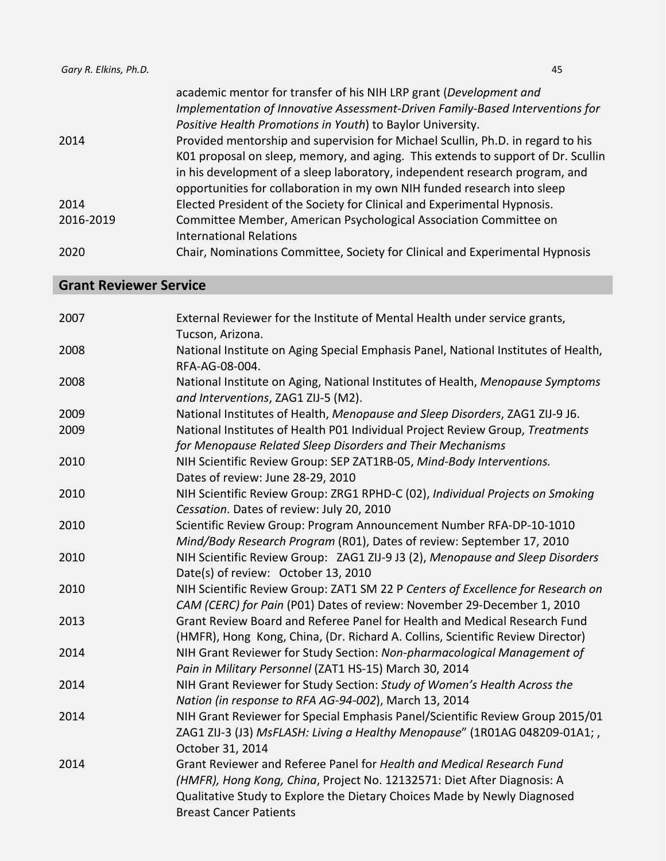| Gary R. Elkins, Ph.D. | 45                                                                               |
|-----------------------|----------------------------------------------------------------------------------|
|                       | academic mentor for transfer of his NIH LRP grant (Development and               |
|                       | Implementation of Innovative Assessment-Driven Family-Based Interventions for    |
|                       | Positive Health Promotions in Youth) to Baylor University.                       |
| 2014                  | Provided mentorship and supervision for Michael Scullin, Ph.D. in regard to his  |
|                       | K01 proposal on sleep, memory, and aging. This extends to support of Dr. Scullin |
|                       | in his development of a sleep laboratory, independent research program, and      |
|                       | opportunities for collaboration in my own NIH funded research into sleep         |
| 2014                  | Elected President of the Society for Clinical and Experimental Hypnosis.         |
| 2016-2019             | Committee Member, American Psychological Association Committee on                |
|                       | <b>International Relations</b>                                                   |
| 2020                  | Chair, Nominations Committee, Society for Clinical and Experimental Hypnosis     |

# **Grant Reviewer Service**

| 2007 | External Reviewer for the Institute of Mental Health under service grants,<br>Tucson, Arizona.                                                                                                                                                                |
|------|---------------------------------------------------------------------------------------------------------------------------------------------------------------------------------------------------------------------------------------------------------------|
| 2008 | National Institute on Aging Special Emphasis Panel, National Institutes of Health,<br>RFA-AG-08-004.                                                                                                                                                          |
| 2008 | National Institute on Aging, National Institutes of Health, Menopause Symptoms<br>and Interventions, ZAG1 ZIJ-5 (M2).                                                                                                                                         |
| 2009 | National Institutes of Health, Menopause and Sleep Disorders, ZAG1 ZIJ-9 J6.                                                                                                                                                                                  |
| 2009 | National Institutes of Health P01 Individual Project Review Group, Treatments<br>for Menopause Related Sleep Disorders and Their Mechanisms                                                                                                                   |
| 2010 | NIH Scientific Review Group: SEP ZAT1RB-05, Mind-Body Interventions.<br>Dates of review: June 28-29, 2010                                                                                                                                                     |
| 2010 | NIH Scientific Review Group: ZRG1 RPHD-C (02), Individual Projects on Smoking<br>Cessation. Dates of review: July 20, 2010                                                                                                                                    |
| 2010 | Scientific Review Group: Program Announcement Number RFA-DP-10-1010<br>Mind/Body Research Program (R01), Dates of review: September 17, 2010                                                                                                                  |
| 2010 | NIH Scientific Review Group: ZAG1 ZIJ-9 J3 (2), Menopause and Sleep Disorders<br>Date(s) of review: October 13, 2010                                                                                                                                          |
| 2010 | NIH Scientific Review Group: ZAT1 SM 22 P Centers of Excellence for Research on<br>CAM (CERC) for Pain (P01) Dates of review: November 29-December 1, 2010                                                                                                    |
| 2013 | Grant Review Board and Referee Panel for Health and Medical Research Fund<br>(HMFR), Hong Kong, China, (Dr. Richard A. Collins, Scientific Review Director)                                                                                                   |
| 2014 | NIH Grant Reviewer for Study Section: Non-pharmacological Management of<br>Pain in Military Personnel (ZAT1 HS-15) March 30, 2014                                                                                                                             |
| 2014 | NIH Grant Reviewer for Study Section: Study of Women's Health Across the<br>Nation (in response to RFA AG-94-002), March 13, 2014                                                                                                                             |
| 2014 | NIH Grant Reviewer for Special Emphasis Panel/Scientific Review Group 2015/01<br>ZAG1 ZIJ-3 (J3) MsFLASH: Living a Healthy Menopause" (1R01AG 048209-01A1;,<br>October 31, 2014                                                                               |
| 2014 | Grant Reviewer and Referee Panel for Health and Medical Research Fund<br>(HMFR), Hong Kong, China, Project No. 12132571: Diet After Diagnosis: A<br>Qualitative Study to Explore the Dietary Choices Made by Newly Diagnosed<br><b>Breast Cancer Patients</b> |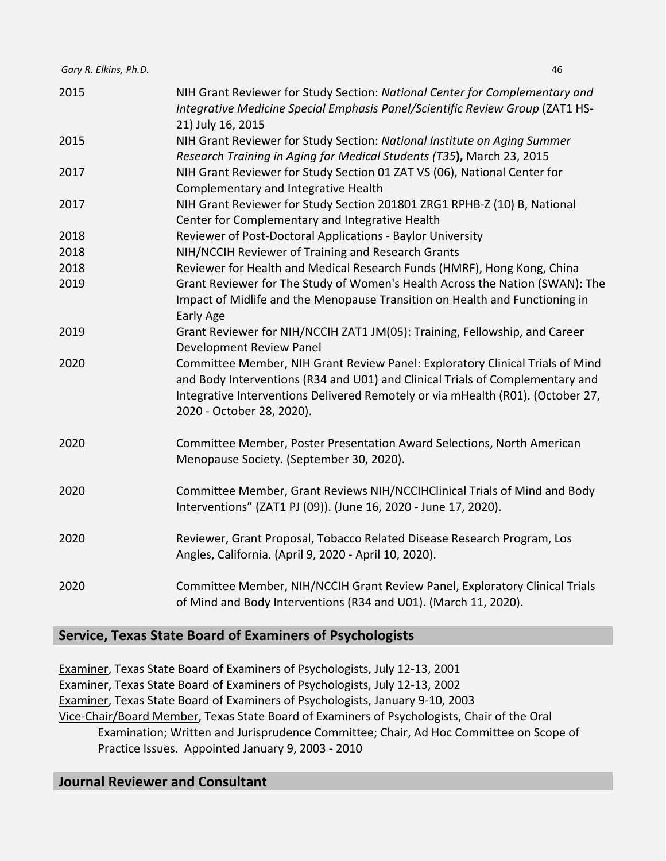| 2015 | NIH Grant Reviewer for Study Section: National Center for Complementary and<br>Integrative Medicine Special Emphasis Panel/Scientific Review Group (ZAT1 HS- |
|------|--------------------------------------------------------------------------------------------------------------------------------------------------------------|
|      | 21) July 16, 2015                                                                                                                                            |
| 2015 | NIH Grant Reviewer for Study Section: National Institute on Aging Summer<br>Research Training in Aging for Medical Students (T35), March 23, 2015            |
| 2017 | NIH Grant Reviewer for Study Section 01 ZAT VS (06), National Center for                                                                                     |
| 2017 | Complementary and Integrative Health<br>NIH Grant Reviewer for Study Section 201801 ZRG1 RPHB-Z (10) B, National                                             |
|      | Center for Complementary and Integrative Health                                                                                                              |
| 2018 | Reviewer of Post-Doctoral Applications - Baylor University                                                                                                   |
| 2018 | NIH/NCCIH Reviewer of Training and Research Grants                                                                                                           |
| 2018 | Reviewer for Health and Medical Research Funds (HMRF), Hong Kong, China                                                                                      |
| 2019 | Grant Reviewer for The Study of Women's Health Across the Nation (SWAN): The                                                                                 |
|      | Impact of Midlife and the Menopause Transition on Health and Functioning in                                                                                  |
|      | Early Age                                                                                                                                                    |
| 2019 | Grant Reviewer for NIH/NCCIH ZAT1 JM(05): Training, Fellowship, and Career<br>Development Review Panel                                                       |
| 2020 | Committee Member, NIH Grant Review Panel: Exploratory Clinical Trials of Mind                                                                                |
|      | and Body Interventions (R34 and U01) and Clinical Trials of Complementary and                                                                                |
|      | Integrative Interventions Delivered Remotely or via mHealth (R01). (October 27,                                                                              |
|      | 2020 - October 28, 2020).                                                                                                                                    |
| 2020 | Committee Member, Poster Presentation Award Selections, North American                                                                                       |
|      | Menopause Society. (September 30, 2020).                                                                                                                     |
| 2020 | Committee Member, Grant Reviews NIH/NCCIHClinical Trials of Mind and Body                                                                                    |
|      | Interventions" (ZAT1 PJ (09)). (June 16, 2020 - June 17, 2020).                                                                                              |
|      |                                                                                                                                                              |
| 2020 | Reviewer, Grant Proposal, Tobacco Related Disease Research Program, Los                                                                                      |
|      | Angles, California. (April 9, 2020 - April 10, 2020).                                                                                                        |
| 2020 | Committee Member, NIH/NCCIH Grant Review Panel, Exploratory Clinical Trials                                                                                  |
|      | of Mind and Body Interventions (R34 and U01). (March 11, 2020).                                                                                              |

# **Service, Texas State Board of Examiners of Psychologists**

Examiner, Texas State Board of Examiners of Psychologists, July 12-13, 2001 Examiner, Texas State Board of Examiners of Psychologists, July 12-13, 2002 Examiner, Texas State Board of Examiners of Psychologists, January 9-10, 2003 Vice-Chair/Board Member, Texas State Board of Examiners of Psychologists, Chair of the Oral Examination; Written and Jurisprudence Committee; Chair, Ad Hoc Committee on Scope of Practice Issues. Appointed January 9, 2003 - 2010

# **Journal Reviewer and Consultant**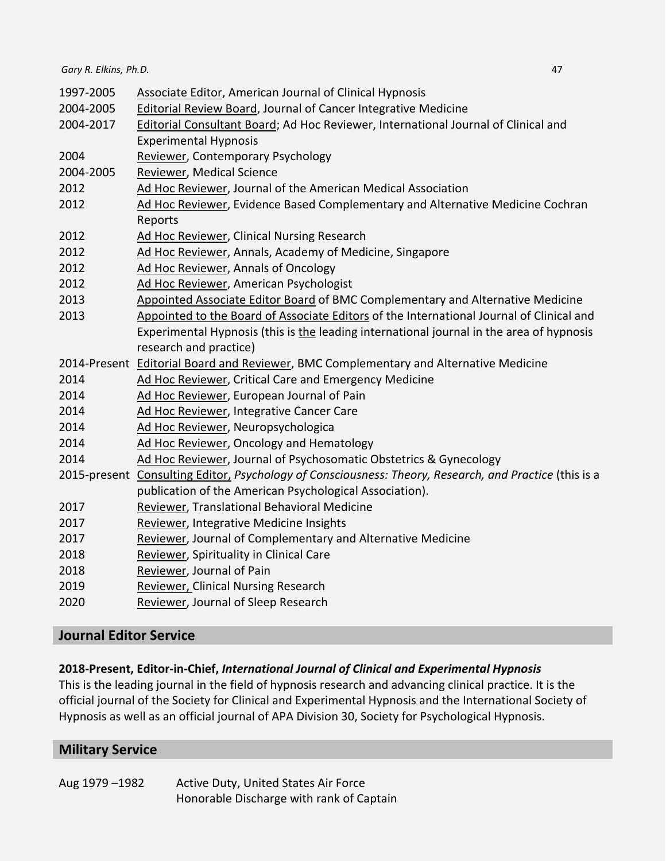| 1997-2005                                                                                        | <b>Associate Editor, American Journal of Clinical Hypnosis</b>                                         |  |
|--------------------------------------------------------------------------------------------------|--------------------------------------------------------------------------------------------------------|--|
| 2004-2005                                                                                        | Editorial Review Board, Journal of Cancer Integrative Medicine                                         |  |
| 2004-2017                                                                                        | Editorial Consultant Board; Ad Hoc Reviewer, International Journal of Clinical and                     |  |
|                                                                                                  | <b>Experimental Hypnosis</b>                                                                           |  |
| 2004                                                                                             | <b>Reviewer, Contemporary Psychology</b>                                                               |  |
| 2004-2005                                                                                        | Reviewer, Medical Science                                                                              |  |
| 2012                                                                                             | Ad Hoc Reviewer, Journal of the American Medical Association                                           |  |
| 2012                                                                                             | Ad Hoc Reviewer, Evidence Based Complementary and Alternative Medicine Cochran                         |  |
|                                                                                                  | Reports                                                                                                |  |
| 2012                                                                                             | Ad Hoc Reviewer, Clinical Nursing Research                                                             |  |
| 2012                                                                                             | Ad Hoc Reviewer, Annals, Academy of Medicine, Singapore                                                |  |
| 2012                                                                                             | Ad Hoc Reviewer, Annals of Oncology                                                                    |  |
| 2012                                                                                             | Ad Hoc Reviewer, American Psychologist                                                                 |  |
| 2013                                                                                             | Appointed Associate Editor Board of BMC Complementary and Alternative Medicine                         |  |
| 2013<br>Appointed to the Board of Associate Editors of the International Journal of Clinical and |                                                                                                        |  |
|                                                                                                  | Experimental Hypnosis (this is the leading international journal in the area of hypnosis               |  |
|                                                                                                  | research and practice)                                                                                 |  |
|                                                                                                  | 2014-Present Editorial Board and Reviewer, BMC Complementary and Alternative Medicine                  |  |
| 2014                                                                                             | Ad Hoc Reviewer, Critical Care and Emergency Medicine                                                  |  |
| 2014                                                                                             | Ad Hoc Reviewer, European Journal of Pain                                                              |  |
| 2014                                                                                             | Ad Hoc Reviewer, Integrative Cancer Care                                                               |  |
| 2014                                                                                             | Ad Hoc Reviewer, Neuropsychologica                                                                     |  |
| 2014                                                                                             | Ad Hoc Reviewer, Oncology and Hematology                                                               |  |
| 2014                                                                                             | Ad Hoc Reviewer, Journal of Psychosomatic Obstetrics & Gynecology                                      |  |
|                                                                                                  | 2015-present Consulting Editor, Psychology of Consciousness: Theory, Research, and Practice (this is a |  |
|                                                                                                  | publication of the American Psychological Association).                                                |  |
| 2017                                                                                             | Reviewer, Translational Behavioral Medicine                                                            |  |
| 2017                                                                                             | Reviewer, Integrative Medicine Insights                                                                |  |
| 2017                                                                                             | Reviewer, Journal of Complementary and Alternative Medicine                                            |  |
| 2018                                                                                             | Reviewer, Spirituality in Clinical Care                                                                |  |
| 2018                                                                                             | Reviewer, Journal of Pain                                                                              |  |
| 2019                                                                                             | <b>Reviewer, Clinical Nursing Research</b>                                                             |  |

2020 Reviewer, Journal of Sleep Research

# **Journal Editor Service**

#### **2018-Present, Editor-in-Chief,** *International Journal of Clinical and Experimental Hypnosis*

This is the leading journal in the field of hypnosis research and advancing clinical practice. It is the official journal of the Society for Clinical and Experimental Hypnosis and the International Society of Hypnosis as well as an official journal of APA Division 30, Society for Psychological Hypnosis.

# **Military Service**

Aug 1979 –1982 Active Duty, United States Air Force Honorable Discharge with rank of Captain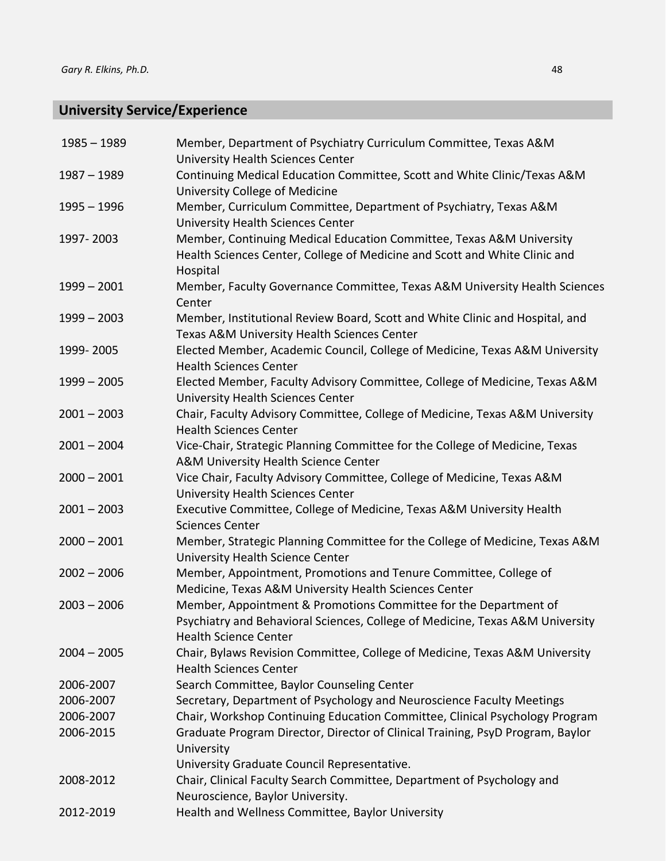# **University Service/Experience**

| $1985 - 1989$ | Member, Department of Psychiatry Curriculum Committee, Texas A&M<br><b>University Health Sciences Center</b>              |
|---------------|---------------------------------------------------------------------------------------------------------------------------|
| $1987 - 1989$ | Continuing Medical Education Committee, Scott and White Clinic/Texas A&M                                                  |
|               | University College of Medicine                                                                                            |
| $1995 - 1996$ | Member, Curriculum Committee, Department of Psychiatry, Texas A&M                                                         |
|               | <b>University Health Sciences Center</b>                                                                                  |
| 1997-2003     | Member, Continuing Medical Education Committee, Texas A&M University                                                      |
|               | Health Sciences Center, College of Medicine and Scott and White Clinic and<br>Hospital                                    |
| $1999 - 2001$ | Member, Faculty Governance Committee, Texas A&M University Health Sciences<br>Center                                      |
| $1999 - 2003$ | Member, Institutional Review Board, Scott and White Clinic and Hospital, and                                              |
|               | Texas A&M University Health Sciences Center                                                                               |
| 1999-2005     | Elected Member, Academic Council, College of Medicine, Texas A&M University<br><b>Health Sciences Center</b>              |
| $1999 - 2005$ | Elected Member, Faculty Advisory Committee, College of Medicine, Texas A&M<br><b>University Health Sciences Center</b>    |
| $2001 - 2003$ | Chair, Faculty Advisory Committee, College of Medicine, Texas A&M University<br><b>Health Sciences Center</b>             |
| $2001 - 2004$ | Vice-Chair, Strategic Planning Committee for the College of Medicine, Texas<br>A&M University Health Science Center       |
| $2000 - 2001$ | Vice Chair, Faculty Advisory Committee, College of Medicine, Texas A&M<br><b>University Health Sciences Center</b>        |
| $2001 - 2003$ | Executive Committee, College of Medicine, Texas A&M University Health<br><b>Sciences Center</b>                           |
| $2000 - 2001$ | Member, Strategic Planning Committee for the College of Medicine, Texas A&M<br>University Health Science Center           |
| $2002 - 2006$ | Member, Appointment, Promotions and Tenure Committee, College of<br>Medicine, Texas A&M University Health Sciences Center |
| $2003 - 2006$ | Member, Appointment & Promotions Committee for the Department of                                                          |
|               | Psychiatry and Behavioral Sciences, College of Medicine, Texas A&M University<br><b>Health Science Center</b>             |
| $2004 - 2005$ | Chair, Bylaws Revision Committee, College of Medicine, Texas A&M University<br><b>Health Sciences Center</b>              |
| 2006-2007     | Search Committee, Baylor Counseling Center                                                                                |
| 2006-2007     | Secretary, Department of Psychology and Neuroscience Faculty Meetings                                                     |
| 2006-2007     | Chair, Workshop Continuing Education Committee, Clinical Psychology Program                                               |
| 2006-2015     | Graduate Program Director, Director of Clinical Training, PsyD Program, Baylor<br>University                              |
|               | University Graduate Council Representative.                                                                               |
| 2008-2012     | Chair, Clinical Faculty Search Committee, Department of Psychology and                                                    |
|               | Neuroscience, Baylor University.                                                                                          |
| 2012-2019     | Health and Wellness Committee, Baylor University                                                                          |